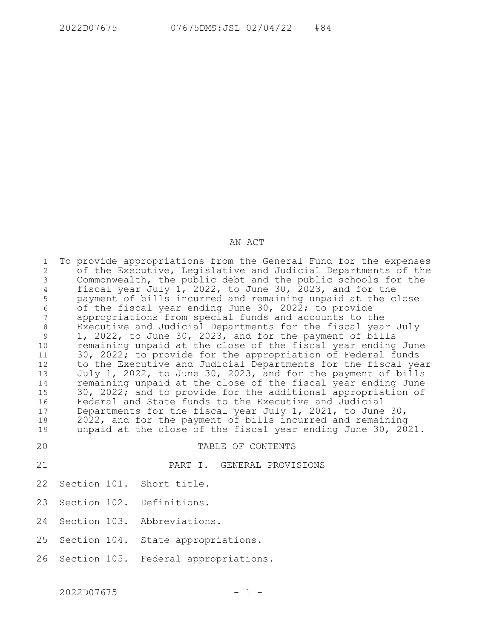## AN ACT

| 1<br>$\overline{c}$<br>3<br>$\overline{4}$<br>5<br>$\epsilon$<br>$\overline{7}$<br>$\,8\,$<br>9<br>10 | To provide appropriations from the General Fund for the expenses<br>of the Executive, Legislative and Judicial Departments of the<br>Commonwealth, the public debt and the public schools for the<br>fiscal year July 1, 2022, to June 30, 2023, and for the<br>payment of bills incurred and remaining unpaid at the close<br>of the fiscal year ending June 30, 2022; to provide<br>appropriations from special funds and accounts to the<br>Executive and Judicial Departments for the fiscal year July<br>1, 2022, to June 30, 2023, and for the payment of bills<br>remaining unpaid at the close of the fiscal year ending June<br>30, 2022; to provide for the appropriation of Federal funds |
|-------------------------------------------------------------------------------------------------------|------------------------------------------------------------------------------------------------------------------------------------------------------------------------------------------------------------------------------------------------------------------------------------------------------------------------------------------------------------------------------------------------------------------------------------------------------------------------------------------------------------------------------------------------------------------------------------------------------------------------------------------------------------------------------------------------------|
| 11<br>12<br>13<br>14                                                                                  | to the Executive and Judicial Departments for the fiscal year<br>July 1, 2022, to June 30, 2023, and for the payment of bills<br>remaining unpaid at the close of the fiscal year ending June                                                                                                                                                                                                                                                                                                                                                                                                                                                                                                        |
| 15<br>16<br>17<br>18<br>19                                                                            | 30, 2022; and to provide for the additional appropriation of<br>Federal and State funds to the Executive and Judicial<br>Departments for the fiscal year July 1, 2021, to June 30,<br>2022, and for the payment of bills incurred and remaining<br>unpaid at the close of the fiscal year ending June 30, 2021.                                                                                                                                                                                                                                                                                                                                                                                      |
| 20                                                                                                    | TABLE OF CONTENTS                                                                                                                                                                                                                                                                                                                                                                                                                                                                                                                                                                                                                                                                                    |
| 21                                                                                                    | PART I. GENERAL PROVISIONS                                                                                                                                                                                                                                                                                                                                                                                                                                                                                                                                                                                                                                                                           |
| 22                                                                                                    | Section 101. Short title.                                                                                                                                                                                                                                                                                                                                                                                                                                                                                                                                                                                                                                                                            |
| 23                                                                                                    | Section 102. Definitions.                                                                                                                                                                                                                                                                                                                                                                                                                                                                                                                                                                                                                                                                            |
| 24                                                                                                    | Section 103. Abbreviations.                                                                                                                                                                                                                                                                                                                                                                                                                                                                                                                                                                                                                                                                          |
| 25                                                                                                    | Section 104. State appropriations.                                                                                                                                                                                                                                                                                                                                                                                                                                                                                                                                                                                                                                                                   |
| 26                                                                                                    | Section 105. Federal appropriations.                                                                                                                                                                                                                                                                                                                                                                                                                                                                                                                                                                                                                                                                 |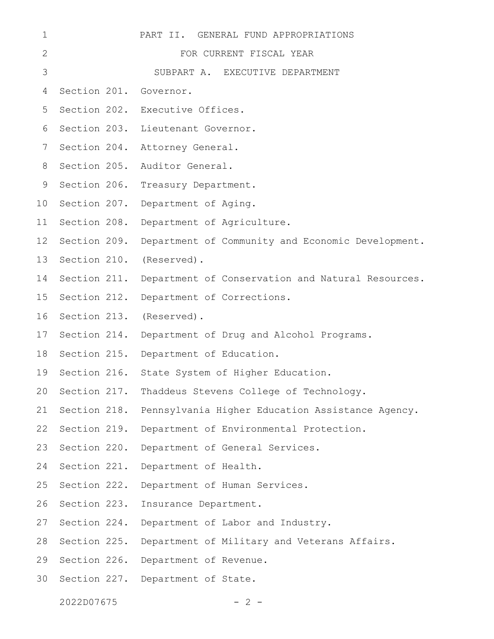| $\mathbf 1$     |                        | PART II. GENERAL FUND APPROPRIATIONS                    |
|-----------------|------------------------|---------------------------------------------------------|
| 2               |                        | FOR CURRENT FISCAL YEAR                                 |
| 3               |                        | SUBPART A. EXECUTIVE DEPARTMENT                         |
| 4               | Section 201. Governor. |                                                         |
| 5               |                        | Section 202. Executive Offices.                         |
| 6               | Section 203.           | Lieutenant Governor.                                    |
| 7               | Section 204.           | Attorney General.                                       |
| 8               | Section 205.           | Auditor General.                                        |
| 9               | Section 206.           | Treasury Department.                                    |
| 10              | Section 207.           | Department of Aging.                                    |
| 11              | Section 208.           | Department of Agriculture.                              |
| 12 <sup>2</sup> | Section 209.           | Department of Community and Economic Development.       |
| 13              | Section 210.           | (Reserved).                                             |
| 14              | Section 211.           | Department of Conservation and Natural Resources.       |
| 15              | Section 212.           | Department of Corrections.                              |
| 16              |                        | Section 213. (Reserved).                                |
| 17              | Section 214.           | Department of Drug and Alcohol Programs.                |
| 18              |                        | Section 215. Department of Education.                   |
| 19              |                        | Section 216. State System of Higher Education.          |
|                 |                        | 20 Section 217. Thaddeus Stevens College of Technology. |
| 21              | Section 218.           | Pennsylvania Higher Education Assistance Agency.        |
| 22              | Section 219.           | Department of Environmental Protection.                 |
| 23              | Section 220.           | Department of General Services.                         |
| 24              | Section 221.           | Department of Health.                                   |
| 25              | Section 222.           | Department of Human Services.                           |
| 26              | Section 223.           | Insurance Department.                                   |
| 27              | Section 224.           | Department of Labor and Industry.                       |
| 28              | Section 225.           | Department of Military and Veterans Affairs.            |
| 29              |                        | Section 226. Department of Revenue.                     |
| 30              |                        | Section 227. Department of State.                       |
|                 |                        |                                                         |

 $2022D07675$  - 2 -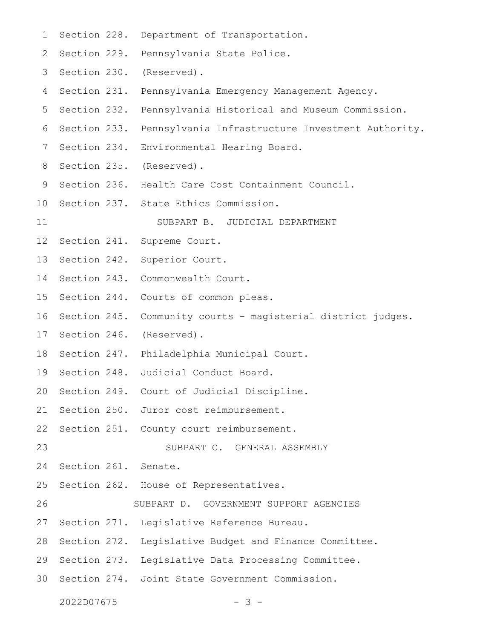| $\mathbf 1$ | Section 228.         | Department of Transportation.                          |
|-------------|----------------------|--------------------------------------------------------|
| 2           | Section 229.         | Pennsylvania State Police.                             |
| 3           | Section 230.         | (Reserved).                                            |
| 4           | Section 231.         | Pennsylvania Emergency Management Agency.              |
| 5           | Section 232.         | Pennsylvania Historical and Museum Commission.         |
| 6           | Section 233.         | Pennsylvania Infrastructure Investment Authority.      |
| 7           | Section 234.         | Environmental Hearing Board.                           |
| 8           |                      | Section 235. (Reserved).                               |
| 9           | Section 236.         | Health Care Cost Containment Council.                  |
| 10          |                      | Section 237. State Ethics Commission.                  |
| 11          |                      | SUBPART B. JUDICIAL DEPARTMENT                         |
| 12          | Section 241.         | Supreme Court.                                         |
| 13          | Section 242.         | Superior Court.                                        |
| 14          | Section 243.         | Commonwealth Court.                                    |
| 15          | Section 244.         | Courts of common pleas.                                |
| 16          | Section 245.         | Community courts - magisterial district judges.        |
| 17          | Section 246.         | (Reserved).                                            |
| 18          |                      | Section 247. Philadelphia Municipal Court.             |
| 19          |                      | Section 248. Judicial Conduct Board.                   |
| 20          |                      | Section 249. Court of Judicial Discipline.             |
| 21          |                      | Section 250. Juror cost reimbursement.                 |
| 22          |                      | Section 251. County court reimbursement.               |
| 23          |                      | SUBPART C. GENERAL ASSEMBLY                            |
| 24          | Section 261. Senate. |                                                        |
| 25          |                      | Section 262. House of Representatives.                 |
| 26          |                      | SUBPART D. GOVERNMENT SUPPORT AGENCIES                 |
| 27          |                      | Section 271. Legislative Reference Bureau.             |
| 28          |                      | Section 272. Legislative Budget and Finance Committee. |
| 29          |                      | Section 273. Legislative Data Processing Committee.    |
| 30          |                      | Section 274. Joint State Government Commission.        |
|             | 2022D07675           |                                                        |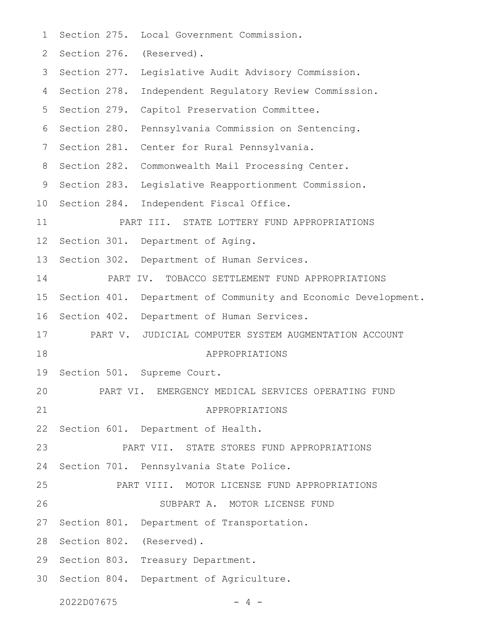Section 275. Local Government Commission. 2 Section 276. (Reserved). 3 Section 277. Legislative Audit Advisory Commission. 4 Section 278. Independent Regulatory Review Commission. 5 Section 279. Capitol Preservation Committee. 6 Section 280. Pennsylvania Commission on Sentencing. 7 Section 281. Center for Rural Pennsylvania. 8 Section 282. Commonwealth Mail Processing Center. 9 Section 283. Legislative Reapportionment Commission. 10 Section 284. Independent Fiscal Office. PART III. STATE LOTTERY FUND APPROPRIATIONS Section 301. Department of Aging. Section 302. Department of Human Services. PART IV. TOBACCO SETTLEMENT FUND APPROPRIATIONS 15 Section 401. Department of Community and Economic Development. 16 Section 402. Department of Human Services. PART V. JUDICIAL COMPUTER SYSTEM AUGMENTATION ACCOUNT APPROPRIATIONS Section 501. Supreme Court. PART VI. EMERGENCY MEDICAL SERVICES OPERATING FUND APPROPRIATIONS Section 601. Department of Health. PART VII. STATE STORES FUND APPROPRIATIONS Section 701. Pennsylvania State Police. PART VIII. MOTOR LICENSE FUND APPROPRIATIONS SUBPART A. MOTOR LICENSE FUND 27 Section 801. Department of Transportation. 28 Section 802. (Reserved). 29 Section 803. Treasury Department. 30 Section 804. Department of Agriculture.  $2022D07675$   $-4$   $-$ 1 11 12 13 14 17 18 19 20 21 22 23 24 25 26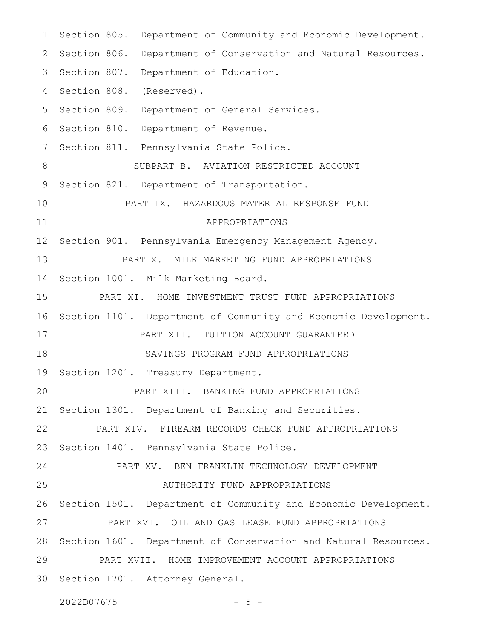Section 805. Department of Community and Economic Development. 2 Section 806. Department of Conservation and Natural Resources. 3 Section 807. Department of Education. 4 Section 808. (Reserved). 5 Section 809. Department of General Services. 6 Section 810. Department of Revenue. Section 811. Pennsylvania State Police. SUBPART B. AVIATION RESTRICTED ACCOUNT Section 821. Department of Transportation. PART IX. HAZARDOUS MATERIAL RESPONSE FUND APPROPRIATIONS Section 901. Pennsylvania Emergency Management Agency. PART X. MILK MARKETING FUND APPROPRIATIONS Section 1001. Milk Marketing Board. PART XI. HOME INVESTMENT TRUST FUND APPROPRIATIONS 16 Section 1101. Department of Community and Economic Development. PART XII. TUITION ACCOUNT GUARANTEED SAVINGS PROGRAM FUND APPROPRIATIONS 19 Section 1201. Treasury Department. PART XIII. BANKING FUND APPROPRIATIONS Section 1301. Department of Banking and Securities. PART XIV. FIREARM RECORDS CHECK FUND APPROPRIATIONS Section 1401. Pennsylvania State Police. PART XV. BEN FRANKLIN TECHNOLOGY DEVELOPMENT AUTHORITY FUND APPROPRIATIONS 26 Section 1501. Department of Community and Economic Development. PART XVI. OIL AND GAS LEASE FUND APPROPRIATIONS Section 1601. Department of Conservation and Natural Resources. PART XVII. HOME IMPROVEMENT ACCOUNT APPROPRIATIONS 30 Section 1701. Attorney General. 1 7 8 9 10 11 12 13 14 15 17 18 20 21 22 23 24 25 27 28 29

2022D07675 - 5 -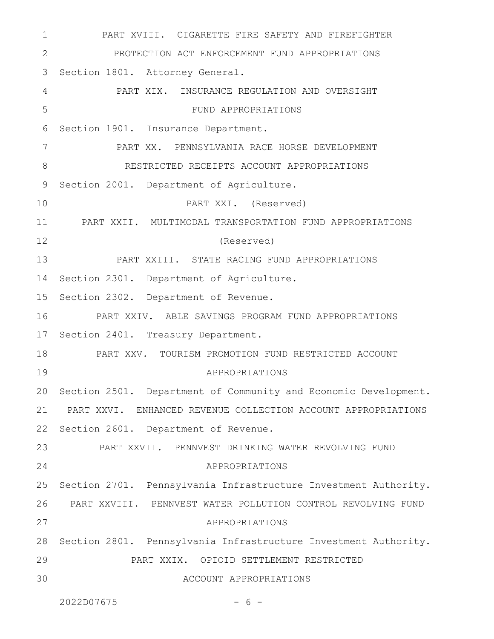PART XVIII. CIGARETTE FIRE SAFETY AND FIREFIGHTER PROTECTION ACT ENFORCEMENT FUND APPROPRIATIONS 3 Section 1801. Attorney General. PART XIX. INSURANCE REGULATION AND OVERSIGHT FUND APPROPRIATIONS Section 1901. Insurance Department. PART XX. PENNSYLVANIA RACE HORSE DEVELOPMENT RESTRICTED RECEIPTS ACCOUNT APPROPRIATIONS Section 2001. Department of Agriculture. PART XXI. (Reserved) PART XXII. MULTIMODAL TRANSPORTATION FUND APPROPRIATIONS (Reserved) PART XXIII. STATE RACING FUND APPROPRIATIONS 14 Section 2301. Department of Agriculture. 15 Section 2302. Department of Revenue. PART XXIV. ABLE SAVINGS PROGRAM FUND APPROPRIATIONS 17 Section 2401. Treasury Department. PART XXV. TOURISM PROMOTION FUND RESTRICTED ACCOUNT APPROPRIATIONS 20 Section 2501. Department of Community and Economic Development. PART XXVI. ENHANCED REVENUE COLLECTION ACCOUNT APPROPRIATIONS 22 Section 2601. Department of Revenue. PART XXVII. PENNVEST DRINKING WATER REVOLVING FUND APPROPRIATIONS 25 Section 2701. Pennsylvania Infrastructure Investment Authority. PART XXVIII. PENNVEST WATER POLLUTION CONTROL REVOLVING FUND 26 APPROPRIATIONS 28 Section 2801. Pennsylvania Infrastructure Investment Authority. PART XXIX. OPIOID SETTLEMENT RESTRICTED ACCOUNT APPROPRIATIONS 1 2 4 5 6 7 8 9 10 11 12 13 16 18 19 21 23 24 27 29 30

 $2022D07675$  - 6 -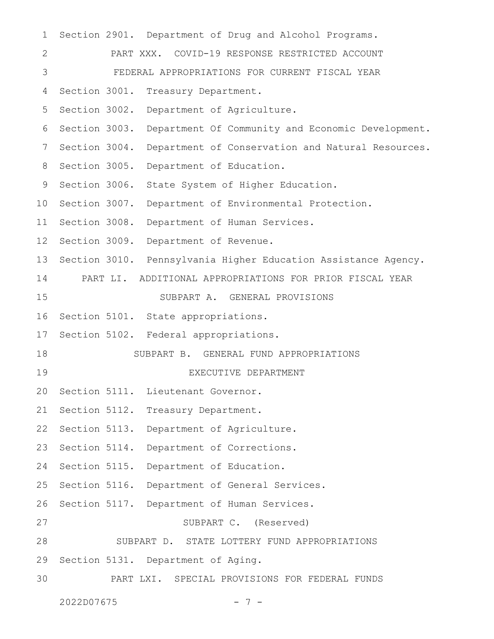Section 2901. Department of Drug and Alcohol Programs. PART XXX. COVID-19 RESPONSE RESTRICTED ACCOUNT FEDERAL APPROPRIATIONS FOR CURRENT FISCAL YEAR Section 3001. Treasury Department. Section 3002. Department of Agriculture. Section 3003. Department Of Community and Economic Development. Section 3004. Department of Conservation and Natural Resources. 8 Section 3005. Department of Education. 9 Section 3006. State System of Higher Education. 10 Section 3007. Department of Environmental Protection. 11 Section 3008. Department of Human Services. 12 Section 3009. Department of Revenue. 13 Section 3010. Pennsylvania Higher Education Assistance Agency. PART LI. ADDITIONAL APPROPRIATIONS FOR PRIOR FISCAL YEAR SUBPART A. GENERAL PROVISIONS Section 5101. State appropriations. Section 5102. Federal appropriations. SUBPART B. GENERAL FUND APPROPRIATIONS EXECUTIVE DEPARTMENT Section 5111. Lieutenant Governor. 21 Section 5112. Treasury Department. 22 Section 5113. Department of Agriculture. 23 Section 5114. Department of Corrections. 24 Section 5115. Department of Education. 25 Section 5116. Department of General Services. Section 5117. Department of Human Services. SUBPART C. (Reserved) SUBPART D. STATE LOTTERY FUND APPROPRIATIONS 29 Section 5131. Department of Aging. PART LXI. SPECIAL PROVISIONS FOR FEDERAL FUNDS 1 2 3 4 5 6 7 14 15 16 17 18 19 20 26 27 28 30

```
2022D07675
```

$$
-7-
$$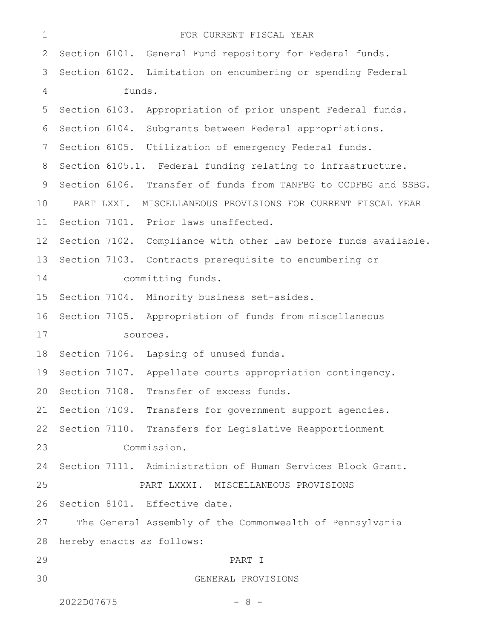| $\mathbf 1$    |            | FOR CURRENT FISCAL YEAR                                         |
|----------------|------------|-----------------------------------------------------------------|
| 2              |            | Section 6101. General Fund repository for Federal funds.        |
| 3              |            | Section 6102. Limitation on encumbering or spending Federal     |
| $\overline{4}$ | funds.     |                                                                 |
| 5              |            | Section 6103. Appropriation of prior unspent Federal funds.     |
| 6              |            | Section 6104. Subgrants between Federal appropriations.         |
| 7              |            | Section 6105. Utilization of emergency Federal funds.           |
| 8              |            | Section 6105.1. Federal funding relating to infrastructure.     |
| 9              |            | Section 6106. Transfer of funds from TANFBG to CCDFBG and SSBG. |
| 10             | PART LXXI. | MISCELLANEOUS PROVISIONS FOR CURRENT FISCAL YEAR                |
| 11             |            | Section 7101. Prior laws unaffected.                            |
| 12             |            | Section 7102. Compliance with other law before funds available. |
| 13             |            | Section 7103. Contracts prerequisite to encumbering or          |
| 14             |            | committing funds.                                               |
| 15             |            | Section 7104. Minority business set-asides.                     |
| 16             |            | Section 7105. Appropriation of funds from miscellaneous         |
| 17             |            | sources.                                                        |
| 18             |            | Section 7106. Lapsing of unused funds.                          |
| 19             |            | Section 7107. Appellate courts appropriation contingency.       |
|                |            | 20 Section 7108. Transfer of excess funds.                      |
| 21             |            | Section 7109. Transfers for government support agencies.        |
| 22             |            | Section 7110. Transfers for Legislative Reapportionment         |
| 23             |            | Commission.                                                     |
| 24             |            | Section 7111. Administration of Human Services Block Grant.     |
| 25             |            | PART LXXXI. MISCELLANEOUS PROVISIONS                            |
| 26             |            | Section 8101. Effective date.                                   |
| 27             |            | The General Assembly of the Commonwealth of Pennsylvania        |
| 28             |            | hereby enacts as follows:                                       |
| 29             |            | PART I                                                          |
| 30             |            | GENERAL PROVISIONS                                              |
|                |            |                                                                 |

2022D07675 - 8 -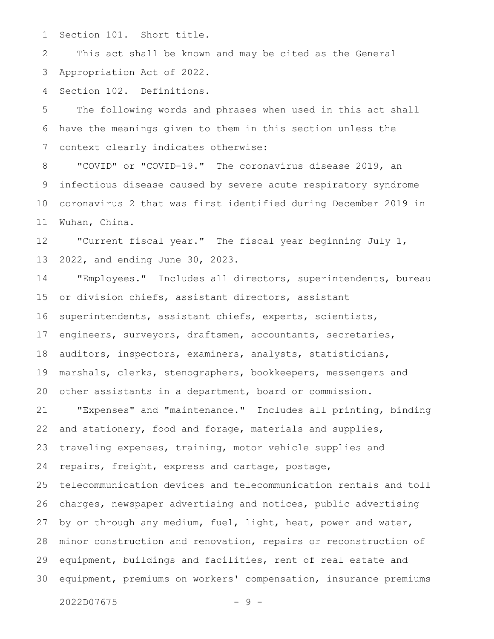Section 101. Short title. 1

This act shall be known and may be cited as the General Appropriation Act of 2022. 2 3

Section 102. Definitions. 4

The following words and phrases when used in this act shall have the meanings given to them in this section unless the context clearly indicates otherwise: 5 6 7

"COVID" or "COVID-19." The coronavirus disease 2019, an infectious disease caused by severe acute respiratory syndrome coronavirus 2 that was first identified during December 2019 in Wuhan, China. 8 9 10 11

"Current fiscal year." The fiscal year beginning July 1, 2022, and ending June 30, 2023. 12 13

"Employees." Includes all directors, superintendents, bureau or division chiefs, assistant directors, assistant superintendents, assistant chiefs, experts, scientists, engineers, surveyors, draftsmen, accountants, secretaries, auditors, inspectors, examiners, analysts, statisticians, marshals, clerks, stenographers, bookkeepers, messengers and other assistants in a department, board or commission. 14 15 16 17 18 19 20

"Expenses" and "maintenance." Includes all printing, binding and stationery, food and forage, materials and supplies, traveling expenses, training, motor vehicle supplies and repairs, freight, express and cartage, postage, telecommunication devices and telecommunication rentals and toll charges, newspaper advertising and notices, public advertising by or through any medium, fuel, light, heat, power and water, minor construction and renovation, repairs or reconstruction of equipment, buildings and facilities, rent of real estate and equipment, premiums on workers' compensation, insurance premiums 21 22 23 24 25 26 27 28 29 30

 $2022D07675$  - 9 -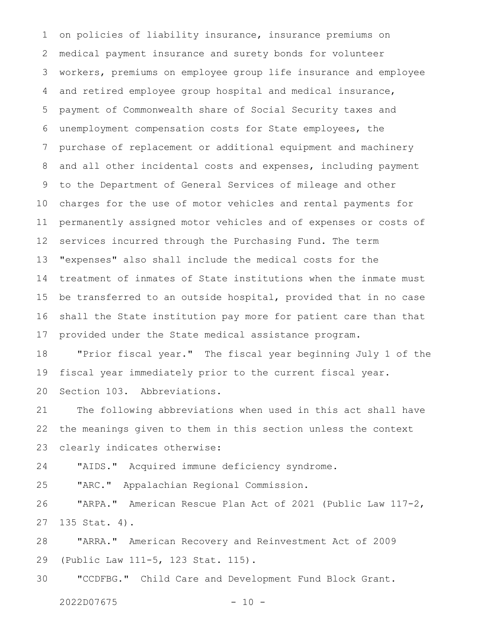on policies of liability insurance, insurance premiums on medical payment insurance and surety bonds for volunteer workers, premiums on employee group life insurance and employee and retired employee group hospital and medical insurance, payment of Commonwealth share of Social Security taxes and unemployment compensation costs for State employees, the purchase of replacement or additional equipment and machinery and all other incidental costs and expenses, including payment to the Department of General Services of mileage and other charges for the use of motor vehicles and rental payments for permanently assigned motor vehicles and of expenses or costs of services incurred through the Purchasing Fund. The term "expenses" also shall include the medical costs for the treatment of inmates of State institutions when the inmate must be transferred to an outside hospital, provided that in no case shall the State institution pay more for patient care than that provided under the State medical assistance program. 1 2 3 4 5 6 7 8 9 10 11 12 13 14 15 16 17

"Prior fiscal year." The fiscal year beginning July 1 of the fiscal year immediately prior to the current fiscal year. Section 103. Abbreviations. 18 19 20

The following abbreviations when used in this act shall have the meanings given to them in this section unless the context clearly indicates otherwise: 21 22 23

"AIDS." Acquired immune deficiency syndrome. 24

"ARC." Appalachian Regional Commission. 25

"ARPA." American Rescue Plan Act of 2021 (Public Law 117-2, 135 Stat. 4). 26 27

"ARRA." American Recovery and Reinvestment Act of 2009 (Public Law 111-5, 123 Stat. 115). 28 29

"CCDFBG." Child Care and Development Fund Block Grant. 30

2022D07675 - 10 -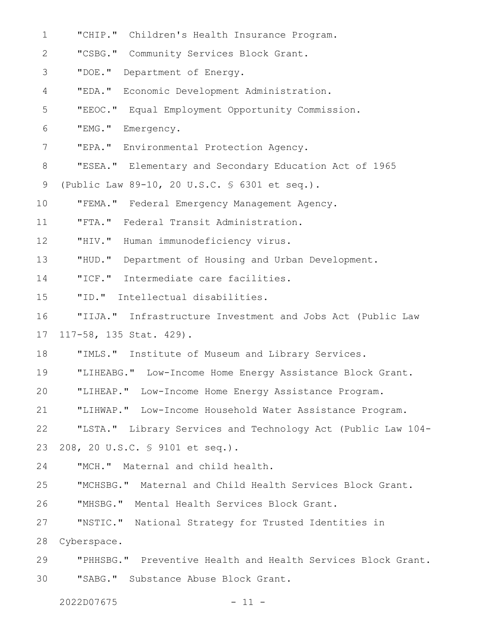| 1            | "CHIP." Children's Health Insurance Program.                 |
|--------------|--------------------------------------------------------------|
| $\mathbf{2}$ | "CSBG." Community Services Block Grant.                      |
| 3            | "DOE."<br>Department of Energy.                              |
| 4            | "EDA."<br>Economic Development Administration.               |
| 5            | "EEOC." Equal Employment Opportunity Commission.             |
| 6            | "EMG."<br>Emergency.                                         |
| 7            | "EPA." Environmental Protection Agency.                      |
| 8            | "ESEA." Elementary and Secondary Education Act of 1965       |
| 9            | (Public Law 89-10, 20 U.S.C. § 6301 et seq.).                |
| 10           | "FEMA." Federal Emergency Management Agency.                 |
| 11           | "FTA."<br>Federal Transit Administration.                    |
| 12           | "HIV."<br>Human immunodeficiency virus.                      |
| 13           | "HUD."<br>Department of Housing and Urban Development.       |
| 14           | "ICF. "<br>Intermediate care facilities.                     |
| 15           | "ID. "<br>Intellectual disabilities.                         |
| 16           | "IIJA." Infrastructure Investment and Jobs Act (Public Law   |
| 17           | 117-58, 135 Stat. 429).                                      |
| 18           | "IMLS." Institute of Museum and Library Services.            |
| 19           | "LIHEABG." Low-Income Home Energy Assistance Block Grant.    |
| 20           | "LIHEAP." Low-Income Home Energy Assistance Program.         |
| 21           | "LIHWAP." Low-Income Household Water Assistance Program.     |
| 22           | "LSTA." Library Services and Technology Act (Public Law 104- |
| 23           | 208, 20 U.S.C. § 9101 et seq.).                              |
| 24           | "MCH." Maternal and child health.                            |
| 25           | "MCHSBG." Maternal and Child Health Services Block Grant.    |
| 26           | "MHSBG." Mental Health Services Block Grant.                 |
| 27           | "NSTIC." National Strategy for Trusted Identities in         |
| 28           | Cyberspace.                                                  |
| 29           | "PHHSBG." Preventive Health and Health Services Block Grant. |
| 30           | "SABG."<br>Substance Abuse Block Grant.                      |

2022D07675 - 11 -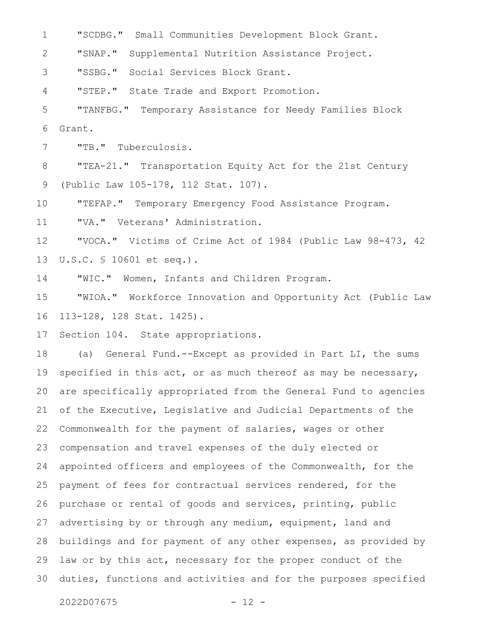"SCDBG." Small Communities Development Block Grant. 1

"SNAP." Supplemental Nutrition Assistance Project. 2

"SSBG." Social Services Block Grant. 3

"STEP." State Trade and Export Promotion. 4

"TANFBG." Temporary Assistance for Needy Families Block Grant. 5 6

"TB." Tuberculosis. 7

"TEA-21." Transportation Equity Act for the 21st Century (Public Law 105-178, 112 Stat. 107). 8 9

"TEFAP." Temporary Emergency Food Assistance Program. 10

"VA." Veterans' Administration. 11

"VOCA." Victims of Crime Act of 1984 (Public Law 98-473, 42 U.S.C. § 10601 et seq.). 12 13

"WIC." Women, Infants and Children Program. 14

"WIOA." Workforce Innovation and Opportunity Act (Public Law 113-128, 128 Stat. 1425). 15 16

Section 104. State appropriations. 17

(a) General Fund.--Except as provided in Part LI, the sums specified in this act, or as much thereof as may be necessary, are specifically appropriated from the General Fund to agencies of the Executive, Legislative and Judicial Departments of the Commonwealth for the payment of salaries, wages or other compensation and travel expenses of the duly elected or appointed officers and employees of the Commonwealth, for the payment of fees for contractual services rendered, for the purchase or rental of goods and services, printing, public advertising by or through any medium, equipment, land and buildings and for payment of any other expenses, as provided by law or by this act, necessary for the proper conduct of the duties, functions and activities and for the purposes specified 18 19 20 21 22 23 24 25 26 27 28 29 30

2022D07675 - 12 -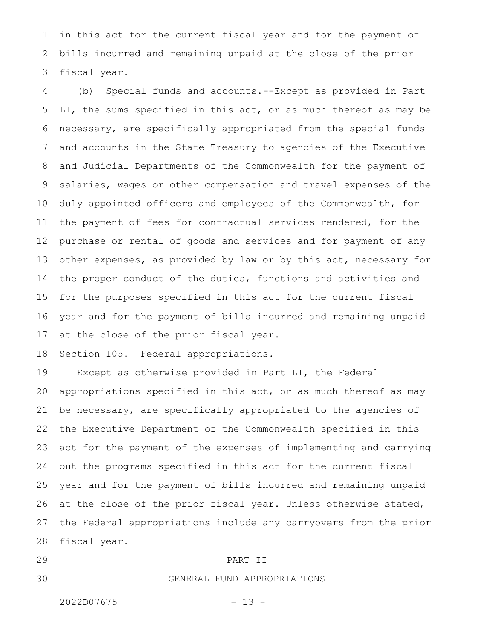in this act for the current fiscal year and for the payment of bills incurred and remaining unpaid at the close of the prior fiscal year. 1 2 3

(b) Special funds and accounts.--Except as provided in Part LI, the sums specified in this act, or as much thereof as may be necessary, are specifically appropriated from the special funds and accounts in the State Treasury to agencies of the Executive and Judicial Departments of the Commonwealth for the payment of salaries, wages or other compensation and travel expenses of the duly appointed officers and employees of the Commonwealth, for the payment of fees for contractual services rendered, for the purchase or rental of goods and services and for payment of any other expenses, as provided by law or by this act, necessary for the proper conduct of the duties, functions and activities and for the purposes specified in this act for the current fiscal year and for the payment of bills incurred and remaining unpaid at the close of the prior fiscal year. 4 5 6 7 8 9 10 11 12 13 14 15 16 17

Section 105. Federal appropriations. 18

Except as otherwise provided in Part LI, the Federal appropriations specified in this act, or as much thereof as may be necessary, are specifically appropriated to the agencies of the Executive Department of the Commonwealth specified in this act for the payment of the expenses of implementing and carrying out the programs specified in this act for the current fiscal year and for the payment of bills incurred and remaining unpaid at the close of the prior fiscal year. Unless otherwise stated, the Federal appropriations include any carryovers from the prior fiscal year. 19 20 21 22 23 24 25 26 27 28

29

30

## PART II

## GENERAL FUND APPROPRIATIONS

2022D07675 - 13 -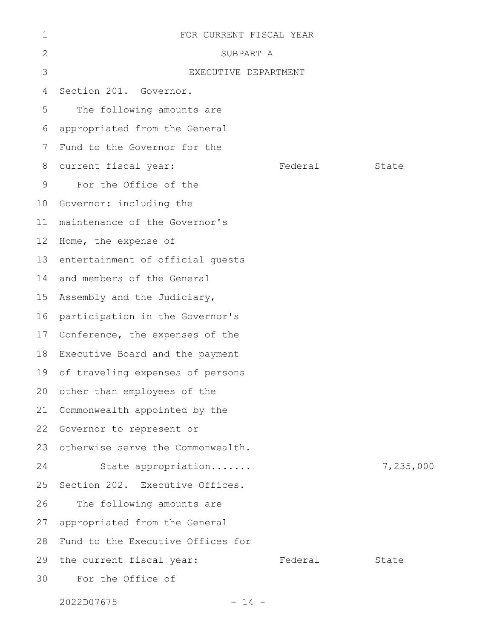| 1               | FOR CURRENT FISCAL YEAR           |         |           |
|-----------------|-----------------------------------|---------|-----------|
| 2               | SUBPART A                         |         |           |
| 3               | EXECUTIVE DEPARTMENT              |         |           |
| 4               | Section 201. Governor.            |         |           |
| 5               | The following amounts are         |         |           |
| 6               | appropriated from the General     |         |           |
| 7               | Fund to the Governor for the      |         |           |
| 8               | current fiscal year:              | Federal | State     |
| 9               | For the Office of the             |         |           |
| 10 <sub>o</sub> | Governor: including the           |         |           |
| 11              | maintenance of the Governor's     |         |           |
| 12 <sup>°</sup> | Home, the expense of              |         |           |
| 13              | entertainment of official quests  |         |           |
| 14              | and members of the General        |         |           |
| 15              | Assembly and the Judiciary,       |         |           |
| 16              | participation in the Governor's   |         |           |
| 17              | Conference, the expenses of the   |         |           |
| 18              | Executive Board and the payment   |         |           |
| 19              | of traveling expenses of persons  |         |           |
|                 | 20 other than employees of the    |         |           |
| 21              | Commonwealth appointed by the     |         |           |
| 22              | Governor to represent or          |         |           |
| 23              | otherwise serve the Commonwealth. |         |           |
| 24              | State appropriation               |         | 7,235,000 |
| 25              | Section 202. Executive Offices.   |         |           |
| 26              | The following amounts are         |         |           |
| 27              | appropriated from the General     |         |           |
| 28              | Fund to the Executive Offices for |         |           |
| 29              | the current fiscal year:          | Federal | State     |
| 30              | For the Office of                 |         |           |
|                 |                                   |         |           |

2022D07675 - 14 -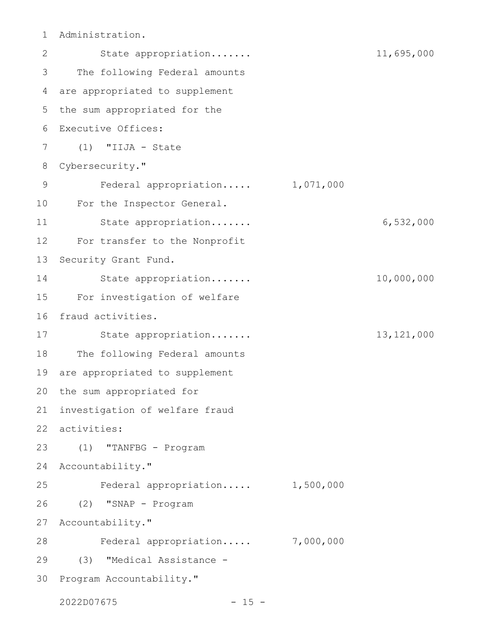Administration. 1

State appropriation....... 11,695,000 The following Federal amounts are appropriated to supplement the sum appropriated for the Executive Offices: (1) "IIJA - State Cybersecurity." Federal appropriation..... 1,071,000 For the Inspector General. State appropriation....... 6,532,000 For transfer to the Nonprofit Security Grant Fund. State appropriation....... 10,000,000 For investigation of welfare fraud activities. State appropriation....... 13,121,000 The following Federal amounts are appropriated to supplement the sum appropriated for investigation of welfare fraud activities: 22 (1) "TANFBG - Program 24 Accountability." Federal appropriation..... 1,500,000 (2) "SNAP - Program Accountability." Federal appropriation..... 7,000,000 (3) "Medical Assistance - 30 Program Accountability." 2 3 4 5 6 7 8 9 10 11 12 13 14 15 16 17 18 19 20 21 23 25 26 27 28 29

2022D07675 - 15 -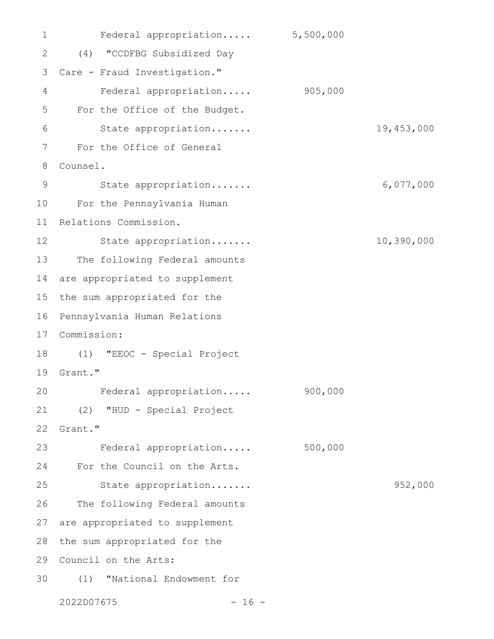Federal appropriation..... 5,500,000 (4) "CCDFBG Subsidized Day 2 Care - Fraud Investigation." 3 Federal appropriation..... 905,000 For the Office of the Budget. State appropriation....... 19,453,000 For the Office of General Counsel. State appropriation....... 6,077,000 For the Pennsylvania Human 10 11 Relations Commission. State appropriation....... 10,390,000 13 The following Federal amounts 14 are appropriated to supplement 15 the sum appropriated for the 16 Pennsylvania Human Relations Commission: 17 (1) "EEOC - Special Project 18 19 Grant." Federal appropriation..... 900,000 (2) "HUD - Special Project 21 Grant." Federal appropriation..... 500,000 For the Council on the Arts. 24 State appropriation....... 952,000 The following Federal amounts are appropriated to supplement 28 the sum appropriated for the 29 Council on the Arts: (1) "National Endowment for 302022D07675 - 16 - 1 4 5 6 7 8 9 12 20 22 23 25 26 27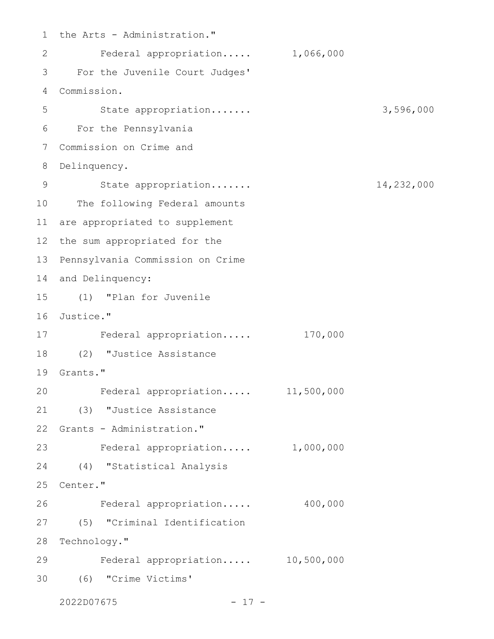1 the Arts - Administration." Federal appropriation..... 1,066,000 For the Juvenile Court Judges' 3 Commission. 4 State appropriation....... 3,596,000 For the Pennsylvania 6 Commission on Crime and 7 8 Delinquency. State appropriation....... 14,232,000 10 The following Federal amounts 11 are appropriated to supplement 12 the sum appropriated for the 13 Pennsylvania Commission on Crime 14 and Delinquency: (1) "Plan for Juvenile 15 16 Justice." Federal appropriation..... 170,000 (2) "Justice Assistance 18 19 Grants." Federal appropriation..... 11,500,000 (3) "Justice Assistance 21 22 Grants - Administration." Federal appropriation..... 1,000,000 23 (4) "Statistical Analysis 24 25 Center." Federal appropriation..... 400,000 (5) "Criminal Identification 27 28 Technology." Federal appropriation..... 10,500,000 (6) "Crime Victims' 302 5 9 17 20 26 29

2022D07675 - 17 -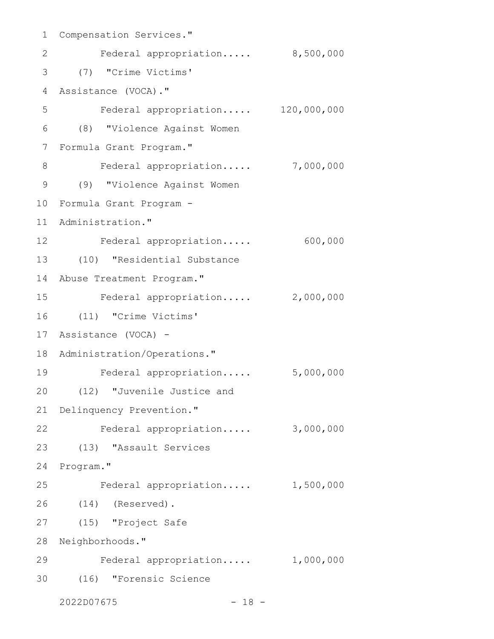1 Compensation Services." Federal appropriation..... 8,500,000 (7) "Crime Victims' 3 Assistance (VOCA)." 4 Federal appropriation..... 120,000,000 (8) "Violence Against Women 6 7 Formula Grant Program." Federal appropriation..... 7,000,000 (9) "Violence Against Women 9 Formula Grant Program - 10 11 Administration." 12 Federal appropriation..... 600,000 (10) "Residential Substance 13 14 Abuse Treatment Program." Federal appropriation..... 2,000,000 (11) "Crime Victims' 16 Assistance (VOCA) - 17 18 Administration/Operations." Federal appropriation..... 5,000,000 19 (12) "Juvenile Justice and 20 21 Delinquency Prevention." Federal appropriation..... 3,000,000 22 (13) "Assault Services 23 24 Program." Federal appropriation..... 1,500,000 (14) (Reserved). 26 (15) "Project Safe 27 28 Neighborhoods." Federal appropriation..... 1,000,000 29 (16) "Forensic Science 302 5 8 15 25

2022D07675 - 18 -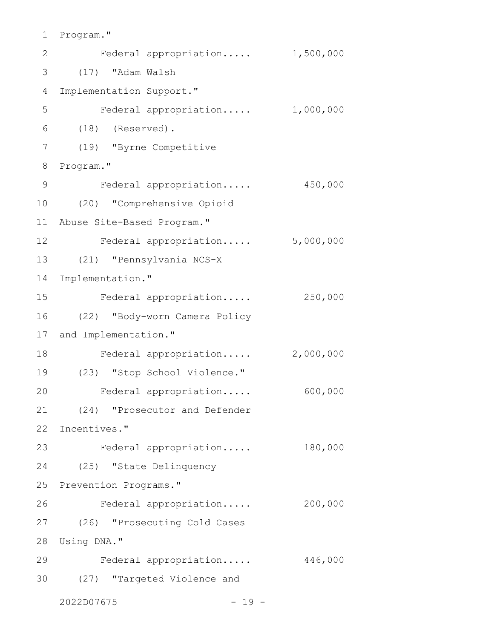1 Program."

| $\mathbf{2}$  | Federal appropriation         | 1,500,000 |
|---------------|-------------------------------|-----------|
| 3             | (17) "Adam Walsh              |           |
| 4             | Implementation Support."      |           |
| 5             | Federal appropriation         | 1,000,000 |
| 6             | $(18)$ (Reserved).            |           |
| 7             | (19) "Byrne Competitive       |           |
| 8             | Program."                     |           |
| $\mathcal{G}$ | Federal appropriation         | 450,000   |
| 10            | (20) "Comprehensive Opioid    |           |
| 11            | Abuse Site-Based Program."    |           |
| 12            | Federal appropriation         | 5,000,000 |
| 13            | (21) "Pennsylvania NCS-X      |           |
| 14            | Implementation."              |           |
| 15            | Federal appropriation         | 250,000   |
| 16            | (22) "Body-worn Camera Policy |           |
| 17            | and Implementation."          |           |
| 18            | Federal appropriation         | 2,000,000 |
| 19            | (23) "Stop School Violence."  |           |
| 20            | Federal appropriation         | 600,000   |
| 21            | (24) "Prosecutor and Defender |           |
| 22            | Incentives."                  |           |
| 23            | Federal appropriation         | 180,000   |
| 24            | (25) "State Delinquency       |           |
| 25            | Prevention Programs."         |           |
| 26            | Federal appropriation         | 200,000   |
| 27            | (26) "Prosecuting Cold Cases  |           |
| 28            | Using DNA."                   |           |
| 29            | Federal appropriation         | 446,000   |
| 30            | (27) "Targeted Violence and   |           |
|               | 2022D07675<br>$-19 -$         |           |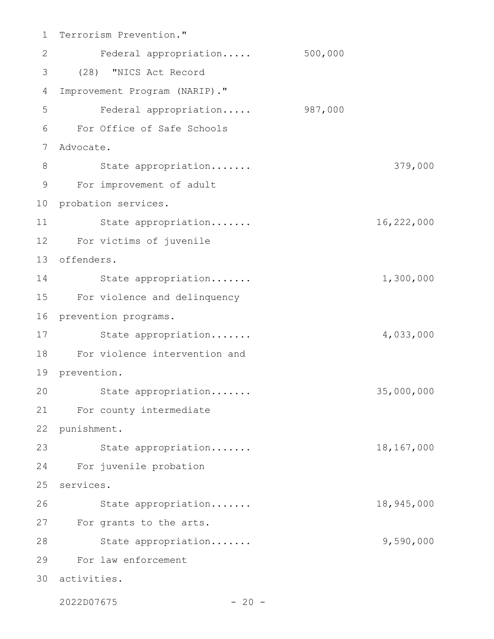1 Terrorism Prevention." Federal appropriation..... 500,000 (28) "NICS Act Record 3 Improvement Program (NARIP)." Federal appropriation..... 987,000 For Office of Safe Schools 6 Advocate. 7 State appropriation....... 379,000 For improvement of adult 9 10 probation services. State appropriation....... 16,222,000 For victims of juvenile 12 offenders. 13 State appropriation....... 1,300,000 For violence and delinquency 15 16 prevention programs. State appropriation....... 4,033,000 For violence intervention and 18 19 prevention. State appropriation....... 35,000,000 For county intermediate 21 22 punishment. 23 State appropriation....... 18,167,000 For juvenile probation 24 25 services. State appropriation....... 18,945,000 27 For grants to the arts. 28 State appropriation....... 9,590,000 For law enforcement 29 activities. 302 4 5 8 11 14 17 20 26

2022D07675 - 20 -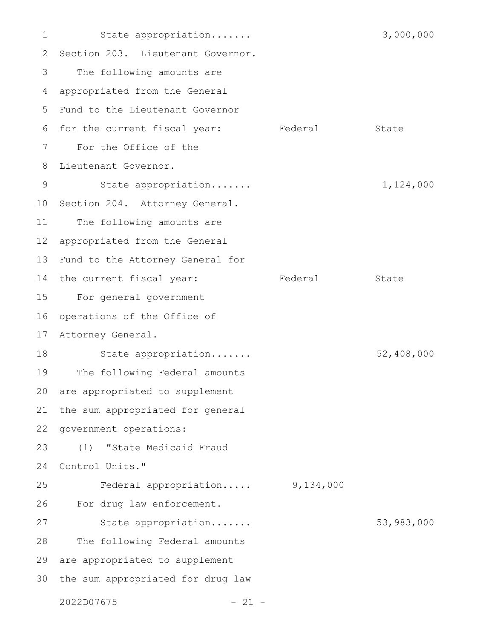State appropriation....... 3,000,000 2 Section 203. Lieutenant Governor. The following amounts are appropriated from the General 5 Fund to the Lieutenant Governor 6 for the current fiscal year: Federal State For the Office of the Lieutenant Governor. State appropriation....... 1,124,000 10 Section 204. Attorney General. The following amounts are appropriated from the General Fund to the Attorney General for 14 the current fiscal year: Tederal State For general government operations of the Office of Attorney General. State appropriation....... 52,408,000 The following Federal amounts are appropriated to supplement the sum appropriated for general government operations: (1) "State Medicaid Fraud 24 Control Units." Federal appropriation..... 9,134,000 For drug law enforcement. State appropriation....... 53,983,000 The following Federal amounts 29 are appropriated to supplement 30 the sum appropriated for drug law  $2022D07675$  - 21 -1 3 4 7 8 9 11 12 13 15 16 17 18 19 20 21 22 23 25 26 27 28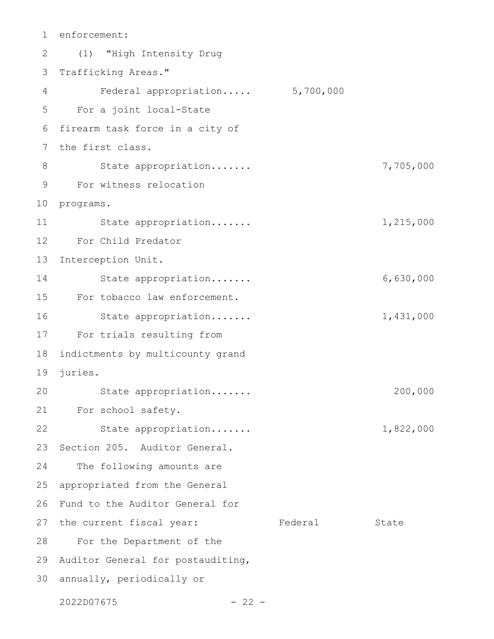enforcement: (1) "High Intensity Drug 2 3 Trafficking Areas." Federal appropriation..... 5,700,000 5 For a joint local-State 6 firearm task force in a city of 7 the first class. State appropriation....... 7,705,000 For witness relocation 9 10 programs. State appropriation....... 1,215,000 For Child Predator Interception Unit. 13 State appropriation....... 6,630,000 For tobacco law enforcement. State appropriation....... 1,431,000 For trials resulting from 17 indictments by multicounty grand 19 juries. State appropriation....... 200,000 21 For school safety. State appropriation....... 1,822,000 Section 205. Auditor General. The following amounts are appropriated from the General Fund to the Auditor General for 27 the current fiscal year: Tederal State 28 For the Department of the 29 Auditor General for postauditing, 30 annually, periodically or  $2022D07675$  - 22 -1 4 8 11 12 14 15 16 18 20 22 23 24 25 26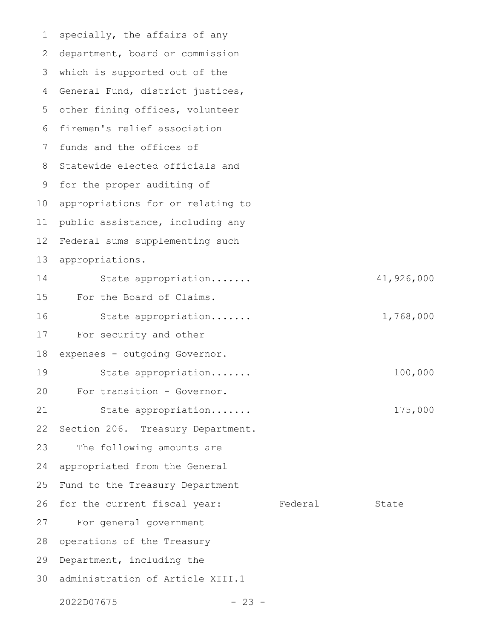specially, the affairs of any department, board or commission which is supported out of the General Fund, district justices, other fining offices, volunteer firemen's relief association funds and the offices of Statewide elected officials and for the proper auditing of appropriations for or relating to public assistance, including any Federal sums supplementing such appropriations. State appropriation....... 41,926,000 For the Board of Claims. State appropriation....... 1,768,000 For security and other expenses - outgoing Governor. State appropriation....... 100,000 For transition - Governor. State appropriation....... 175,000 Section 206. Treasury Department. The following amounts are appropriated from the General Fund to the Treasury Department for the current fiscal year: Federal State For general government operations of the Treasury Department, including the administration of Article XIII.1 1 2 3 4 5 6 7 8 9 10 11 12 13 14 15 16 17 18 19 20 21 22 23 24 25 26 27 28 29 30

 $2022D07675$  - 23 -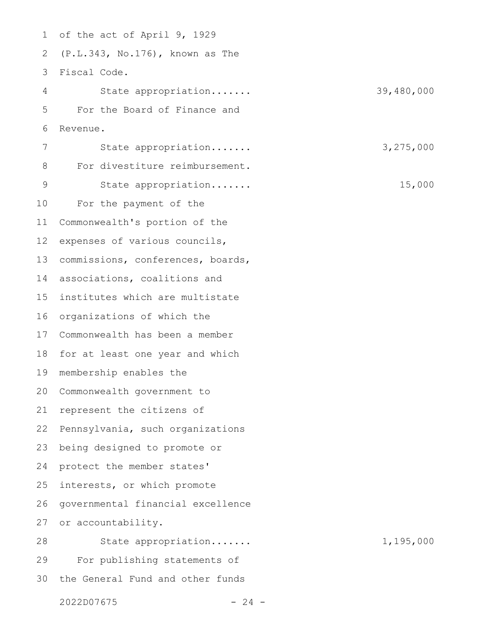of the act of April 9, 1929 (P.L.343, No.176), known as The Fiscal Code. 3 State appropriation....... 39,480,000 For the Board of Finance and Revenue. State appropriation....... 3,275,000 For divestiture reimbursement. State appropriation....... 15,000 For the payment of the Commonwealth's portion of the expenses of various councils, commissions, conferences, boards, associations, coalitions and institutes which are multistate organizations of which the Commonwealth has been a member for at least one year and which membership enables the Commonwealth government to represent the citizens of Pennsylvania, such organizations being designed to promote or protect the member states' interests, or which promote governmental financial excellence or accountability. State appropriation....... 1,195,000 For publishing statements of the General Fund and other funds 1 2 4 5 6 7 8 9 10 11 12 13 14 15 16 17 18 19 20 21 22 23 24 25 26 27 28 29 30

 $2022D07675$  - 24 -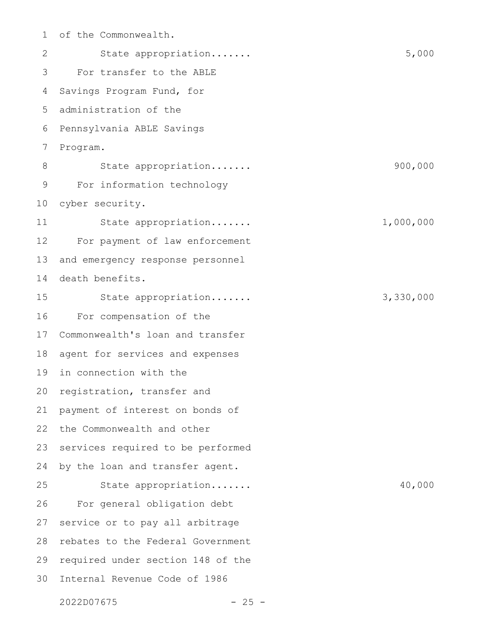of the Commonwealth. State appropriation....... 5,000 For transfer to the ABLE Savings Program Fund, for administration of the Pennsylvania ABLE Savings Program. State appropriation....... 900,000 For information technology cyber security. State appropriation....... 1,000,000 For payment of law enforcement and emergency response personnel death benefits. State appropriation....... 3,330,000 For compensation of the Commonwealth's loan and transfer agent for services and expenses in connection with the registration, transfer and payment of interest on bonds of the Commonwealth and other services required to be performed by the loan and transfer agent. State appropriation....... 40,000 For general obligation debt service or to pay all arbitrage rebates to the Federal Government required under section 148 of the Internal Revenue Code of 1986 1 2 3 4 5 6 7 8 9 10 11 12 13 14 15 16 17 18 19 20 21 22 23 24 25 26 27 28 29 30

2022D07675 - 25 -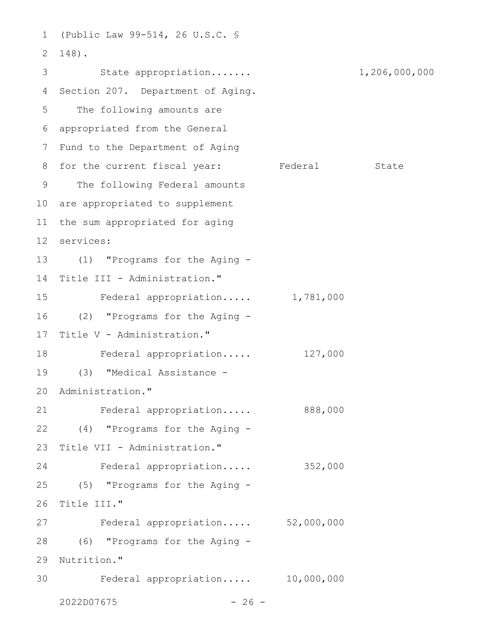(Public Law 99-514, 26 U.S.C. § 1 148). 2 3 State appropriation...... 1,206,000,000 Section 207. Department of Aging. 5 The following amounts are appropriated from the General 6 7 Fund to the Department of Aging 8 for the current fiscal year: Federal State 9 The following Federal amounts 10 are appropriated to supplement 11 the sum appropriated for aging services: 12 (1) "Programs for the Aging - 13 14 Title III - Administration." Federal appropriation..... 1,781,000 (2) "Programs for the Aging - 16 Title V - Administration." Federal appropriation..... 127,000 (3) "Medical Assistance - 19 20 Administration." Federal appropriation..... 888,000 (4) "Programs for the Aging - 22 Title VII - Administration." Federal appropriation..... 352,000 (5) "Programs for the Aging - Title III." Federal appropriation..... 52,000,000 (6) "Programs for the Aging - 28 29 Nutrition." Federal appropriation..... 10,000,000 4 15 17 18 21 23 24 25 26 27 30

 $2022D07675$  - 26 -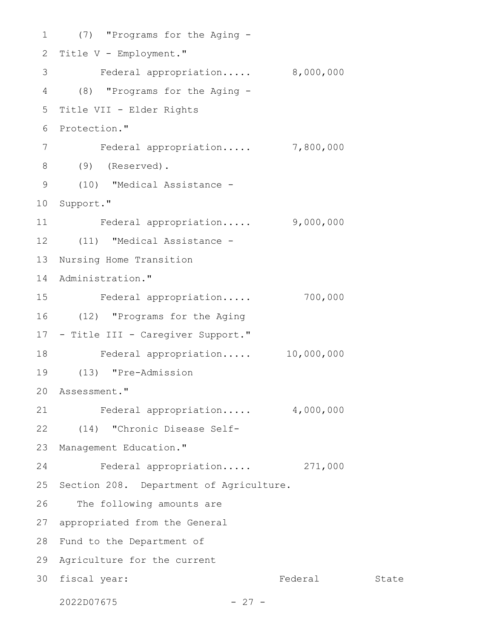(7) "Programs for the Aging - 1 2 Title V - Employment." Federal appropriation..... 8,000,000 (8) "Programs for the Aging - 4 5 Title VII - Elder Rights 6 Protection." Federal appropriation..... 7,800,000 (9) (Reserved). 8 (10) "Medical Assistance - 9 10 Support." Federal appropriation..... 9,000,000 (11) "Medical Assistance - 12 13 Nursing Home Transition 14 Administration." Federal appropriation..... 700,000 (12) "Programs for the Aging 16 17 - Title III - Caregiver Support." Federal appropriation..... 10,000,000 (13) "Pre-Admission 19 Assessment." 20 Federal appropriation..... 4,000,000 (14) "Chronic Disease Self-22 Management Education." Federal appropriation..... 271,000 25 Section 208. Department of Agriculture. 26 The following amounts are 27 appropriated from the General 28 Fund to the Department of 29 Agriculture for the current Federal State 3 7 11 15 18 21 23 24 30 fiscal year:

 $2022D07675$  - 27 -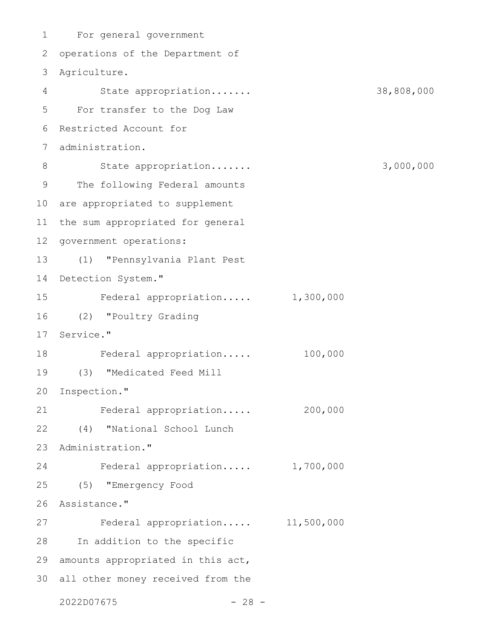For general government 1 2 operations of the Department of Agriculture. 3 State appropriation....... 38,808,000 For transfer to the Dog Law 5 Restricted Account for 6 administration. 7 State appropriation....... 3,000,000 9 The following Federal amounts 10 are appropriated to supplement 11 the sum appropriated for general 12 government operations: (1) "Pennsylvania Plant Pest 13 14 Detection System." Federal appropriation..... 1,300,000 (2) "Poultry Grading 16 17 Service." 18 Federal appropriation..... 100,000 (3) "Medicated Feed Mill 19 20 Inspection." Federal appropriation..... 200,000 (4) "National School Lunch 22 23 Administration." Federal appropriation..... 1,700,000 (5) "Emergency Food 25 26 Assistance." Federal appropriation..... 11,500,000 28 In addition to the specific 29 amounts appropriated in this act, all other money received from the 30 $2022D07675$  - 28 -4 8 15 21 24 27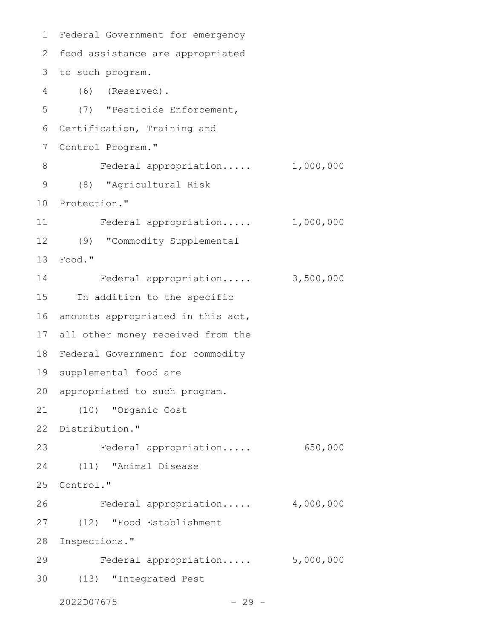Federal Government for emergency 1 2 food assistance are appropriated to such program. 3 (6) (Reserved). 4 (7) "Pesticide Enforcement, 6 Certification, Training and 7 Control Program." Federal appropriation..... 1,000,000 (8) "Agricultural Risk 9 10 Protection." Federal appropriation..... 1,000,000 (9) "Commodity Supplemental 12 Food." 13 Federal appropriation..... 3,500,000 15 In addition to the specific 16 amounts appropriated in this act, all other money received from the 17 18 Federal Government for commodity 19 supplemental food are 20 appropriated to such program. (10) "Organic Cost 21 22 Distribution." Federal appropriation..... 650,000 (11) "Animal Disease 25 Control." Federal appropriation..... 4,000,000 (12) "Food Establishment 28 Inspections." Federal appropriation..... 5,000,000 (13) "Integrated Pest  $2022D07675$  - 29 -5 8 11 14 23 24 26 27 29 30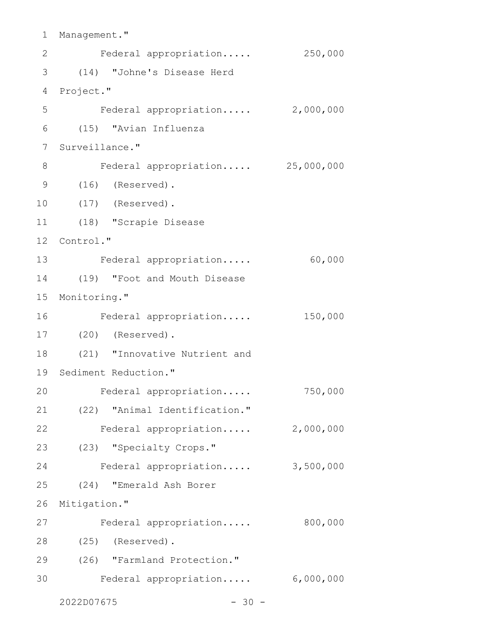```
1 Management."
    Federal appropriation..... 250,000
(14) "Johne's Disease Herd
3
4 Project."
    Federal appropriation..... 2,000,000
(15) "Avian Influenza
6
7 Surveillance."
     Federal appropriation..... 25,000,000
(16) (Reserved).
9
    (17) (Reserved).
(18) "Scrapie Disease
11
12 Control."
13 Federal appropriation..... 60,000
(19) "Foot and Mouth Disease
14
15 Monitoring."
     Federal appropriation..... 150,000
(20) (Reserved).
17
(21) "Innovative Nutrient and
18
19 Sediment Reduction."
     Federal appropriation..... 750,000
   (22) "Animal Identification."
22 Federal appropriation..... 2,000,000
(23) "Specialty Crops."
23
   Federal appropriation..... 3,500,000
    (24) "Emerald Ash Borer
26 Mitigation."
   Federal appropriation..... 800,000
(25) (Reserved).
28
(26) "Farmland Protection."
29
    Federal appropriation..... 6,000,000
2
5
8
10
16
20
21
24
25
27
30
```
 $2022D07675$  - 30 -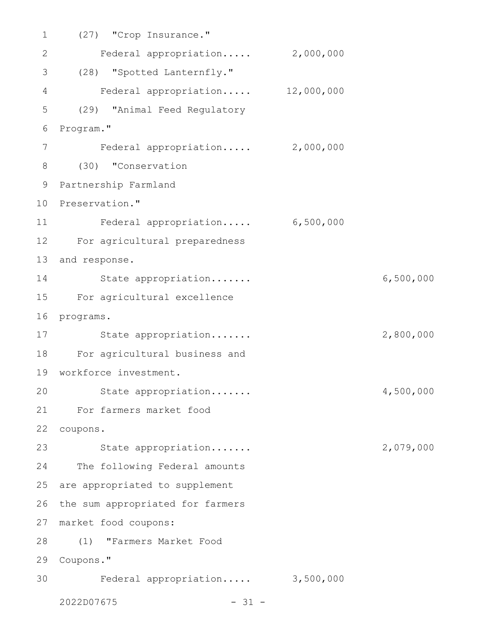| $\mathbf 1$  | (27) "Crop Insurance."           |           |           |
|--------------|----------------------------------|-----------|-----------|
| $\mathbf{2}$ | Federal appropriation 2,000,000  |           |           |
| 3            | (28) "Spotted Lanternfly."       |           |           |
| 4            | Federal appropriation 12,000,000 |           |           |
| 5            | (29) "Animal Feed Regulatory     |           |           |
| 6            | Program."                        |           |           |
| 7            | Federal appropriation 2,000,000  |           |           |
| 8            | (30) "Conservation               |           |           |
| 9            | Partnership Farmland             |           |           |
| 10           | Preservation."                   |           |           |
| 11           | Federal appropriation            | 6,500,000 |           |
| 12           | For agricultural preparedness    |           |           |
| 13           | and response.                    |           |           |
| 14           | State appropriation              |           | 6,500,000 |
| 15           | For agricultural excellence      |           |           |
| 16           | programs.                        |           |           |
| 17           | State appropriation              |           | 2,800,000 |
| 18           | For agricultural business and    |           |           |
| 19           | workforce investment.            |           |           |
| 20           | State appropriation              |           | 4,500,000 |
| 21           | For farmers market food          |           |           |
| 22           | coupons.                         |           |           |
| 23           | State appropriation              |           | 2,079,000 |
| 24           | The following Federal amounts    |           |           |
| 25           | are appropriated to supplement   |           |           |
| 26           | the sum appropriated for farmers |           |           |
| 27           | market food coupons:             |           |           |
| 28           | (1)<br>"Farmers Market Food      |           |           |
| 29           | Coupons."                        |           |           |
| 30           | Federal appropriation 3,500,000  |           |           |
|              | 2022D07675<br>$-31 -$            |           |           |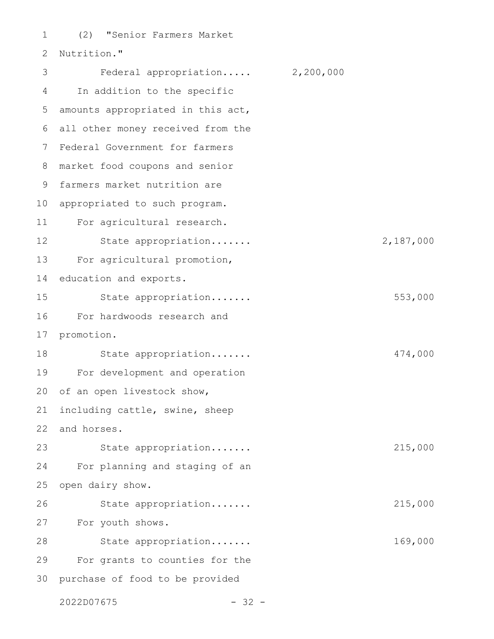(2) "Senior Farmers Market Nutrition." Federal appropriation..... 2,200,000 In addition to the specific amounts appropriated in this act, all other money received from the 6 7 Federal Government for farmers market food coupons and senior farmers market nutrition are 10 appropriated to such program. For agricultural research. State appropriation....... 2,187,000 For agricultural promotion, education and exports. State appropriation....... 553,000 For hardwoods research and promotion. State appropriation....... 474,000 For development and operation of an open livestock show, including cattle, swine, sheep and horses. State appropriation....... 215,000 For planning and staging of an open dairy show. State appropriation....... 215,000 For youth shows. State appropriation....... 169,000 For grants to counties for the 30 purchase of food to be provided 1  $\mathcal{P}$ 3 4 5 8 9 11 12 13 14 15 16 17 18 19 20 21 22 23 24 25 26 27 28 29

 $2022D07675$  - 32 -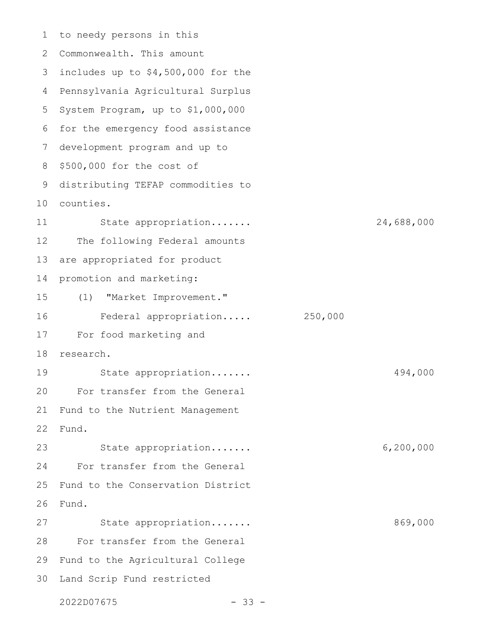1 to needy persons in this 2 Commonwealth. This amount 3 includes up to \$4,500,000 for the Pennsylvania Agricultural Surplus 4 5 System Program, up to \$1,000,000 6 for the emergency food assistance development program and up to \$500,000 for the cost of distributing TEFAP commodities to counties. 10 State appropriation....... 24,688,000 The following Federal amounts are appropriated for product promotion and marketing: (1) "Market Improvement." Federal appropriation..... 250,000 For food marketing and research. State appropriation....... 494,000 For transfer from the General Fund to the Nutrient Management Fund. State appropriation....... 6,200,000 For transfer from the General Fund to the Conservation District Fund. State appropriation....... 869,000 For transfer from the General 29 Fund to the Agricultural College 30 Land Scrip Fund restricted 7 8 9 11 12 13 14 15 16 17 18 19 20 21 22 23 24 25 26 27 28

 $2022D07675$  - 33 -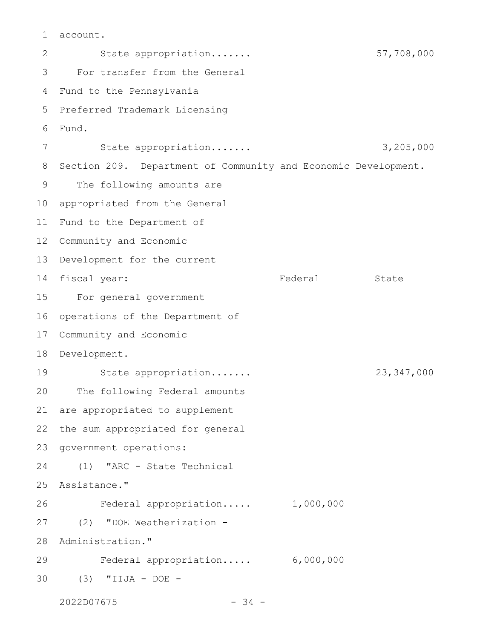account. 1

State appropriation....... 57,708,000 For transfer from the General 4 Fund to the Pennsylvania Preferred Trademark Licensing Fund. State appropriation....... 3,205,000 Section 209. Department of Community and Economic Development. The following amounts are appropriated from the General Fund to the Department of 12 Community and Economic 13 Development for the current 14 fiscal year: Tederal State For general government operations of the Department of Community and Economic 18 Development. State appropriation....... 23,347,000 The following Federal amounts are appropriated to supplement the sum appropriated for general government operations: (1) "ARC - State Technical Assistance." Federal appropriation..... 1,000,000 (2) "DOE Weatherization - Administration." Federal appropriation..... 6,000,000 (3) "IIJA - DOE -  $2022D07675$  - 34 -2 3 5  $6 \overline{6}$ 7 8 9 10 11 15 16 17 19 20 21 22 23 24 25 26 27 28 29 30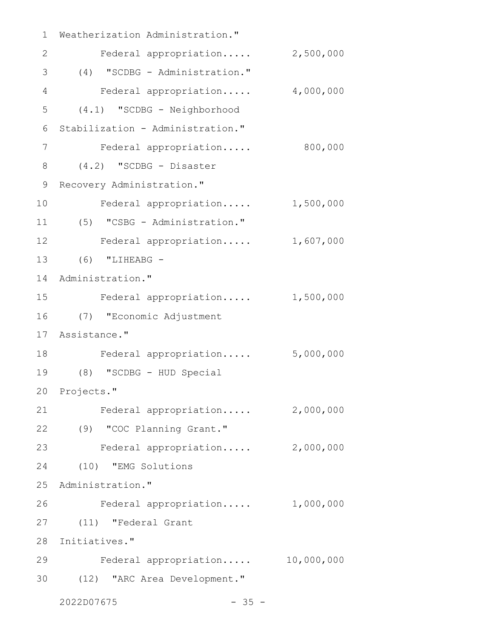| $\mathbf 1$    | Weatherization Administration."  |           |
|----------------|----------------------------------|-----------|
| 2              | Federal appropriation            | 2,500,000 |
| 3              | (4) "SCDBG - Administration."    |           |
| $\overline{4}$ | Federal appropriation            | 4,000,000 |
| 5              | (4.1) "SCDBG - Neighborhood      |           |
| 6              | Stabilization - Administration." |           |
| 7              | Federal appropriation            | 800,000   |
| 8              | $(4.2)$ "SCDBG - Disaster        |           |
| $\mathsf 9$    | Recovery Administration."        |           |
| 10             | Federal appropriation            | 1,500,000 |
| 11             | (5) "CSBG - Administration."     |           |
| 12             | Federal appropriation            | 1,607,000 |
| 13             | $(6)$ "LIHEABG -                 |           |
| 14             | Administration."                 |           |
| 15             | Federal appropriation            | 1,500,000 |
| 16             | (7) "Economic Adjustment         |           |
| 17             | Assistance."                     |           |
| 18             | Federal appropriation            | 5,000,000 |
| 19             | (8) "SCDBG - HUD Special         |           |
|                | 20 Projects."                    |           |
| 21             | Federal appropriation            | 2,000,000 |
| 22             | (9) "COC Planning Grant."        |           |
| 23             | Federal appropriation 2,000,000  |           |
| 24             | (10) "EMG Solutions              |           |
| 25             | Administration."                 |           |
| 26             | Federal appropriation 1,000,000  |           |
| 27             | (11) "Federal Grant              |           |
| 28             | Initiatives."                    |           |
| 29             | Federal appropriation 10,000,000 |           |
| 30             | (12) "ARC Area Development."     |           |
|                | 2022D07675<br>$-35 -$            |           |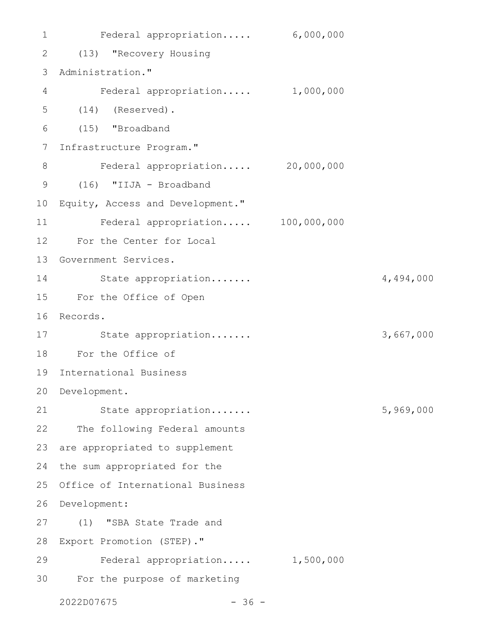Federal appropriation..... 6,000,000 (13) "Recovery Housing 2 3 Administration." Federal appropriation..... 1,000,000 (14) (Reserved). (15) "Broadband Infrastructure Program." Federal appropriation..... 20,000,000 (16) "IIJA - Broadband 10 Equity, Access and Development." Federal appropriation..... 100,000,000 12 For the Center for Local 13 Government Services. State appropriation....... 4,494,000 For the Office of Open 15 16 Records. State appropriation....... 3,667,000 For the Office of 18 International Business 19 20 Development. State appropriation....... 5,969,000 22 The following Federal amounts 23 are appropriated to supplement 24 the sum appropriated for the 25 Office of International Business 26 Development: (1) "SBA State Trade and 27 Export Promotion (STEP)." 28 Federal appropriation..... 1,500,000 29 For the purpose of marketing 301 4 5 6 7 8 9 11 14 17 21

 $2022D07675$  - 36 -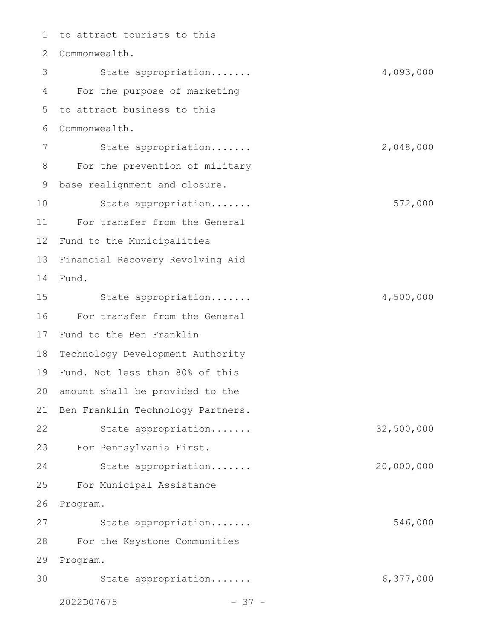to attract tourists to this 2 Commonwealth. State appropriation....... 4,093,000 For the purpose of marketing to attract business to this Commonwealth. State appropriation....... 2,048,000 For the prevention of military base realignment and closure. State appropriation....... 572,000 For transfer from the General Fund to the Municipalities Financial Recovery Revolving Aid Fund. State appropriation....... 4,500,000 For transfer from the General Fund to the Ben Franklin Technology Development Authority Fund. Not less than 80% of this 19 20 amount shall be provided to the 21 Ben Franklin Technology Partners. State appropriation....... 32,500,000 For Pennsylvania First. 23 State appropriation....... 20,000,000 For Municipal Assistance Program. State appropriation....... 546,000 For the Keystone Communities 29 Program. State appropriation....... 6,377,000  $2022D07675$  - 37 -1 3 4 5 6 7 8 9 10 11 12 13 14 15 16 17 18 22 24 25 26 27 28 30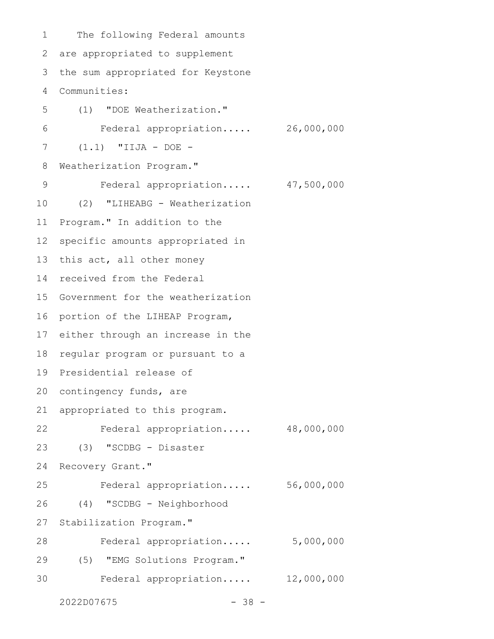The following Federal amounts are appropriated to supplement the sum appropriated for Keystone Communities: (1) "DOE Weatherization." Federal appropriation..... 26,000,000 (1.1) "IIJA - DOE - Weatherization Program." Federal appropriation..... 47,500,000 (2) "LIHEABG - Weatherization Program." In addition to the specific amounts appropriated in this act, all other money received from the Federal Government for the weatherization portion of the LIHEAP Program, either through an increase in the regular program or pursuant to a Presidential release of 20 contingency funds, are appropriated to this program. Federal appropriation..... 48,000,000 (3) "SCDBG - Disaster Recovery Grant." Federal appropriation..... 56,000,000 (4) "SCDBG - Neighborhood Stabilization Program." Federal appropriation..... 5,000,000 (5) "EMG Solutions Program." Federal appropriation..... 12,000,000 1 2 3 4 5 6 7 8 9 10 11 12 13 14 15 16 17 18 19 21 22 23 24 25 26 27 28 29 30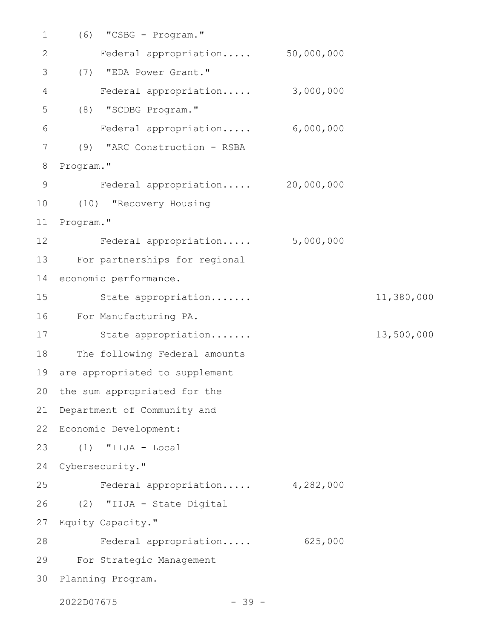| $\mathbf 1$     | "CSBG - Program."<br>(6)        |            |            |
|-----------------|---------------------------------|------------|------------|
| 2               | Federal appropriation           | 50,000,000 |            |
| 3               | "EDA Power Grant."<br>(7)       |            |            |
| 4               | Federal appropriation           | 3,000,000  |            |
| 5               | "SCDBG Program."<br>(8)         |            |            |
| 6               | Federal appropriation           | 6,000,000  |            |
| 7               | "ARC Construction - RSBA<br>(9) |            |            |
| 8               | Program."                       |            |            |
| $\mathcal{G}$   | Federal appropriation           | 20,000,000 |            |
| 10              | (10) "Recovery Housing          |            |            |
| 11              | Program."                       |            |            |
| 12 <sup>°</sup> | Federal appropriation           | 5,000,000  |            |
| 13              | For partnerships for regional   |            |            |
| 14              | economic performance.           |            |            |
| 15              | State appropriation             |            | 11,380,000 |
| 16              | For Manufacturing PA.           |            |            |
| 17              | State appropriation             |            | 13,500,000 |
| 18              | The following Federal amounts   |            |            |
| 19              | are appropriated to supplement  |            |            |
|                 | 20 the sum appropriated for the |            |            |
| 21              | Department of Community and     |            |            |
| 22              | Economic Development:           |            |            |
| 23              | $(1)$ "IIJA - Local             |            |            |
| 24              | Cybersecurity."                 |            |            |
| 25              | Federal appropriation           | 4,282,000  |            |
| 26              | (2) "IIJA - State Digital       |            |            |
| 27              | Equity Capacity."               |            |            |
| 28              | Federal appropriation           | 625,000    |            |
| 29              | For Strategic Management        |            |            |
| 30              | Planning Program.               |            |            |
|                 |                                 |            |            |

2022D07675 - 39 -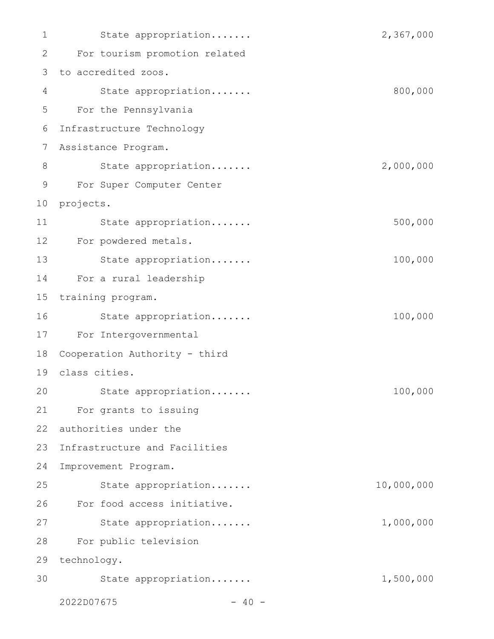| 1  | State appropriation           | 2,367,000  |
|----|-------------------------------|------------|
| 2  | For tourism promotion related |            |
| 3  | to accredited zoos.           |            |
| 4  | State appropriation           | 800,000    |
| 5  | For the Pennsylvania          |            |
| 6  | Infrastructure Technology     |            |
| 7  | Assistance Program.           |            |
| 8  | State appropriation           | 2,000,000  |
| 9  | For Super Computer Center     |            |
| 10 | projects.                     |            |
| 11 | State appropriation           | 500,000    |
| 12 | For powdered metals.          |            |
| 13 | State appropriation           | 100,000    |
| 14 | For a rural leadership        |            |
| 15 | training program.             |            |
| 16 | State appropriation           | 100,000    |
| 17 | For Intergovernmental         |            |
| 18 | Cooperation Authority - third |            |
| 19 | class cities.                 |            |
| 20 | State appropriation           | 100,000    |
| 21 | For grants to issuing         |            |
| 22 | authorities under the         |            |
| 23 | Infrastructure and Facilities |            |
| 24 | Improvement Program.          |            |
| 25 | State appropriation           | 10,000,000 |
| 26 | For food access initiative.   |            |
| 27 | State appropriation           | 1,000,000  |
| 28 | For public television         |            |
| 29 | technology.                   |            |
| 30 | State appropriation           | 1,500,000  |
|    | 2022D07675<br>$-40 -$         |            |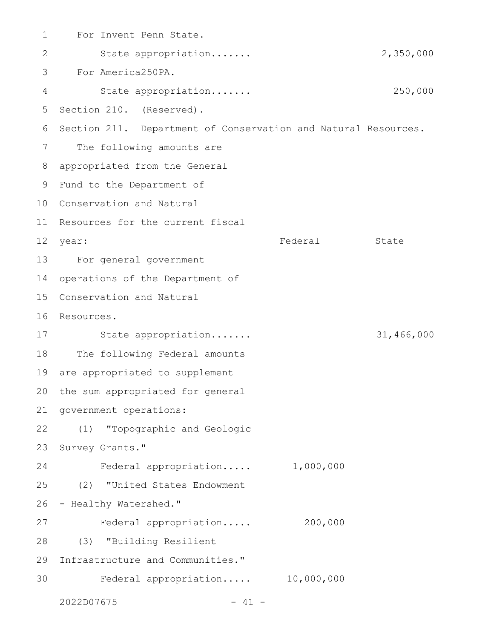| $\mathbf 1$     | For Invent Penn State.                                         |           |            |
|-----------------|----------------------------------------------------------------|-----------|------------|
| 2               | State appropriation                                            |           | 2,350,000  |
| 3               | For America250PA.                                              |           |            |
| 4               | State appropriation                                            |           | 250,000    |
| 5               | Section 210. (Reserved).                                       |           |            |
| 6               | Section 211. Department of Conservation and Natural Resources. |           |            |
| 7               | The following amounts are                                      |           |            |
| 8               | appropriated from the General                                  |           |            |
| 9               | Fund to the Department of                                      |           |            |
| 10              | Conservation and Natural                                       |           |            |
| 11              | Resources for the current fiscal                               |           |            |
| 12 <sup>°</sup> | year:                                                          | Federal   | State      |
| 13              | For general government                                         |           |            |
| 14              | operations of the Department of                                |           |            |
| 15              | Conservation and Natural                                       |           |            |
| 16              | Resources.                                                     |           |            |
| 17              | State appropriation                                            |           | 31,466,000 |
| 18              | The following Federal amounts                                  |           |            |
| 19              | are appropriated to supplement                                 |           |            |
| 20              | the sum appropriated for general                               |           |            |
| 21              | government operations:                                         |           |            |
| 22              | (1) "Topographic and Geologic                                  |           |            |
| 23              | Survey Grants."                                                |           |            |
| 24              | Federal appropriation                                          | 1,000,000 |            |
| 25              | (2) "United States Endowment                                   |           |            |
| 26              | - Healthy Watershed."                                          |           |            |
| 27              | Federal appropriation                                          | 200,000   |            |
| 28              | (3) "Building Resilient                                        |           |            |
| 29              | Infrastructure and Communities."                               |           |            |
| 30              | Federal appropriation 10,000,000                               |           |            |
|                 | 2022D07675                                                     |           |            |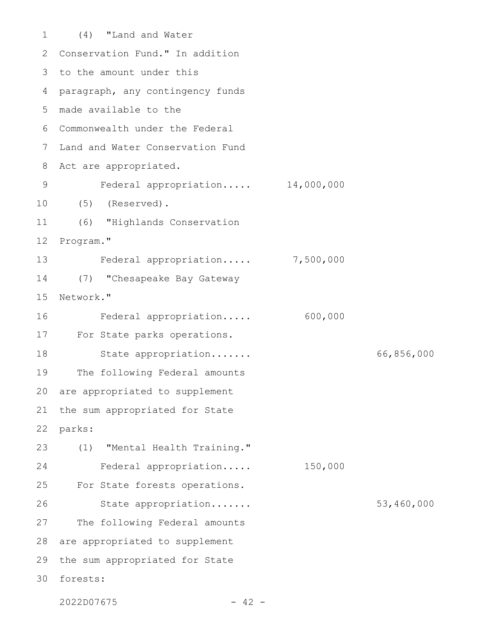(4) "Land and Water 2 Conservation Fund." In addition 3 to the amount under this 4 paragraph, any contingency funds made available to the 5 Commonwealth under the Federal 6 Land and Water Conservation Fund Act are appropriated. Federal appropriation..... 14,000,000 (5) (Reserved). (6) "Highlands Conservation Program." Federal appropriation..... 7,500,000 (7) "Chesapeake Bay Gateway Network." Federal appropriation..... 600,000 For State parks operations. State appropriation....... 66,856,000 The following Federal amounts are appropriated to supplement the sum appropriated for State parks: (1) "Mental Health Training." Federal appropriation..... 150,000 For State forests operations. State appropriation....... 53,460,000 The following Federal amounts are appropriated to supplement the sum appropriated for State forests: 301 7 8 9 10 11 12 13 14 15 16 17 18 19 20 21 22 23 24 25 26 27 28 29

 $2022D07675$  - 42 -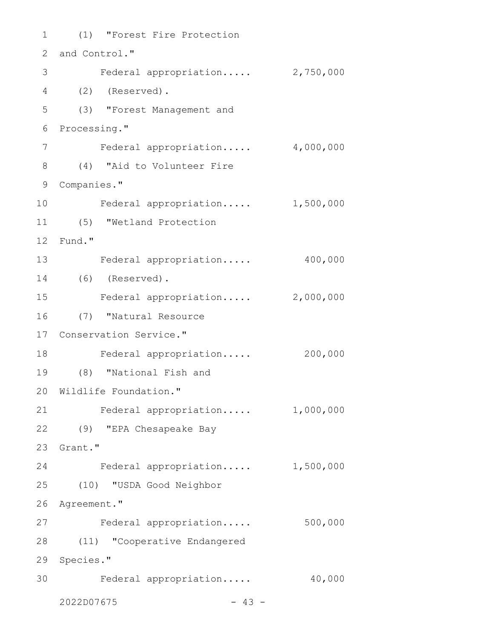(1) "Forest Fire Protection 1 2 and Control." 3 Federal appropriation..... 2,750,000 (2) (Reserved). 4 (3) "Forest Management and 6 Processing." Federal appropriation..... 4,000,000 (4) "Aid to Volunteer Fire 8 9 Companies." Federal appropriation..... 1,500,000 (5) "Wetland Protection 11 Fund." 12 13 Federal appropriation..... 400,000 (6) (Reserved). 14 Federal appropriation..... 2,000,000 (7) "Natural Resource 16 17 Conservation Service." 18 Federal appropriation..... 200,000 (8) "National Fish and 19 20 Wildlife Foundation." Federal appropriation..... 1,000,000 (9) "EPA Chesapeake Bay 22 23 Grant." Federal appropriation..... 1,500,000 (10) "USDA Good Neighbor 25 26 Agreement." 27 Federal appropriation..... 500,000 (11) "Cooperative Endangered 28 29 Species." 30 Federal appropriation..... 40,000  $2022D07675$  - 43 -5 7 10 15 21 24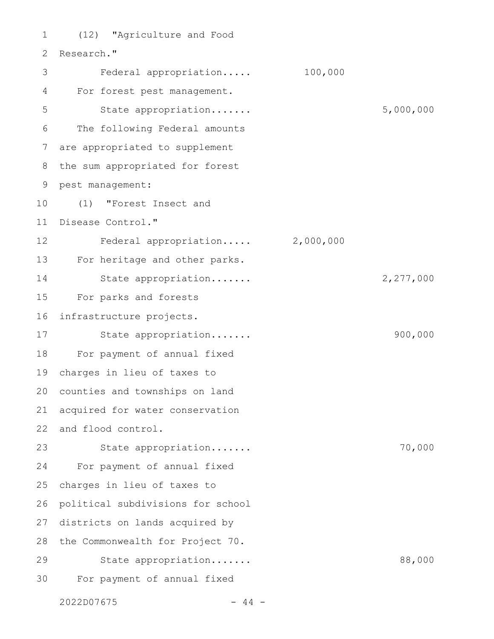(12) "Agriculture and Food Research." Federal appropriation..... 100,000 For forest pest management. State appropriation....... 5,000,000 The following Federal amounts are appropriated to supplement the sum appropriated for forest pest management: (1) "Forest Insect and Disease Control." Federal appropriation..... 2,000,000 For heritage and other parks. State appropriation....... 2,277,000 For parks and forests infrastructure projects. State appropriation....... 900,000 For payment of annual fixed charges in lieu of taxes to counties and townships on land acquired for water conservation 22 and flood control. State appropriation....... 70,000 For payment of annual fixed charges in lieu of taxes to political subdivisions for school districts on lands acquired by 28 the Commonwealth for Project 70. State appropriation....... 88,000 For payment of annual fixed 1 2 3 4 5 6 7 8 9 10 11 12 13 14 15 16 17 18 19 20 21 23 24 25 26 27 29 30

 $2022D07675$  - 44 -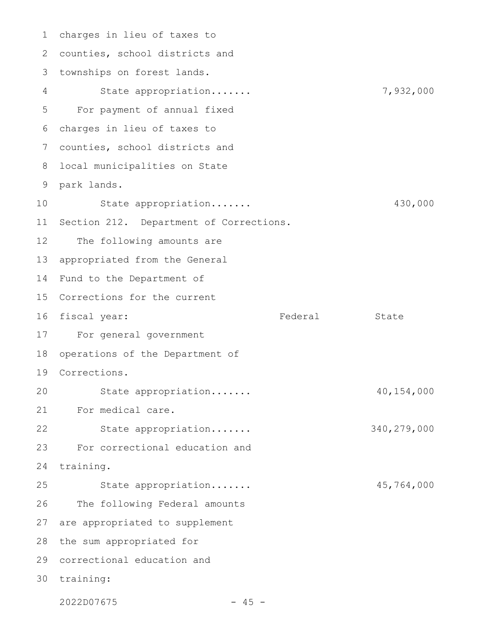charges in lieu of taxes to 1 2 counties, school districts and townships on forest lands. 3 State appropriation....... 7,932,000 For payment of annual fixed charges in lieu of taxes to 6 7 counties, school districts and local municipalities on State park lands. 9 State appropriation....... 430,000 11 Section 212. Department of Corrections. The following amounts are appropriated from the General 14 Fund to the Department of 15 Corrections for the current 16 fiscal year: Tederal State For general government 18 operations of the Department of Corrections. 19 State appropriation....... 40,154,000 For medical care. State appropriation....... 340,279,000 For correctional education and training. State appropriation....... 45,764,000 The following Federal amounts 27 are appropriated to supplement 28 the sum appropriated for 29 correctional education and 30 training: 4 5 8 10 12 13 17 20 21 22 23 24 25 26

2022D07675 - 45 -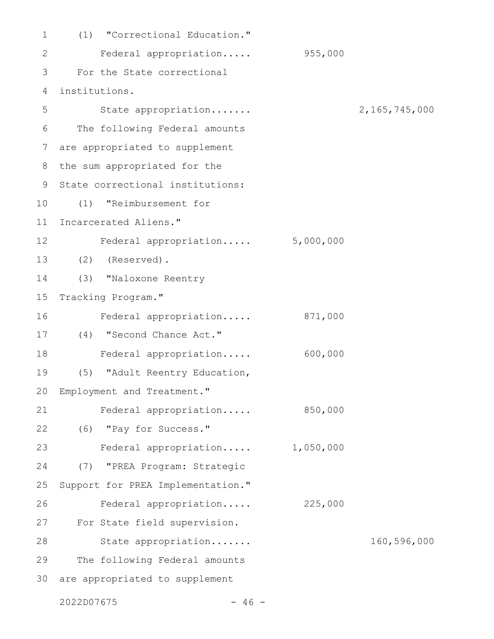| $\mathbf 1$ | (1) "Correctional Education."     |           |               |
|-------------|-----------------------------------|-----------|---------------|
| 2           | Federal appropriation             | 955,000   |               |
| 3           | For the State correctional        |           |               |
| 4           | institutions.                     |           |               |
| 5           | State appropriation               |           | 2,165,745,000 |
| 6           | The following Federal amounts     |           |               |
| 7           | are appropriated to supplement    |           |               |
| 8           | the sum appropriated for the      |           |               |
| 9           | State correctional institutions:  |           |               |
| 10          | "Reimbursement for<br>(1)         |           |               |
| 11          | Incarcerated Aliens."             |           |               |
| 12          | Federal appropriation 5,000,000   |           |               |
| 13          | (2)<br>(Reserved).                |           |               |
| 14          | (3) "Naloxone Reentry             |           |               |
| 15          | Tracking Program."                |           |               |
| 16          | Federal appropriation             | 871,000   |               |
| 17          | (4) "Second Chance Act."          |           |               |
| 18          | Federal appropriation             | 600,000   |               |
| 19          | (5)<br>"Adult Reentry Education,  |           |               |
| 20          | Employment and Treatment."        |           |               |
| 21          | Federal appropriation             | 850,000   |               |
| 22          | (6) "Pay for Success."            |           |               |
| 23          | Federal appropriation             | 1,050,000 |               |
| 24          | "PREA Program: Strategic<br>(7)   |           |               |
| 25          | Support for PREA Implementation." |           |               |
| 26          | Federal appropriation             | 225,000   |               |
| 27          | For State field supervision.      |           |               |
| 28          | State appropriation               |           | 160,596,000   |
| 29          | The following Federal amounts     |           |               |
| 30          | are appropriated to supplement    |           |               |

2022D07675 - 46 -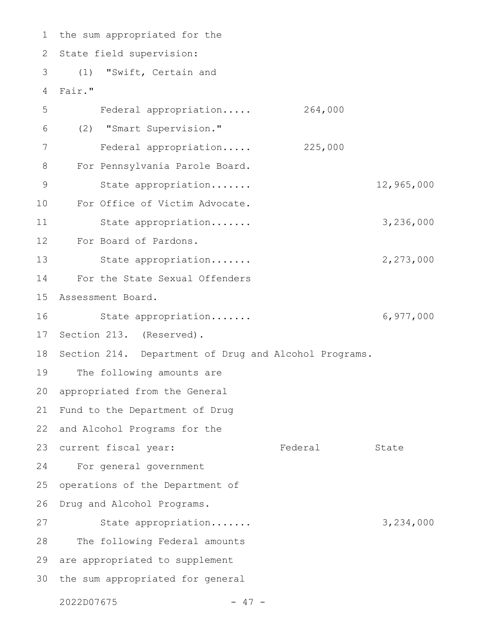1 the sum appropriated for the State field supervision: (1) "Swift, Certain and Fair." Federal appropriation..... 264,000 (2) "Smart Supervision." Federal appropriation..... 225,000 For Pennsylvania Parole Board. State appropriation....... 12,965,000 For Office of Victim Advocate. State appropriation....... 3,236,000 For Board of Pardons. State appropriation....... 2,273,000 For the State Sexual Offenders Assessment Board. State appropriation....... 6,977,000 Section 213. (Reserved). Section 214. Department of Drug and Alcohol Programs. The following amounts are appropriated from the General Fund to the Department of Drug 22 and Alcohol Programs for the 23 current fiscal year: Tederal State For general government operations of the Department of Drug and Alcohol Programs. State appropriation....... 3,234,000 The following Federal amounts 29 are appropriated to supplement 30 the sum appropriated for general 2 3 4 5 6 7 8 9 10 11 12 13 14 15 16 17 18 19 20 21 24 25 26 27 28

 $2022D07675$  - 47 -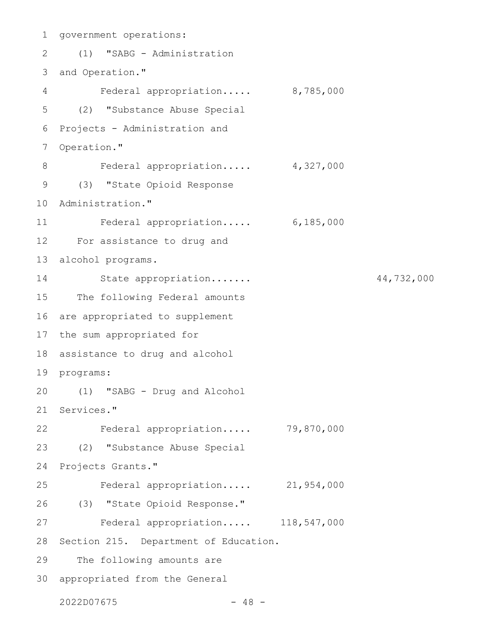```
1 government operations:
     (1) "SABG - Administration
3 and Operation."
         Federal appropriation..... 8,785,000
(2) "Substance Abuse Special
5
6 Projects - Administration and
   Operation."
         Federal appropriation..... 4,327,000
      (3) "State Opioid Response
10 Administration."
        Federal appropriation..... 6,185,000
For assistance to drug and
12
   alcohol programs.
         State appropriation....... 44,732,000
15 The following Federal amounts
  are appropriated to supplement
17 the sum appropriated for
18 assistance to drug and alcohol
19 programs:
(1) "SABG - Drug and Alcohol
20
21 Services."
    Federal appropriation..... 79,870,000
(2) "Substance Abuse Special
23
24 Projects Grants."
        Federal appropriation..... 21,954,000
(3) "State Opioid Response."
26
         Federal appropriation..... 118,547,000
28 Section 215. Department of Education.
     The following amounts are
appropriated from the General
302022D07675 - 48 -
2
4
7
8
9
11
13
14
16
22
25
27
29
```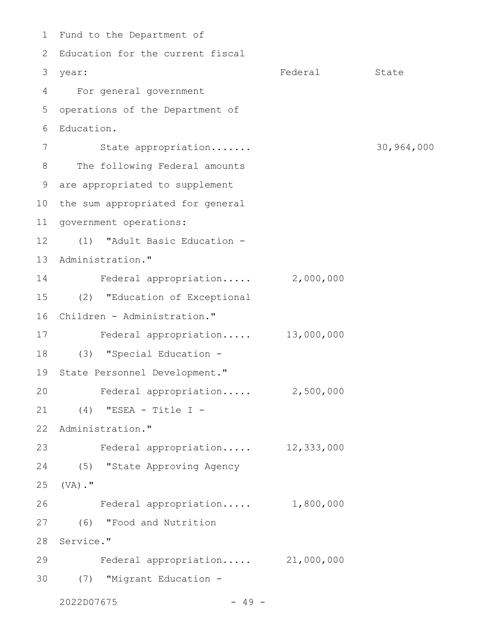1 Fund to the Department of 2 Education for the current fiscal Federal State For general government 4 operations of the Department of Education. State appropriation....... 30,964,000 8 The following Federal amounts are appropriated to supplement 9 10 the sum appropriated for general 11 government operations: (1) "Adult Basic Education - 12 13 Administration." Federal appropriation..... 2,000,000 (2) "Education of Exceptional 15 Children - Administration." 16 Federal appropriation..... 13,000,000 (3) "Special Education - 18 19 State Personnel Development." Federal appropriation..... 2,500,000 (4) "ESEA - Title I - 21 22 Administration." Federal appropriation..... 12,333,000 23 (5) "State Approving Agency 24 (VA)." 25 Federal appropriation..... 1,800,000 (6) "Food and Nutrition 27 28 Service." Federal appropriation..... 21,000,000 (7) "Migrant Education - 30 $2022D07675$  - 49 -3 year: 5 6 7 14 17 20 26 29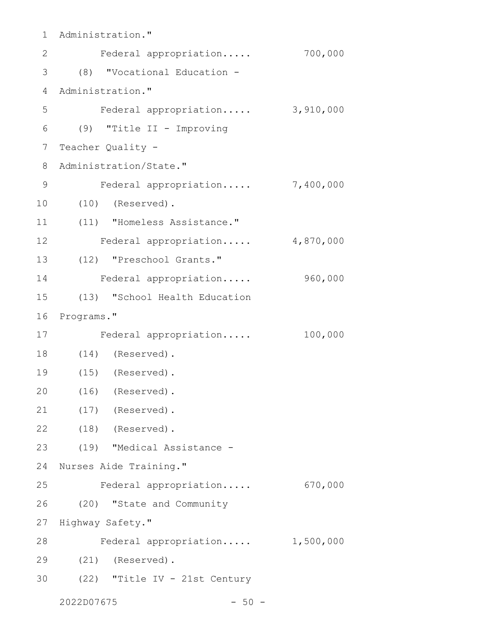1 Administration." Federal appropriation..... 700,000 (8) "Vocational Education - 3 4 Administration." Federal appropriation..... 3,910,000 (9) "Title II - Improving 6 Teacher Quality - Administration/State." Federal appropriation..... 7,400,000 (10) (Reserved). (11) "Homeless Assistance." Federal appropriation..... 4,870,000 (12) "Preschool Grants." 13 Federal appropriation..... 960,000 (13) "School Health Education 16 Programs." Federal appropriation..... 100,000 (14) (Reserved). 18 (15) (Reserved). 19 (16) (Reserved). (17) (Reserved). (18) (Reserved). 22 (19) "Medical Assistance - 23 24 Nurses Aide Training." Federal appropriation..... 670,000 (20) "State and Community 27 Highway Safety." Federal appropriation..... 1,500,000 (21) (Reserved). 29 (22) "Title IV - 21st Century  $2022D07675$  - 50 -2 5 7 8 9 10 11 12 14 15 17 20 21 25 26 28 30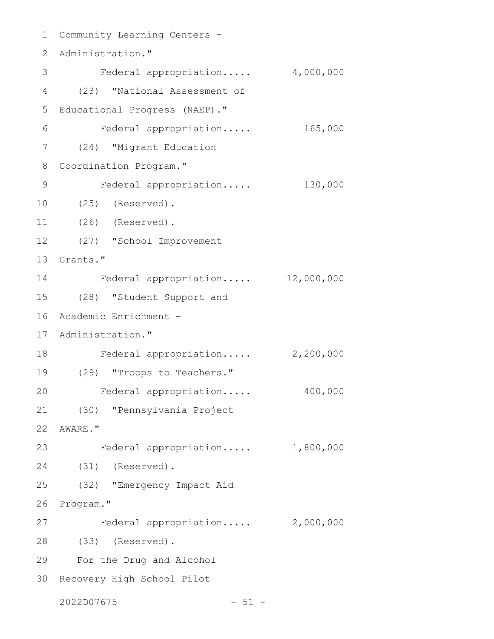1 Community Learning Centers -2 Administration." 3 Federal appropriation..... 4,000,000 (23) "National Assessment of 4 5 Educational Progress (NAEP)." Federal appropriation..... 165,000 (24) "Migrant Education 7 Coordination Program." 8 Federal appropriation..... 130,000 (25) (Reserved). 10 (26) (Reserved). (27) "School Improvement 12 13 Grants." Federal appropriation..... 12,000,000 (28) "Student Support and 15 Academic Enrichment - 16 17 Administration." 18 Federal appropriation..... 2,200,000 (29) "Troops to Teachers." 19 Federal appropriation..... 400,000 (30) "Pennsylvania Project 21 AWARE." 22 Federal appropriation..... 1,800,000 (31) (Reserved). 24 (32) "Emergency Impact Aid 26 Program." Federal appropriation..... 2,000,000 (33) (Reserved). 28 For the Drug and Alcohol 29 30 Recovery High School Pilot 6 9 11 14 20 23 25 27

 $2022D07675$  - 51 -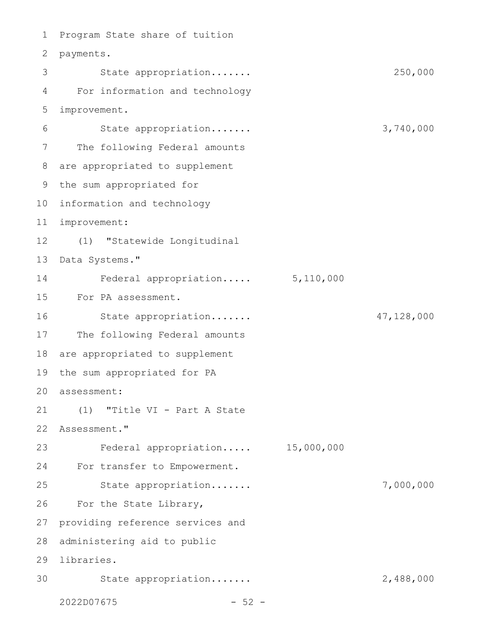1 Program State share of tuition 2 payments. State appropriation....... 250,000 For information and technology improvement. State appropriation....... 3,740,000 The following Federal amounts are appropriated to supplement 9 the sum appropriated for 10 information and technology improvement: 11 (1) "Statewide Longitudinal 12 13 Data Systems." Federal appropriation..... 5,110,000 For PA assessment. State appropriation....... 47,128,000 The following Federal amounts 18 are appropriated to supplement 19 the sum appropriated for PA assessment: 20 (1) "Title VI - Part A State 21 22 Assessment." Federal appropriation..... 15,000,000 24 For transfer to Empowerment. State appropriation....... 7,000,000 For the State Library, providing reference services and 28 administering aid to public 29 libraries. State appropriation....... 2,488,000  $2022D07675$  - 52 -3 4 5 6 7 8 14 15 16 17 23 25 26 27 30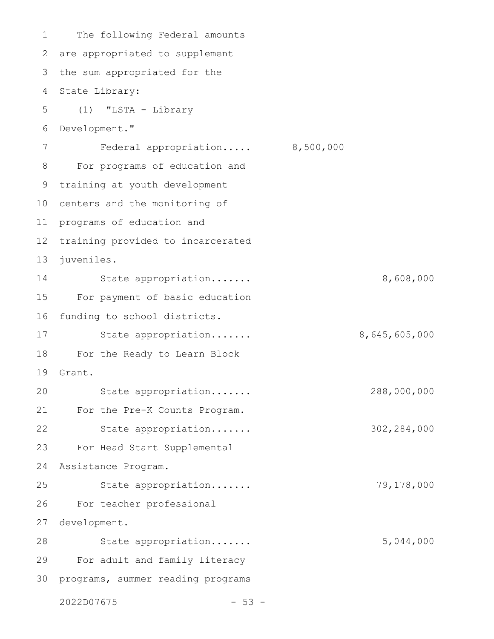The following Federal amounts are appropriated to supplement 3 the sum appropriated for the 4 State Library: (1) "LSTA - Library Development." Federal appropriation..... 8,500,000 For programs of education and training at youth development 10 centers and the monitoring of 11 programs of education and 12 training provided to incarcerated juveniles. State appropriation....... 8,608,000 For payment of basic education funding to school districts. State appropriation....... 8,645,605,000 For the Ready to Learn Block Grant. State appropriation....... 288,000,000 For the Pre-K Counts Program. State appropriation....... 302,284,000 For Head Start Supplemental Assistance Program. State appropriation....... 79,178,000 For teacher professional development. State appropriation....... 5,044,000 For adult and family literacy 30 programs, summer reading programs 1 2 5 6 7 8 9 13 14 15 16 17 18 19 20 21 22 23 24 25 26 27 28 29

```
2022D07675 - 53 -
```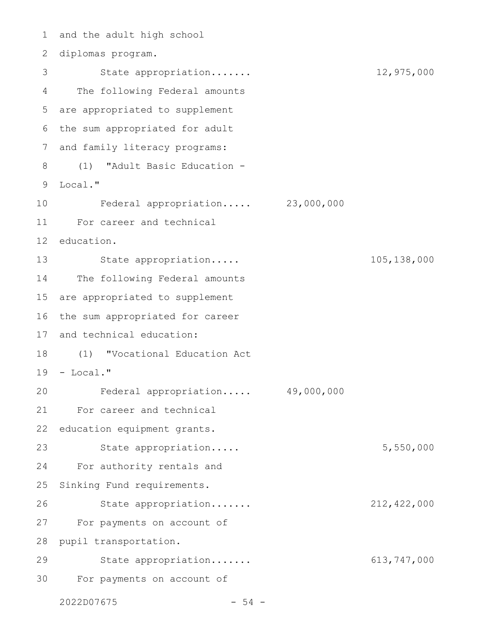1 and the adult high school diplomas program. 2 State appropriation....... 12,975,000 The following Federal amounts 4 are appropriated to supplement 5 6 the sum appropriated for adult and family literacy programs: (1) "Adult Basic Education - 8 Local." 9 Federal appropriation..... 23,000,000 For career and technical 11 12 education. 13 State appropriation..... 105,138,000 14 The following Federal amounts 15 are appropriated to supplement 16 the sum appropriated for career 17 and technical education: (1) "Vocational Education Act 18 19 - Local." Federal appropriation..... 49,000,000 For career and technical 21 22 education equipment grants. State appropriation..... 5,550,000 For authority rentals and 24 25 Sinking Fund requirements. State appropriation....... 212,422,000 27 For payments on account of 28 pupil transportation. State appropriation....... 613,747,000 For payments on account of 303 7 10 20 23 26 29

 $2022D07675$  - 54 -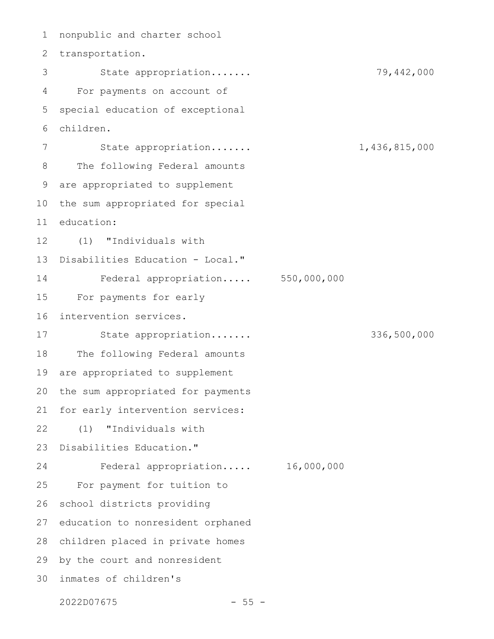nonpublic and charter school 2 transportation. State appropriation....... 79,442,000 For payments on account of special education of exceptional children. State appropriation....... 1,436,815,000 The following Federal amounts are appropriated to supplement the sum appropriated for special education: (1) "Individuals with Disabilities Education - Local." Federal appropriation..... 550,000,000 For payments for early intervention services. State appropriation....... 336,500,000 The following Federal amounts are appropriated to supplement the sum appropriated for payments for early intervention services: (1) "Individuals with Disabilities Education." Federal appropriation..... 16,000,000 For payment for tuition to school districts providing education to nonresident orphaned 28 children placed in private homes 29 by the court and nonresident inmates of children's 301 3 4 5 6 7 8 9 10 11 12 13 14 15 16 17 18 19 20 21 22 23 24 25 26 27

2022D07675 - 55 -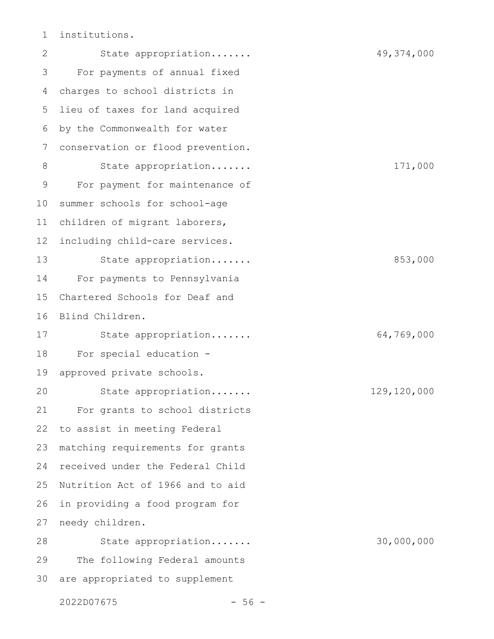institutions. 1

State appropriation....... 49,374,000 For payments of annual fixed charges to school districts in lieu of taxes for land acquired by the Commonwealth for water conservation or flood prevention. State appropriation....... 171,000 For payment for maintenance of summer schools for school-age children of migrant laborers, including child-care services. State appropriation....... 853,000 For payments to Pennsylvania Chartered Schools for Deaf and Blind Children. State appropriation....... 64,769,000 For special education approved private schools. State appropriation....... 129,120,000 For grants to school districts to assist in meeting Federal matching requirements for grants received under the Federal Child Nutrition Act of 1966 and to aid in providing a food program for needy children. State appropriation....... 30,000,000 The following Federal amounts are appropriated to supplement 2 3 4 5 6 7 8 9 10 11 12 13 14 15 16 17 18 19 20 21 22 23 24 25 26 27 28 29 30

 $2022D07675$  - 56 -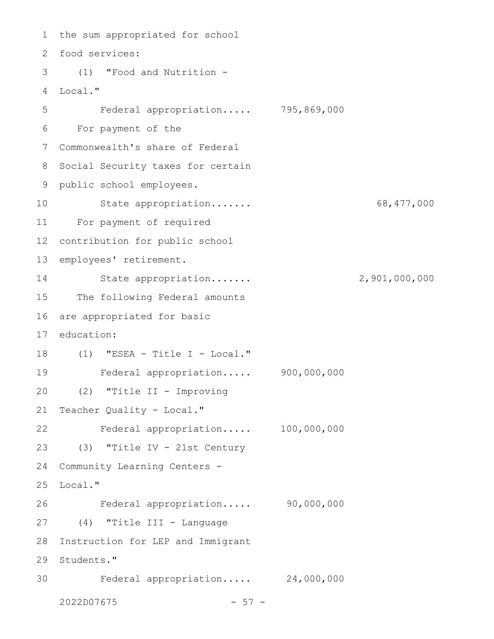1 the sum appropriated for school food services: 2 (1) "Food and Nutrition - 3 Local." 4 Federal appropriation..... 795,869,000 For payment of the 6 Commonwealth's share of Federal 7 8 Social Security taxes for certain 9 public school employees. State appropriation....... 68,477,000 For payment of required 11 contribution for public school 13 employees' retirement. State appropriation....... 2,901,000,000 15 The following Federal amounts are appropriated for basic education: (1) "ESEA - Title I - Local." 18 Federal appropriation..... 900,000,000 (2) "Title II - Improving 21 Teacher Quality - Local." Federal appropriation..... 100,000,000 (3) "Title IV - 21st Century 23 Community Learning Centers - 25 Local." Federal appropriation..... 90,000,000 (4) "Title III - Language 27 28 Instruction for LEP and Immigrant 29 Students." Federal appropriation..... 24,000,000  $2022D07675$  - 57 -5 10 12 14 16 17 19 20 22 24 26 30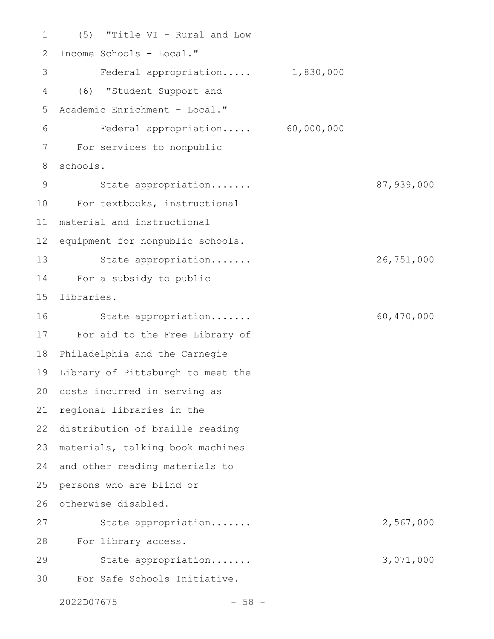(5) "Title VI - Rural and Low Income Schools - Local." Federal appropriation..... 1,830,000 (6) "Student Support and Academic Enrichment - Local." Federal appropriation..... 60,000,000 For services to nonpublic schools. State appropriation....... 87,939,000 For textbooks, instructional 10 material and instructional equipment for nonpublic schools. State appropriation....... 26,751,000 For a subsidy to public 14 libraries. State appropriation....... 60,470,000 For aid to the Free Library of Philadelphia and the Carnegie Library of Pittsburgh to meet the 20 costs incurred in serving as 21 regional libraries in the 22 distribution of braille reading materials, talking book machines 23 and other reading materials to persons who are blind or otherwise disabled. State appropriation....... 2,567,000 For library access. 28 State appropriation....... 3,071,000 For Safe Schools Initiative. 1 2 3 4 5 6 7 8 9 11 12 13 15 16 17 18 19 24 25 26 27 29 30

2022D07675 - 58 -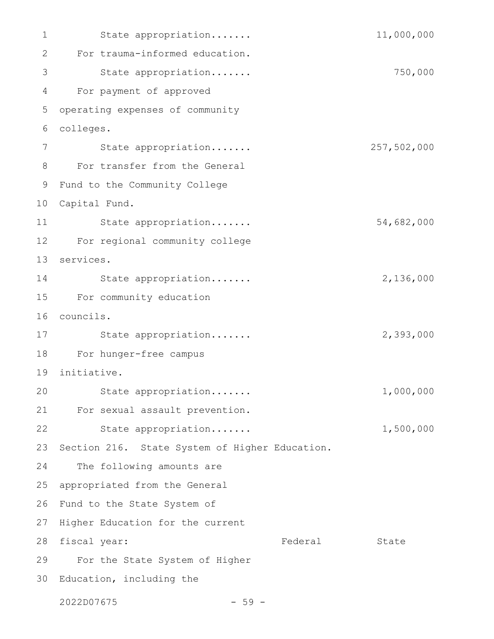State appropriation....... 11,000,000 For trauma-informed education. State appropriation....... 750,000 For payment of approved operating expenses of community colleges. 6 State appropriation....... 257,502,000 For transfer from the General Fund to the Community College 9 10 Capital Fund. State appropriation....... 54,682,000 For regional community college 12 services. 13 State appropriation....... 2,136,000 For community education 15 councils. 16 State appropriation....... 2,393,000 For hunger-free campus 18 initiative. 19 State appropriation....... 1,000,000 For sexual assault prevention. 21 State appropriation....... 1,500,000 Section 216. State System of Higher Education. The following amounts are appropriated from the General Fund to the State System of 27 Higher Education for the current Federal State For the State System of Higher 30 Education, including the  $2022D07675$  - 59 -1 2 3 4 5 7 8 11 14 17 20 22 23 24 25 26 28 fiscal year: 29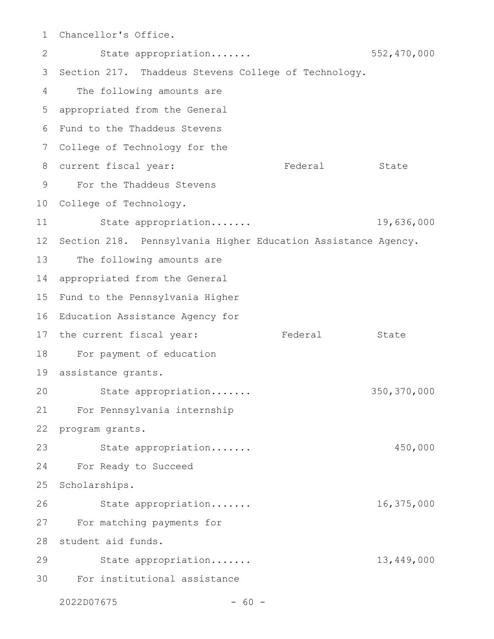Chancellor's Office. 1

State appropriation....... 552,470,000 3 Section 217. Thaddeus Stevens College of Technology. The following amounts are appropriated from the General Fund to the Thaddeus Stevens 6 College of Technology for the 7 Federal State For the Thaddeus Stevens 9 10 College of Technology. State appropriation....... 19,636,000 12 Section 218. Pennsylvania Higher Education Assistance Agency. The following amounts are 14 appropriated from the General 15 Fund to the Pennsylvania Higher 16 Education Assistance Agency for Federal State 18 For payment of education assistance grants. 19 State appropriation....... 350,370,000 For Pennsylvania internship 21 program grants. State appropriation....... 450,000 For Ready to Succeed 25 Scholarships. State appropriation....... 16,375,000 27 For matching payments for 28 student aid funds. State appropriation....... 13,449,000 For institutional assistance 302 4 5 8 current fiscal year: 11 13 17 the current fiscal year: 20 22 23 24 26 29

 $2022D07675$  - 60 -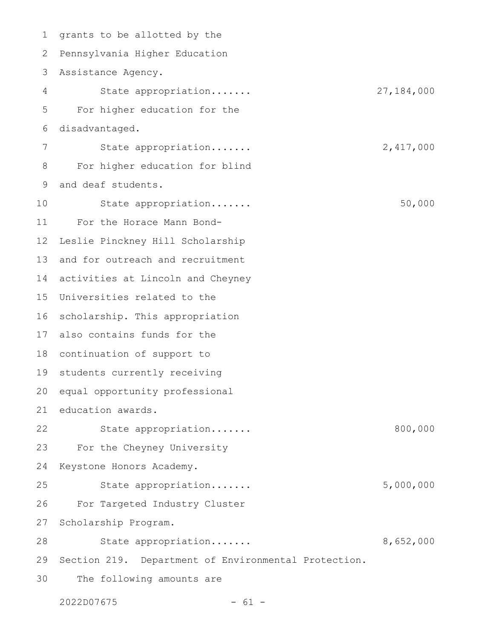1 grants to be allotted by the 2 Pennsylvania Higher Education Assistance Agency. State appropriation....... 27,184,000 For higher education for the disadvantaged. State appropriation....... 2,417,000 For higher education for blind and deaf students. State appropriation....... 50,000 For the Horace Mann Bond-Leslie Pinckney Hill Scholarship and for outreach and recruitment activities at Lincoln and Cheyney 15 Universities related to the 16 scholarship. This appropriation also contains funds for the 18 continuation of support to 19 students currently receiving 20 equal opportunity professional 21 education awards. State appropriation....... 800,000 For the Cheyney University Keystone Honors Academy. State appropriation....... 5,000,000 For Targeted Industry Cluster Scholarship Program. State appropriation....... 8,652,000 29 Section 219. Department of Environmental Protection. The following amounts are 3 4 5 6 7 8 9 10 11 12 13 14 17 22 23 24 25 26 27 28 30

 $2022D07675$  - 61 -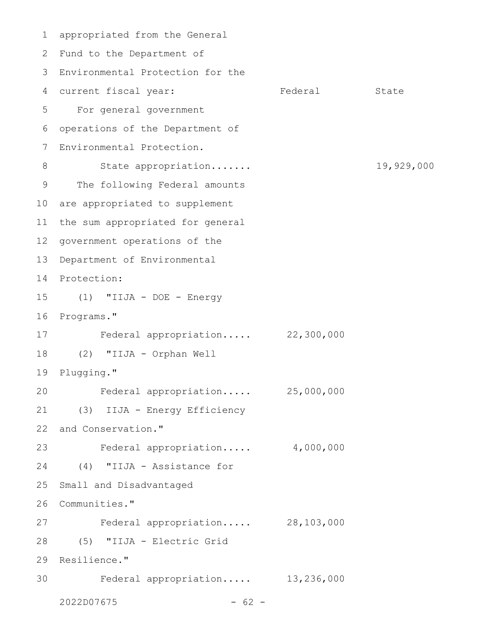appropriated from the General 1 2 Fund to the Department of Environmental Protection for the 3 4 current fiscal year: Tederal State For general government 5 operations of the Department of Environmental Protection. State appropriation....... 19,929,000 The following Federal amounts 10 are appropriated to supplement 11 the sum appropriated for general 12 government operations of the 13 Department of Environmental 14 Protection: (1) "IIJA - DOE - Energy 15 16 Programs." Federal appropriation..... 22,300,000 (2) "IIJA - Orphan Well 18 19 Plugging." Federal appropriation..... 25,000,000 (3) IIJA - Energy Efficiency 21 22 and Conservation." Federal appropriation..... 4,000,000 (4) "IIJA - Assistance for 24 25 Small and Disadvantaged 26 Communities." Federal appropriation..... 28,103,000 (5) "IIJA - Electric Grid 28 29 Resilience." Federal appropriation..... 13,236,000 6 7 8 9 17 20 23 27 30

 $2022D07675$  - 62 -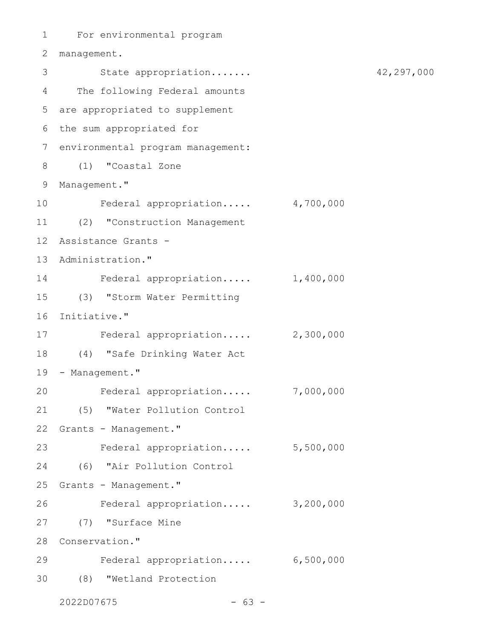```
For environmental program
1
2 management.
State appropriation....... 42,297,000
3
The following Federal amounts
4
are appropriated to supplement
5
6 the sum appropriated for
7 environmental program management:
(1) "Coastal Zone
8
9 Management."
    Federal appropriation..... 4,700,000
(2) "Construction Management
11
Assistance Grants -
12
13 Administration."
14 Federal appropriation..... 1,400,000
(3) "Storm Water Permitting
15
16 Initiative."
   Federal appropriation..... 2,300,000
(4) "Safe Drinking Water Act
18
19 - Management."
     Federal appropriation..... 7,000,000
(5) "Water Pollution Control
21
22 Grants - Management."
23 Federal appropriation..... 5,500,000
(6) "Air Pollution Control
24
25 Grants - Management."
    Federal appropriation..... 3,200,000
(7) "Surface Mine
27
28 Conservation."
Federal appropriation..... 6,500,000
29
(8) "Wetland Protection
3010
17
20
26
```
 $2022D07675$  - 63 -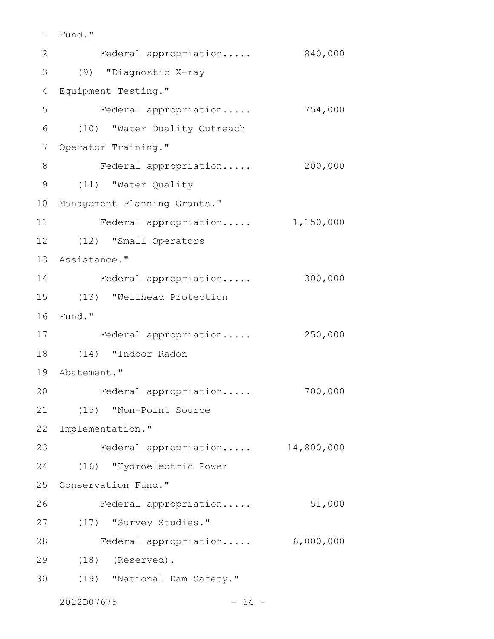```
Fund."
1
```

| 2           | Federal appropriation        | 840,000    |
|-------------|------------------------------|------------|
| 3           | (9) "Diagnostic X-ray        |            |
| 4           | Equipment Testing."          |            |
| 5           | Federal appropriation        | 754,000    |
| 6           | (10) "Water Quality Outreach |            |
| 7           | Operator Training."          |            |
| 8           | Federal appropriation        | 200,000    |
| $\mathsf 9$ | (11) "Water Quality          |            |
| 10          | Management Planning Grants." |            |
| 11          | Federal appropriation        | 1,150,000  |
| 12          | (12) "Small Operators        |            |
| 13          | Assistance."                 |            |
| 14          | Federal appropriation        | 300,000    |
| 15          | (13) "Wellhead Protection    |            |
| 16          | Fund."                       |            |
| 17          | Federal appropriation        | 250,000    |
| 18          | (14) "Indoor Radon           |            |
| 19          | Abatement."                  |            |
| 20          | Federal appropriation        | 700,000    |
| 21          | (15) "Non-Point Source       |            |
| 22          | Implementation."             |            |
| 23          | Federal appropriation        | 14,800,000 |
| 24          | (16) "Hydroelectric Power    |            |
| 25          | Conservation Fund."          |            |
| 26          | Federal appropriation        | 51,000     |
| 27          | (17) "Survey Studies."       |            |
| 28          | Federal appropriation        | 6,000,000  |
| 29          | $(18)$ (Reserved).           |            |
| 30          | (19) "National Dam Safety."  |            |
|             |                              |            |

 $2022D07675$  - 64 -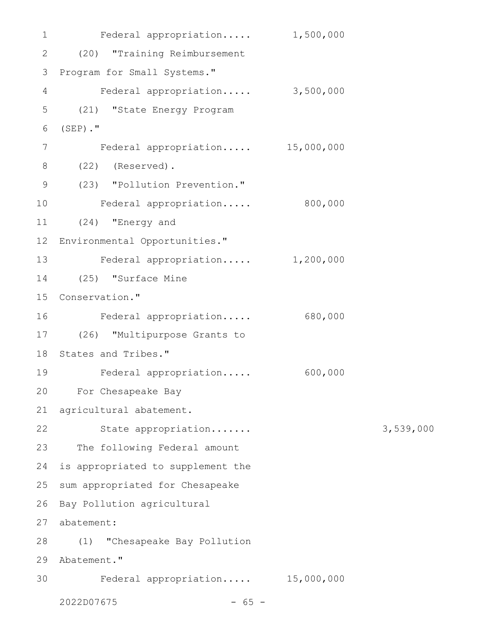| $\mathbf 1$   | Federal appropriation             | 1,500,000 |           |
|---------------|-----------------------------------|-----------|-----------|
| $\mathbf{2}$  | (20) "Training Reimbursement      |           |           |
| 3             | Program for Small Systems."       |           |           |
| 4             | Federal appropriation 3,500,000   |           |           |
| 5             | (21) "State Energy Program        |           |           |
| 6             | $(SEP)$ ."                        |           |           |
| 7             | Federal appropriation 15,000,000  |           |           |
| 8             | (Reserved).<br>(22)               |           |           |
| $\mathcal{G}$ | (23) "Pollution Prevention."      |           |           |
| 10            | Federal appropriation             | 800,000   |           |
| 11            | (24) "Energy and                  |           |           |
| 12            | Environmental Opportunities."     |           |           |
| 13            | Federal appropriation             | 1,200,000 |           |
| 14            | (25) "Surface Mine                |           |           |
| 15            | Conservation."                    |           |           |
| 16            | Federal appropriation             | 680,000   |           |
| 17            | (26) "Multipurpose Grants to      |           |           |
| 18            | States and Tribes."               |           |           |
| 19            | Federal appropriation             | 600,000   |           |
| 20            | For Chesapeake Bay                |           |           |
| 21            | agricultural abatement.           |           |           |
| 22            | State appropriation               |           | 3,539,000 |
| 23            | The following Federal amount      |           |           |
| 24            | is appropriated to supplement the |           |           |
| 25            | sum appropriated for Chesapeake   |           |           |
| 26            | Bay Pollution agricultural        |           |           |
| 27            | abatement:                        |           |           |
| 28            | "Chesapeake Bay Pollution<br>(1)  |           |           |
| 29            | Abatement."                       |           |           |
| 30            | Federal appropriation 15,000,000  |           |           |
|               | 2022D07675<br>$65 -$              |           |           |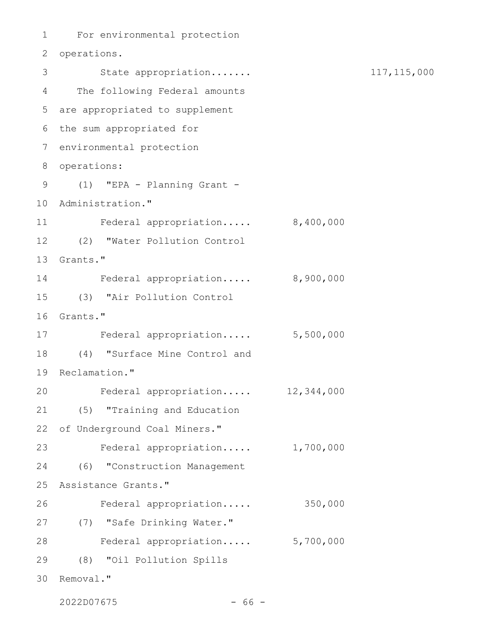For environmental protection 1 2 operations. State appropriation....... 117,115,000 3 The following Federal amounts 4 are appropriated to supplement 5 6 the sum appropriated for environmental protection 7 8 operations: (1) "EPA - Planning Grant - 9 10 Administration." Federal appropriation..... 8,400,000 (2) "Water Pollution Control 12 13 Grants." Federal appropriation..... 8,900,000 (3) "Air Pollution Control 15 16 Grants." 17 Federal appropriation..... 5,500,000 (4) "Surface Mine Control and 18 19 Reclamation." Federal appropriation..... 12,344,000 (5) "Training and Education 21 22 of Underground Coal Miners." Federal appropriation..... 1,700,000 23 (6) "Construction Management 24 25 Assistance Grants." Federal appropriation..... 350,000 (7) "Safe Drinking Water." 27 Federal appropriation..... 5,700,000 28 (8) "Oil Pollution Spills 29 30 Removal." 11 14 20 26

2022D07675 - 66 -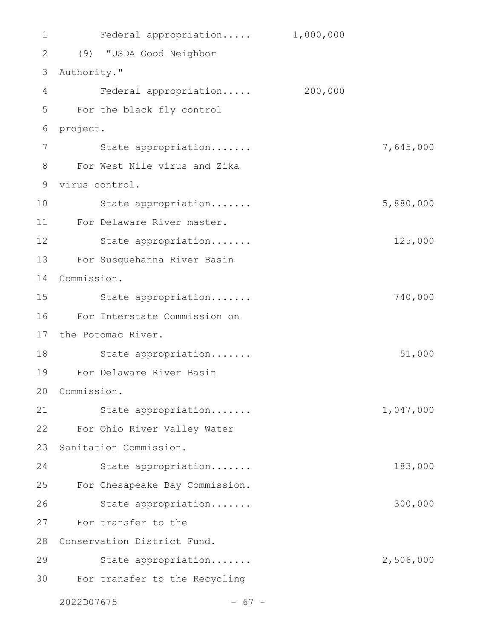Federal appropriation..... 1,000,000 (9) "USDA Good Neighbor 2 3 Authority." Federal appropriation..... 200,000 For the black fly control 6 project. State appropriation....... 7,645,000 For West Nile virus and Zika 8 9 virus control. State appropriation....... 5,880,000 For Delaware River master. 11 State appropriation....... 125,000 For Susquehanna River Basin 13 Commission. 14 State appropriation....... 740,000 For Interstate Commission on 16 17 the Potomac River. State appropriation....... 51,000 For Delaware River Basin 19 Commission. 20 State appropriation....... 1,047,000 For Ohio River Valley Water 22 23 Sanitation Commission. State appropriation....... 183,000 For Chesapeake Bay Commission. 25 State appropriation....... 300,000 For transfer to the 27 28 Conservation District Fund. State appropriation....... 2,506,000 For transfer to the Recycling 301 4 5 7 10 12 15 18 21 24 26 29

 $2022D07675$  - 67 -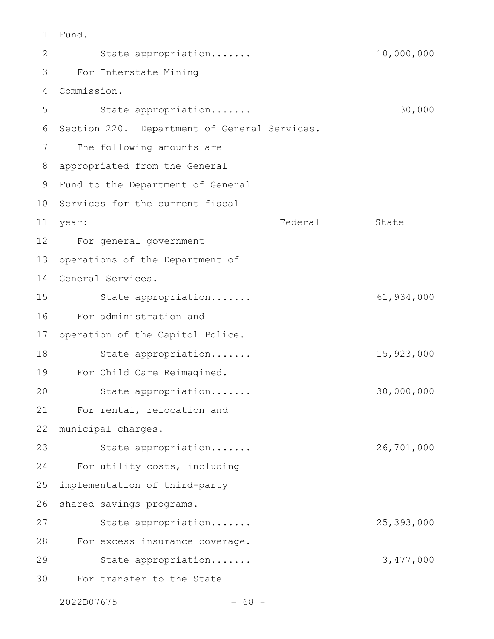Fund. 1

State appropriation....... 10,000,000 For Interstate Mining 3 Commission. 4 State appropriation....... 30,000 Section 220. Department of General Services. The following amounts are appropriated from the General Fund to the Department of General 10 Services for the current fiscal year: State State State State State State State State State State State State State State State State State State For general government 12 operations of the Department of 14 General Services. State appropriation....... 61,934,000 For administration and operation of the Capitol Police. State appropriation....... 15,923,000 For Child Care Reimagined. State appropriation....... 30,000,000 For rental, relocation and municipal charges. State appropriation....... 26,701,000 For utility costs, including implementation of third-party shared savings programs. State appropriation....... 25,393,000 For excess insurance coverage. State appropriation....... 3,477,000 For transfer to the State 2 5 6 7 8 9 11 year: 13 15 16 17 18 19 20 21 22 23 24 25 26 27 28 29 30

2022D07675 - 68 -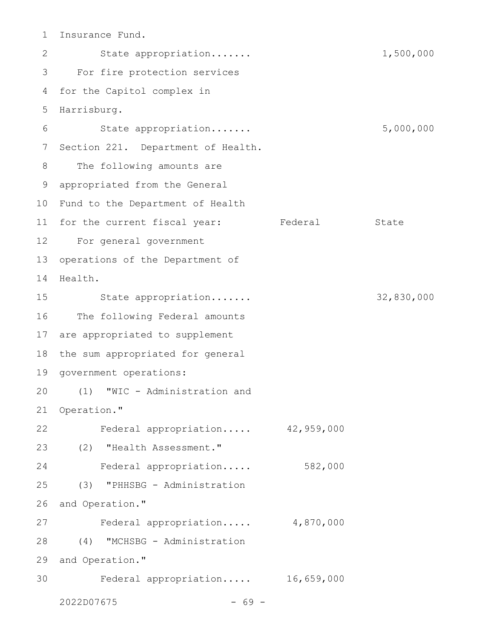Insurance Fund. 1

State appropriation....... 1,500,000 For fire protection services 3 4 for the Capitol complex in 5 Harrisburg. State appropriation....... 5,000,000 7 Section 221. Department of Health. The following amounts are appropriated from the General 9 10 Fund to the Department of Health 11 for the current fiscal year: Federal State For general government 12 13 operations of the Department of 14 Health. State appropriation....... 32,830,000 16 The following Federal amounts 17 are appropriated to supplement 18 the sum appropriated for general 19 government operations: (1) "WIC - Administration and 20 21 Operation." Federal appropriation..... 42,959,000 (2) "Health Assessment." 23 Federal appropriation..... 582,000 (3) "PHHSBG - Administration and Operation." Federal appropriation..... 4,870,000 (4) "MCHSBG - Administration 29 and Operation." Federal appropriation..... 16,659,000  $2022D07675$  - 69 -2 6 8 15 22 24 25 26 27 28 30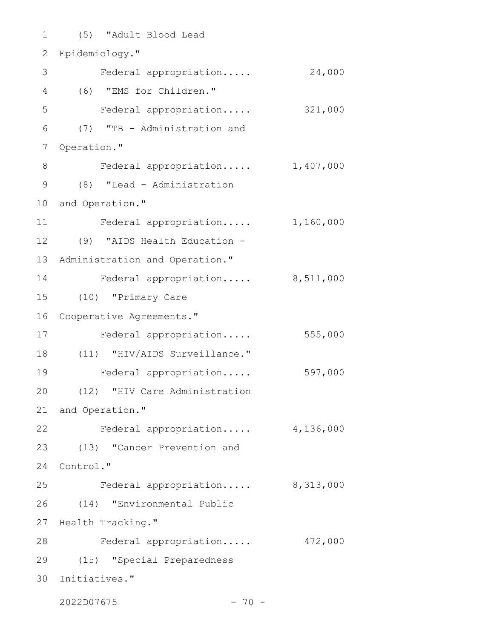(5) "Adult Blood Lead 1 2 Epidemiology." 3 Federal appropriation..... 24,000 (6) "EMS for Children." 4 Federal appropriation..... 321,000 (7) "TB - Administration and Operation." Federal appropriation..... 1,407,000 (8) "Lead - Administration 9 10 and Operation." Federal appropriation..... 1,160,000 (9) "AIDS Health Education - 12 Administration and Operation." 14 Federal appropriation..... 8,511,000 (10) "Primary Care 15 16 Cooperative Agreements." Federal appropriation..... 555,000 (11) "HIV/AIDS Surveillance." 18 Federal appropriation..... 597,000 (12) "HIV Care Administration 21 and Operation." Federal appropriation..... 4,136,000 (13) "Cancer Prevention and 23 24 Control." Federal appropriation..... 8,313,000 (14) "Environmental Public 26 27 Health Tracking." 28 Federal appropriation..... 472,000 (15) "Special Preparedness 29 30 Initiatives." 5 6 7 8 11 13 17 19 20 22 25

2022D07675 - 70 -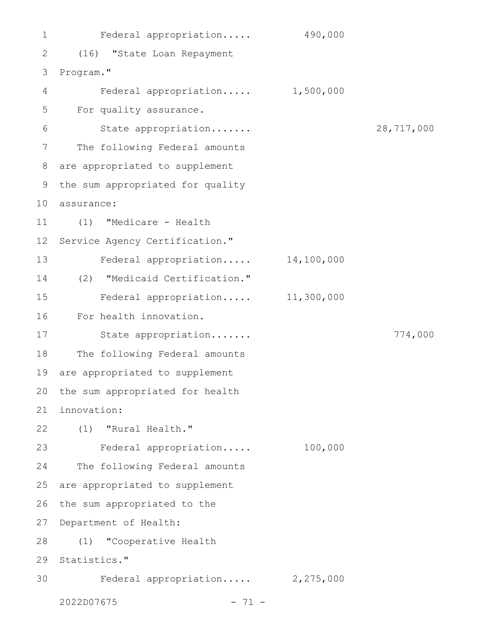Federal appropriation..... 490,000 (16) "State Loan Repayment Program." Federal appropriation..... 1,500,000 For quality assurance. State appropriation....... 28,717,000 The following Federal amounts are appropriated to supplement the sum appropriated for quality assurance: 10 (1) "Medicare - Health Service Agency Certification." Federal appropriation..... 14,100,000 (2) "Medicaid Certification." Federal appropriation..... 11,300,000 For health innovation. State appropriation....... 774,000 The following Federal amounts are appropriated to supplement the sum appropriated for health innovation: (1) "Rural Health." Federal appropriation..... 100,000 The following Federal amounts are appropriated to supplement the sum appropriated to the Department of Health: (1) "Cooperative Health 29 Statistics." Federal appropriation..... 2,275,000  $2022D07675$  - 71 -1 2 3 4 5 6 7 8 9 11 12 13 14 15 16 17 18 19 20 21 22 23 24 25 26 27 28 30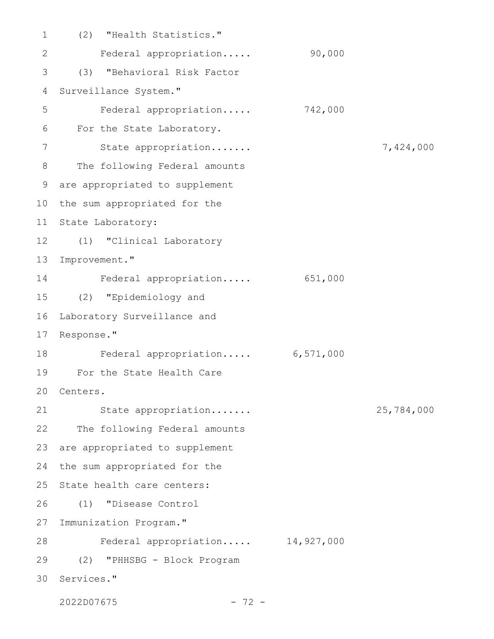(2) "Health Statistics." Federal appropriation..... 90,000 (3) "Behavioral Risk Factor Surveillance System." Federal appropriation..... 742,000 For the State Laboratory. State appropriation....... 7,424,000 The following Federal amounts are appropriated to supplement 10 the sum appropriated for the 11 State Laboratory: (1) "Clinical Laboratory 12 Improvement." Federal appropriation..... 651,000 (2) "Epidemiology and 15 Laboratory Surveillance and Response." Federal appropriation..... 6,571,000 For the State Health Care 19 20 Centers. State appropriation....... 25,784,000 22 The following Federal amounts are appropriated to supplement the sum appropriated for the 25 State health care centers: (1) "Disease Control Immunization Program." Federal appropriation..... 14,927,000 (2) "PHHSBG - Block Program 29 30 Services." 1 2 3 4 5 6 7 8 9 13 14 16 17 18 21 23 24 26 27 28

2022D07675 - 72 -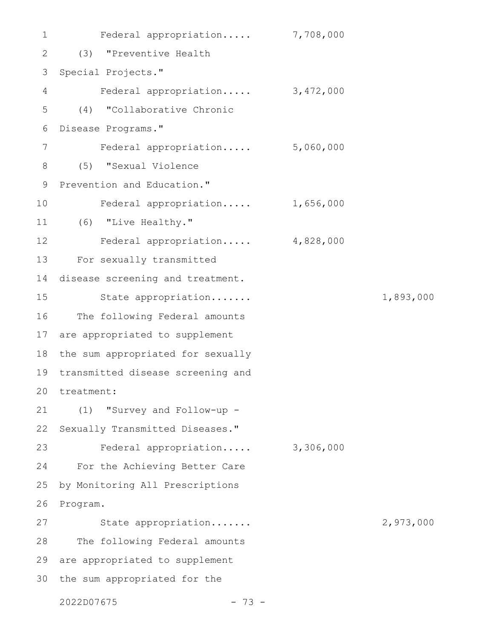Federal appropriation..... 7,708,000 (3) "Preventive Health Special Projects." Federal appropriation..... 3,472,000 (4) "Collaborative Chronic Disease Programs." Federal appropriation..... 5,060,000 (5) "Sexual Violence Prevention and Education." Federal appropriation..... 1,656,000 (6) "Live Healthy." Federal appropriation..... 4,828,000 For sexually transmitted disease screening and treatment. State appropriation....... 1,893,000 The following Federal amounts are appropriated to supplement the sum appropriated for sexually transmitted disease screening and 20 treatment: (1) "Survey and Follow-up - Sexually Transmitted Diseases." Federal appropriation..... 3,306,000 For the Achieving Better Care by Monitoring All Prescriptions Program. State appropriation....... 2,973,000 The following Federal amounts 29 are appropriated to supplement 30 the sum appropriated for the 1 2 3 4 5 6 7 8 9 10 11 12 13 14 15 16 17 18 19 21 22 23 24 25 26 27 28

2022D07675 - 73 -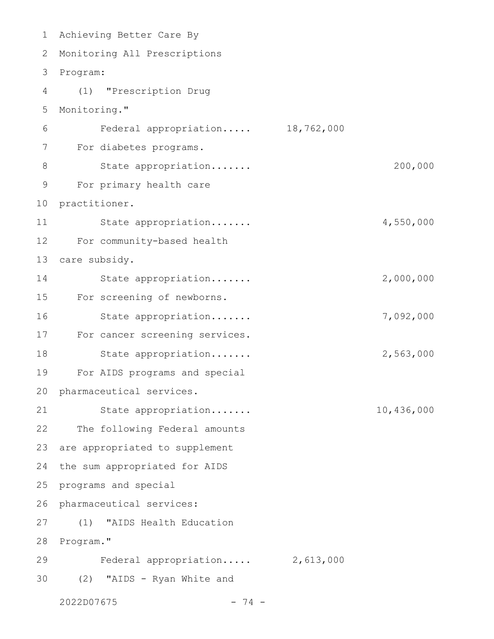| $\mathbf 1$ | Achieving Better Care By        |            |            |
|-------------|---------------------------------|------------|------------|
| 2           | Monitoring All Prescriptions    |            |            |
| 3           | Program:                        |            |            |
| 4           | "Prescription Drug<br>(1)       |            |            |
| 5           | Monitoring."                    |            |            |
| 6           | Federal appropriation           | 18,762,000 |            |
| 7           | For diabetes programs.          |            |            |
| 8           | State appropriation             |            | 200,000    |
| 9           | For primary health care         |            |            |
| 10          | practitioner.                   |            |            |
| 11          | State appropriation             |            | 4,550,000  |
| 12          | For community-based health      |            |            |
| 13          | care subsidy.                   |            |            |
| 14          | State appropriation             |            | 2,000,000  |
| 15          | For screening of newborns.      |            |            |
| 16          | State appropriation             |            | 7,092,000  |
| 17          | For cancer screening services.  |            |            |
| 18          | State appropriation             |            | 2,563,000  |
| 19          | For AIDS programs and special   |            |            |
| 20          | pharmaceutical services.        |            |            |
| 21          | State appropriation             |            | 10,436,000 |
| 22          | The following Federal amounts   |            |            |
| 23          | are appropriated to supplement  |            |            |
| 24          | the sum appropriated for AIDS   |            |            |
| 25          | programs and special            |            |            |
| 26          | pharmaceutical services:        |            |            |
| 27          | "AIDS Health Education<br>(1)   |            |            |
| 28          | Program."                       |            |            |
| 29          | Federal appropriation 2,613,000 |            |            |
| 30          | "AIDS - Ryan White and<br>(2)   |            |            |
|             | 2022D07675<br>$-74 -$           |            |            |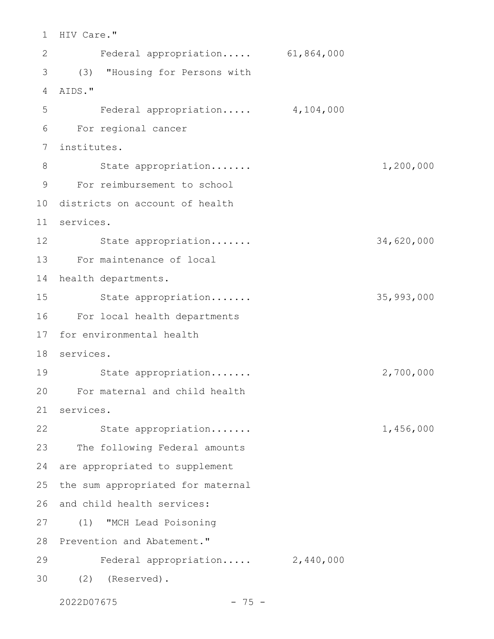1 HIV Care." Federal appropriation..... 61,864,000 (3) "Housing for Persons with 3 AIDS." 4 Federal appropriation..... 4,104,000 For regional cancer 6 institutes. 7 State appropriation....... 1,200,000 For reimbursement to school 9 10 districts on account of health services. 11 State appropriation....... 34,620,000 12 13 For maintenance of local 14 health departments. State appropriation....... 35,993,000 For local health departments 16 17 for environmental health services. 18 19 State appropriation...... 2,700,000 For maternal and child health 20 services. 21 22 State appropriation...... 1,456,000 23 The following Federal amounts 24 are appropriated to supplement 25 the sum appropriated for maternal 26 and child health services: (1) "MCH Lead Poisoning 27 28 Prevention and Abatement." Federal appropriation..... 2,440,000 (2) (Reserved). 302 5 8 15 29

2022D07675 - 75 -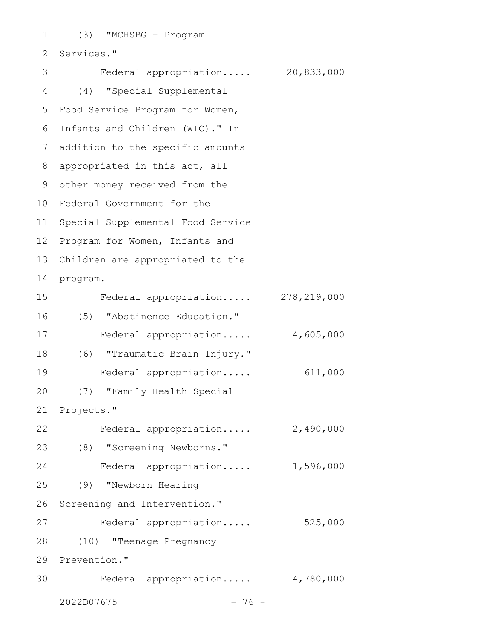(3) "MCHSBG - Program 2 Services." Federal appropriation..... 20,833,000 (4) "Special Supplemental 4 5 Food Service Program for Women, Infants and Children (WIC)." In 6 addition to the specific amounts 8 appropriated in this act, all 9 other money received from the 10 Federal Government for the 11 Special Supplemental Food Service 12 Program for Women, Infants and Children are appropriated to the program. Federal appropriation..... 278,219,000 (5) "Abstinence Education." Federal appropriation..... 4,605,000 (6) "Traumatic Brain Injury." 18 Federal appropriation..... 611,000 (7) "Family Health Special 21 Projects." Federal appropriation..... 2,490,000 (8) "Screening Newborns." 23 Federal appropriation..... 1,596,000 (9) "Newborn Hearing Screening and Intervention." Federal appropriation..... 525,000 (10) "Teenage Pregnancy 29 Prevention." Federal appropriation..... 4,780,000 1 3 7 13 14 15 16 17 19 20 22 24 25 26 27 28 30

2022D07675 - 76 -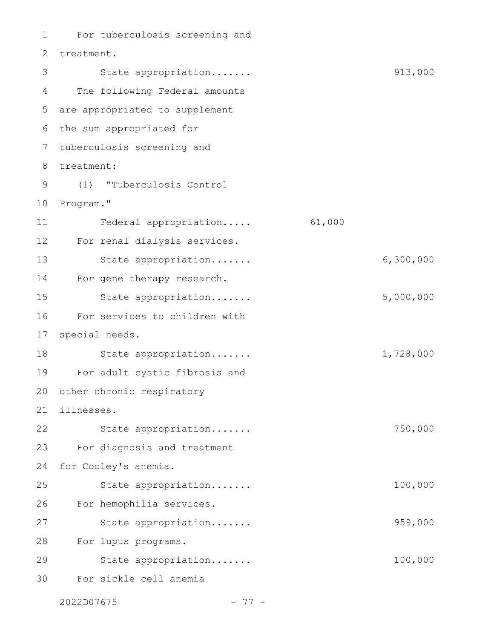For tuberculosis screening and 2 treatment. State appropriation....... 913,000 The following Federal amounts are appropriated to supplement 6 the sum appropriated for tuberculosis screening and 7 treatment: 8 (1) "Tuberculosis Control 9 10 Program." Federal appropriation..... 61,000 For renal dialysis services. State appropriation....... 6,300,000 For gene therapy research. State appropriation....... 5,000,000 For services to children with special needs. State appropriation....... 1,728,000 For adult cystic fibrosis and 20 other chronic respiratory illnesses. State appropriation....... 750,000 For diagnosis and treatment for Cooley's anemia. State appropriation....... 100,000 For hemophilia services. State appropriation....... 959,000 For lupus programs. 28 State appropriation....... 100,000 For sickle cell anemia 1 3 4 5 11 12 13 14 15 16 17 18 19 21 22 23 24 25 26 27 29 30

2022D07675 - 77 -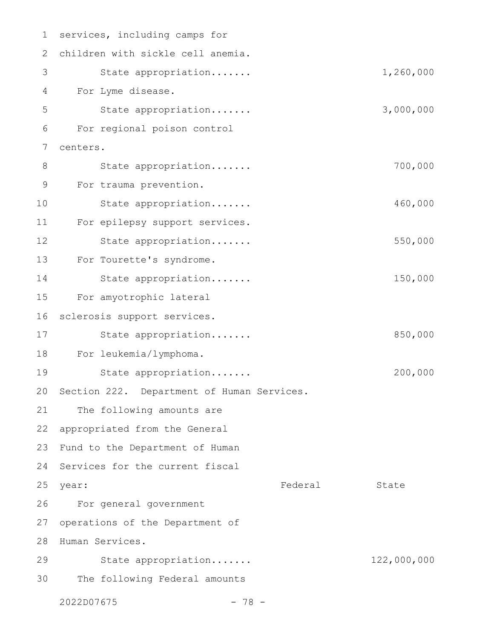| 1             | services, including camps for                 |             |
|---------------|-----------------------------------------------|-------------|
| 2             | children with sickle cell anemia.             |             |
| 3             | State appropriation                           | 1,260,000   |
| 4             | For Lyme disease.                             |             |
| 5             | State appropriation                           | 3,000,000   |
| 6             | For regional poison control                   |             |
| 7             | centers.                                      |             |
| 8             | State appropriation                           | 700,000     |
| $\mathcal{G}$ | For trauma prevention.                        |             |
| 10            | State appropriation                           | 460,000     |
| 11            | For epilepsy support services.                |             |
| 12            | State appropriation                           | 550,000     |
| 13            | For Tourette's syndrome.                      |             |
| 14            | State appropriation                           | 150,000     |
| 15            | For amyotrophic lateral                       |             |
| 16            | sclerosis support services.                   |             |
| 17            | State appropriation                           | 850,000     |
| 18            | For leukemia/lymphoma.                        |             |
| 19            | State appropriation                           | 200,000     |
|               | 20 Section 222. Department of Human Services. |             |
| 21            | The following amounts are                     |             |
| 22            | appropriated from the General                 |             |
| 23            | Fund to the Department of Human               |             |
| 24            | Services for the current fiscal               |             |
| 25            | Federal<br>year:                              | State       |
| 26            | For general government                        |             |
| 27            | operations of the Department of               |             |
| 28            | Human Services.                               |             |
| 29            | State appropriation                           | 122,000,000 |
| 30            | The following Federal amounts                 |             |
|               | 2022D07675<br>$-78 -$                         |             |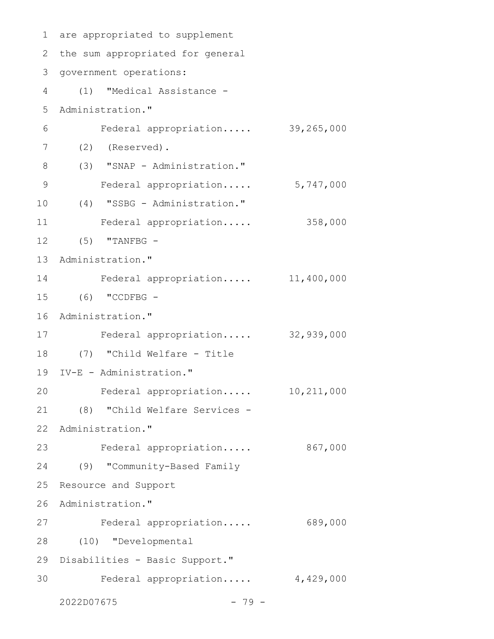```
are appropriated to supplement
1
2 the sum appropriated for general
3 government operations:
(1) "Medical Assistance -
4
Administration."
5
     Federal appropriation..... 39,265,000
(2) (Reserved).
7
(3) "SNAP - Administration."
8
    Federal appropriation..... 5,747,000
   (4) "SSBG - Administration."
     Federal appropriation..... 358,000
(5) "TANFBG -
12
13 Administration."
Federal appropriation..... 11,400,000
14
(6) "CCDFBG -
15
16 Administration."
Federal appropriation..... 32,939,000
17
(7) "Child Welfare - Title
18
IV-E - Administration."
19
    Federal appropriation..... 10,211,000
(8) "Child Welfare Services -
21
22 Administration."
23 Federal appropriation..... 867,000
(9) "Community-Based Family
24
25 Resource and Support
26 Administration."
27 Federal appropriation..... 689,000
(10) "Developmental
28
29 Disabilities - Basic Support."
30 Federal appropriation..... 4,429,000
   2022D07675 - 79 -
6
9
10
11
20
```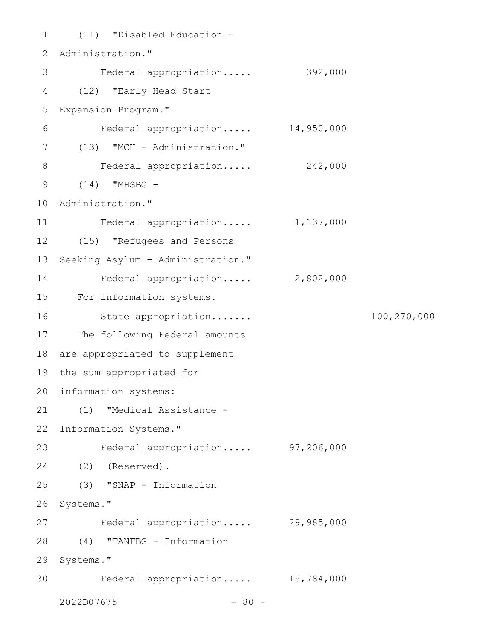(11) "Disabled Education - 1 2 Administration." Federal appropriation..... 392,000 (12) "Early Head Start 4 5 Expansion Program." Federal appropriation..... 14,950,000 (13) "MCH - Administration." 7 Federal appropriation..... 242,000 (14) "MHSBG - 9 10 Administration." Federal appropriation..... 1,137,000 (15) "Refugees and Persons 12 13 Seeking Asylum - Administration." Federal appropriation..... 2,802,000 15 For information systems. State appropriation....... 100,270,000 17 The following Federal amounts 18 are appropriated to supplement 19 the sum appropriated for 20 information systems: (1) "Medical Assistance - 21 22 Information Systems." Federal appropriation..... 97,206,000 (2) (Reserved). 24 (3) "SNAP - Information 26 Systems." Federal appropriation..... 29,985,000 (4) "TANFBG - Information 28 29 Systems." Federal appropriation..... 15,784,000 3 6 8 11 14 16 23 25 27 30

 $2022D07675$  - 80 -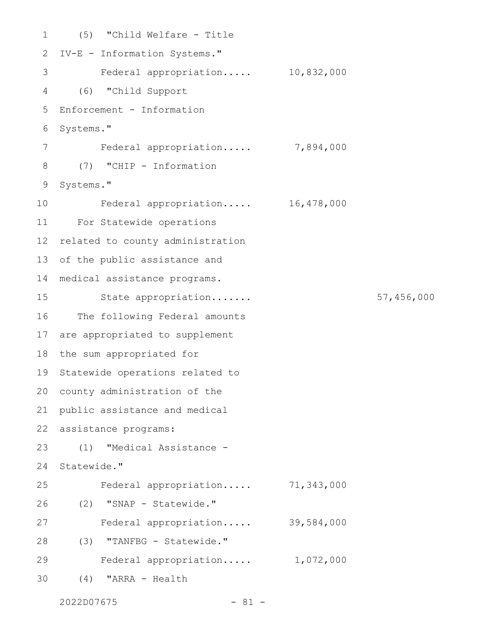```
(5) "Child Welfare - Title
 2 IV-E - Information Systems."
      Federal appropriation..... 10,832,000
 (6) "Child Support
4
  Enforcement - Information
 6 Systems."
        Federal appropriation..... 7,894,000
  (7) "CHIP - Information
 9 Systems."
        Federal appropriation..... 16,478,000
For Statewide operations
11
12 related to county administration
13 of the public assistance and
medical assistance programs.
14
         State appropriation....... 57,456,000
16 The following Federal amounts
17 are appropriated to supplement
18 the sum appropriated for
19 Statewide operations related to
20 county administration of the
21 public assistance and medical
22 assistance programs:
      (1) "Medical Assistance -
24 Statewide."
         Federal appropriation..... 71,343,000
      (2) "SNAP - Statewide."
        Federal appropriation..... 39,584,000
(3) "TANFBG - Statewide."
28
      Federal appropriation..... 1,072,000
    (4) "ARRA - Health
1
3
5
7
8
10
15
23
25
26
27
29
30
```

```
2022D07675 - 81 -
```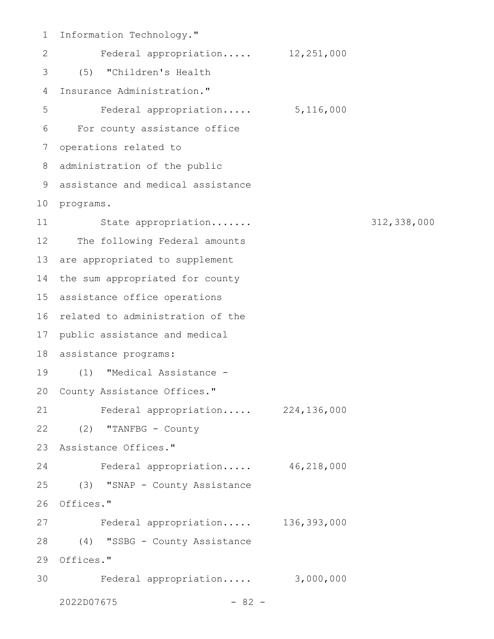Information Technology." 1 Federal appropriation..... 12,251,000 (5) "Children's Health 3 4 Insurance Administration." Federal appropriation..... 5,116,000 For county assistance office 6 7 operations related to 8 administration of the public assistance and medical assistance 9 10 programs. State appropriation....... 312,338,000 12 The following Federal amounts 13 are appropriated to supplement 14 the sum appropriated for county assistance office operations 15 16 related to administration of the 17 public assistance and medical assistance programs: 18 (1) "Medical Assistance - 19 20 County Assistance Offices." Federal appropriation..... 224,136,000 22 (2) "TANFBG - County Assistance Offices." 23 Federal appropriation..... 46,218,000 24 25 (3) "SNAP - County Assistance 26 Offices." Federal appropriation..... 136,393,000 (4) "SSBG - County Assistance 28 29 Offices." Federal appropriation..... 3,000,000 302 5 11 21 27

 $2022D07675$  - 82 -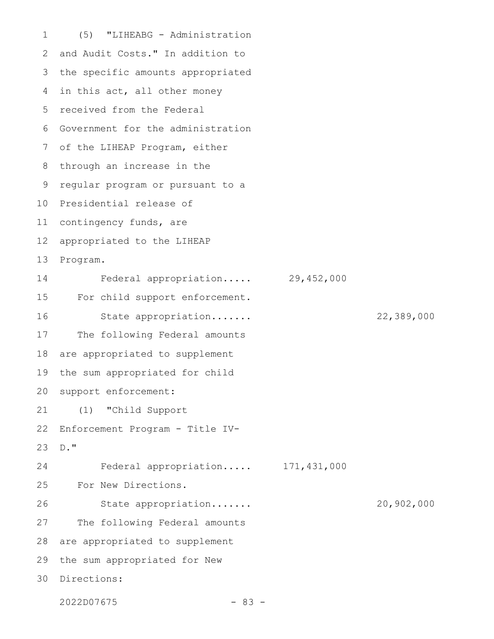(5) "LIHEABG - Administration and Audit Costs." In addition to the specific amounts appropriated 4 in this act, all other money 5 received from the Federal Government for the administration 6 7 of the LIHEAP Program, either 8 through an increase in the regular program or pursuant to a 10 Presidential release of 11 contingency funds, are appropriated to the LIHEAP Program. Federal appropriation..... 29,452,000 For child support enforcement. State appropriation....... 22,389,000 The following Federal amounts are appropriated to supplement the sum appropriated for child support enforcement: (1) "Child Support Enforcement Program - Title IV-D." Federal appropriation..... 171,431,000 For New Directions. State appropriation....... 20,902,000 The following Federal amounts are appropriated to supplement the sum appropriated for New Directions: 301 2 3 9 12 13 14 15 16 17 18 19 20 21 22 23 24 25 26 27 28 29

2022D07675 - 83 -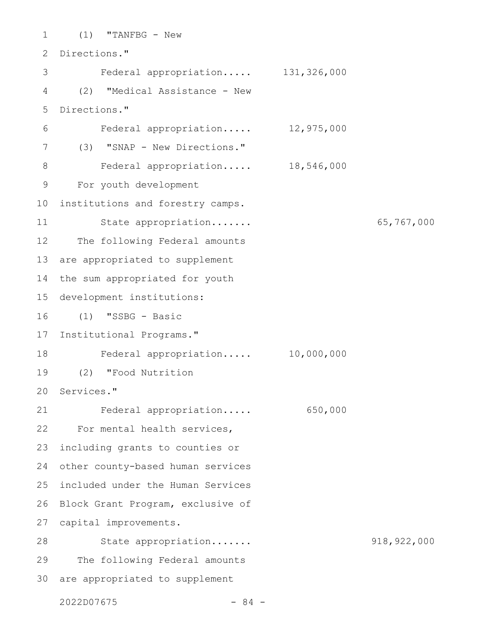(1) "TANFBG - New 2 Directions." Federal appropriation..... 131,326,000 (2) "Medical Assistance - New Directions." Federal appropriation..... 12,975,000 (3) "SNAP - New Directions." Federal appropriation..... 18,546,000 For youth development 10 institutions and forestry camps. State appropriation....... 65,767,000 The following Federal amounts are appropriated to supplement the sum appropriated for youth 15 development institutions: (1) "SSBG - Basic 17 Institutional Programs." Federal appropriation..... 10,000,000 (2) "Food Nutrition 20 Services." Federal appropriation..... 650,000 22 For mental health services, 23 including grants to counties or other county-based human services 25 included under the Human Services 26 Block Grant Program, exclusive of 27 capital improvements. State appropriation....... 918,922,000 The following Federal amounts 30 are appropriated to supplement 1 3 4 5 6 7 8 9 11 12 13 14 16 18 19 21 24 28 29

 $2022D07675$  - 84 -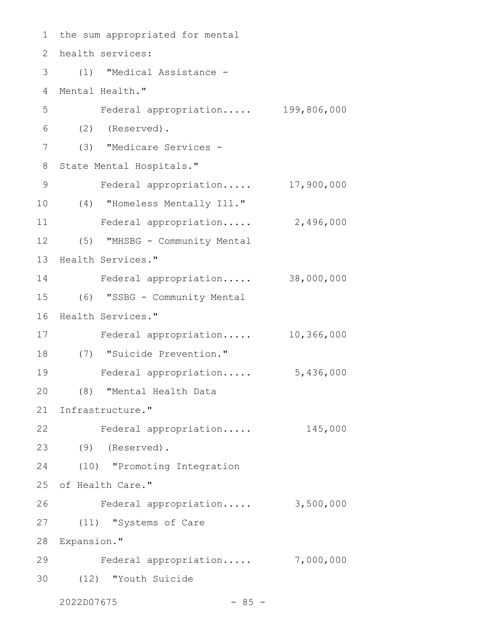1 the sum appropriated for mental health services: 2 (1) "Medical Assistance - 3 Mental Health." 4 Federal appropriation..... 199,806,000 (2) (Reserved). (3) "Medicare Services - 7 8 State Mental Hospitals." Federal appropriation..... 17,900,000 (4) "Homeless Mentally Ill." 10 Federal appropriation..... 2,496,000 (5) "MHSBG - Community Mental 12 13 Health Services." Federal appropriation..... 38,000,000 14 (6) "SSBG - Community Mental 15 16 Health Services." Federal appropriation..... 10,366,000 17 (7) "Suicide Prevention." 18 Federal appropriation..... 5,436,000 (8) "Mental Health Data 21 Infrastructure." 22 Federal appropriation..... 145,000 (9) (Reserved). 23 (10) "Promoting Integration 24 25 of Health Care." Federal appropriation..... 3,500,000 (11) "Systems of Care 27 28 Expansion." Federal appropriation..... 7,000,000 29 (12) "Youth Suicide 302022D07675 - 85 - 5 6 9 11 19 20 26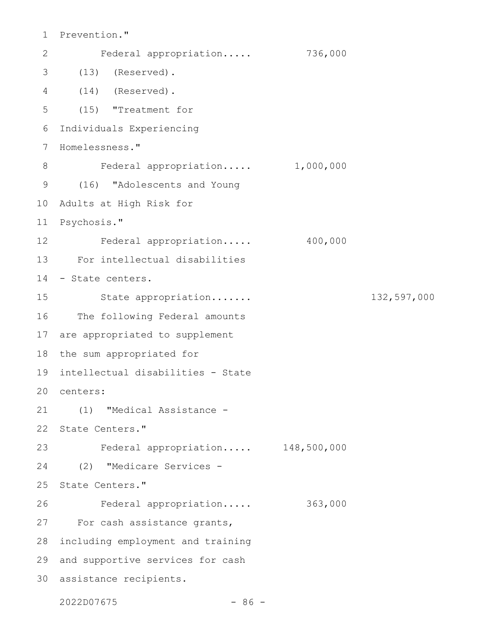```
1 Prevention."
       Federal appropriation..... 736,000
 (13) (Reserved).
3
 (14) (Reserved).
4
     (15) "Treatment for
 Individuals Experiencing
6
 7 Homelessness."
      Federal appropriation..... 1,000,000
 (16) "Adolescents and Young
9
10 Adults at High Risk for
Psychosis."
11
12 Federal appropriation..... 400,000
For intellectual disabilities
13
14 - State centers.
        State appropriation....... 132,597,000
16 The following Federal amounts
17 are appropriated to supplement
18 the sum appropriated for
intellectual disabilities - State
19
centers:
20
(1) "Medical Assistance -
21
22 State Centers."
Federal appropriation..... 148,500,000
23
(2) "Medicare Services -
24
25 State Centers."
    Federal appropriation..... 363,000
27 For cash assistance grants,
28 including employment and training
29 and supportive services for cash
30 assistance recipients.
2
5
8
15
26
```
2022D07675 - 86 -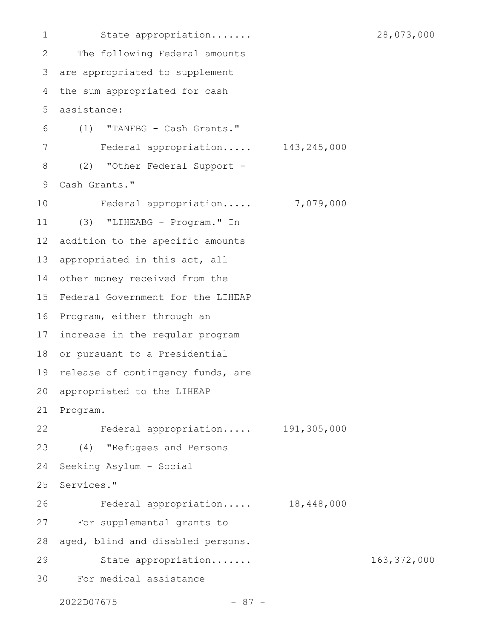State appropriation....... 28,073,000 The following Federal amounts are appropriated to supplement the sum appropriated for cash assistance: (1) "TANFBG - Cash Grants." Federal appropriation..... 143,245,000 (2) "Other Federal Support - Cash Grants." Federal appropriation..... 7,079,000 (3) "LIHEABG - Program." In addition to the specific amounts appropriated in this act, all other money received from the 15 Federal Government for the LIHEAP 16 Program, either through an 17 increase in the regular program 18 or pursuant to a Presidential 19 release of contingency funds, are 20 appropriated to the LIHEAP 21 Program. Federal appropriation..... 191,305,000 (4) "Refugees and Persons Seeking Asylum - Social Services." Federal appropriation..... 18,448,000 For supplemental grants to aged, blind and disabled persons. State appropriation....... 163,372,000 For medical assistance 1 2 3 4 5 6 7 8 9 10 11 12 13 14 22 23 24 25 26 27 28 29 30

2022D07675 - 87 -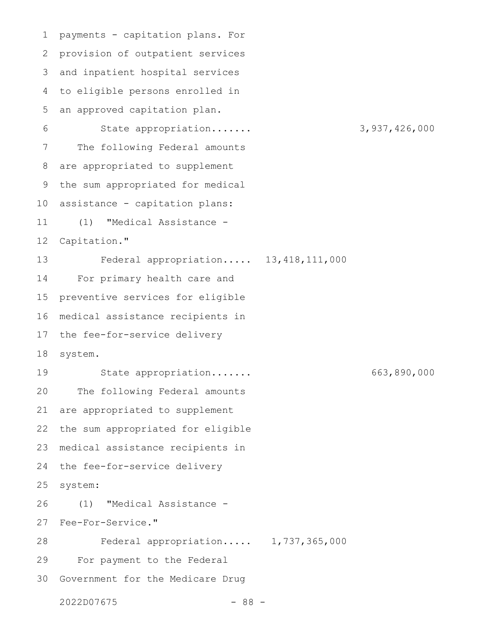payments - capitation plans. For provision of outpatient services and inpatient hospital services to eligible persons enrolled in an approved capitation plan. State appropriation....... 3,937,426,000 The following Federal amounts are appropriated to supplement the sum appropriated for medical assistance - capitation plans: (1) "Medical Assistance - Capitation." Federal appropriation..... 13,418,111,000 For primary health care and preventive services for eligible medical assistance recipients in the fee-for-service delivery system. State appropriation....... 663,890,000 The following Federal amounts are appropriated to supplement the sum appropriated for eligible medical assistance recipients in the fee-for-service delivery system: (1) "Medical Assistance - Fee-For-Service." Federal appropriation..... 1,737,365,000 For payment to the Federal Government for the Medicare Drug 1 2 3 4 5 6 7 8 9 10 11 12 13 14 15 16 17 18 19 20 21 22 23 24 25 26 27 28 29 30

 $2022D07675$  - 88 -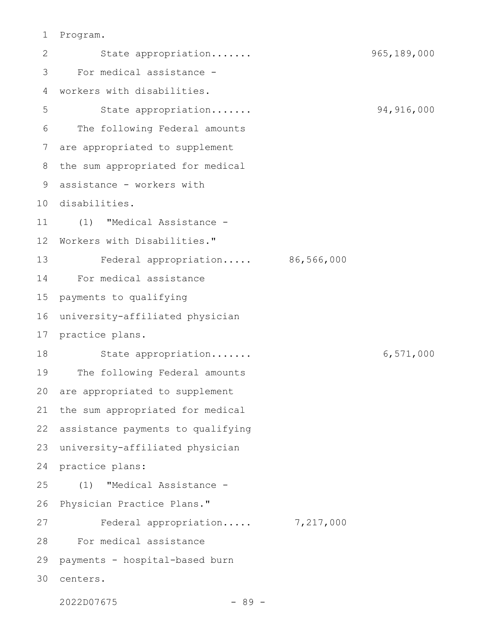## Program. 1

State appropriation....... 965,189,000 For medical assistance workers with disabilities. State appropriation....... 94,916,000 The following Federal amounts are appropriated to supplement the sum appropriated for medical assistance - workers with 9 10 disabilities. (1) "Medical Assistance - Workers with Disabilities." Federal appropriation..... 86,566,000 For medical assistance payments to qualifying university-affiliated physician 16 17 practice plans. State appropriation....... 6,571,000 The following Federal amounts are appropriated to supplement the sum appropriated for medical assistance payments to qualifying university-affiliated physician practice plans: (1) "Medical Assistance - Physician Practice Plans." Federal appropriation..... 7,217,000 For medical assistance payments - hospital-based burn centers. 302 3 4 5 6 7 8 11 12 13 14 15 18 19 20 21 22 23 24 25 26 27 28 29

 $2022D07675$  - 89 -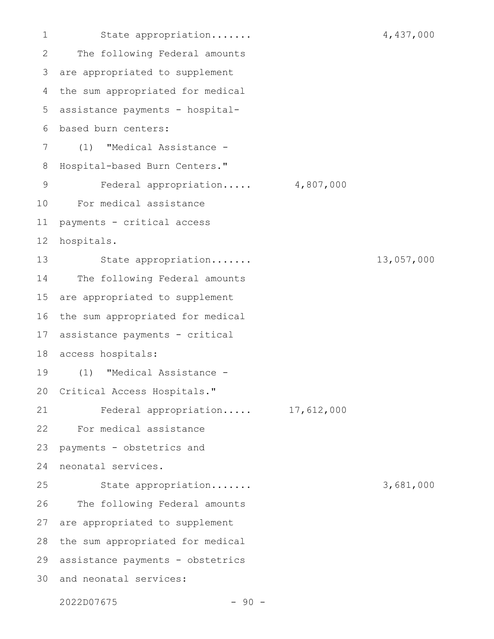State appropriation....... 4,437,000 The following Federal amounts are appropriated to supplement the sum appropriated for medical assistance payments - hospitalbased burn centers: (1) "Medical Assistance - Hospital-based Burn Centers." Federal appropriation..... 4,807,000 For medical assistance payments - critical access hospitals. State appropriation....... 13,057,000 The following Federal amounts are appropriated to supplement the sum appropriated for medical assistance payments - critical access hospitals: (1) "Medical Assistance - Critical Access Hospitals." Federal appropriation..... 17,612,000 For medical assistance payments - obstetrics and neonatal services. State appropriation....... 3,681,000 The following Federal amounts are appropriated to supplement the sum appropriated for medical assistance payments - obstetrics 29 30 and neonatal services: 1 2 3 4 5 6 7 8 9 10 11 12 13 14 15 16 17 18 19 20 21 22 23 24 25 26 27 28

 $2022D07675$  - 90 -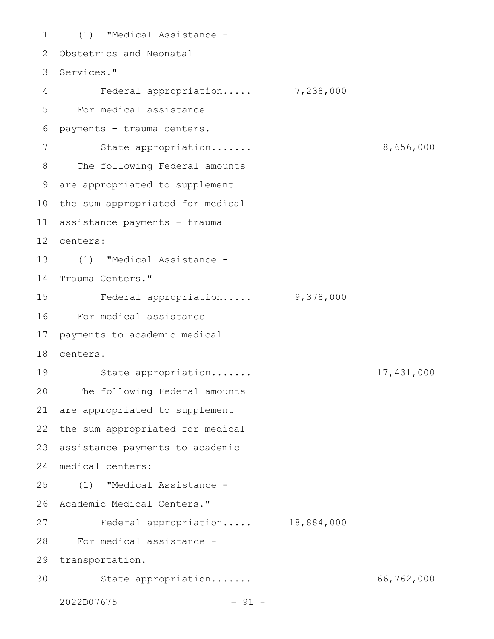(1) "Medical Assistance - 1 2 Obstetrics and Neonatal 3 Services." 4 Federal appropriation..... 7,238,000 For medical assistance 5 payments - trauma centers. 6 State appropriation....... 8,656,000 The following Federal amounts are appropriated to supplement 9 10 the sum appropriated for medical assistance payments - trauma 11 centers: 12 (1) "Medical Assistance - 13 14 Trauma Centers." Federal appropriation..... 9,378,000 For medical assistance 16 payments to academic medical centers. 18 State appropriation....... 17,431,000 19 20 The following Federal amounts 21 are appropriated to supplement 22 the sum appropriated for medical 23 assistance payments to academic medical centers: 24 (1) "Medical Assistance - 25 26 Academic Medical Centers." Federal appropriation..... 18,884,000 For medical assistance - 28 29 transportation. State appropriation....... 66,762,000  $2022D07675$  - 91 -7 8 15 17 27 30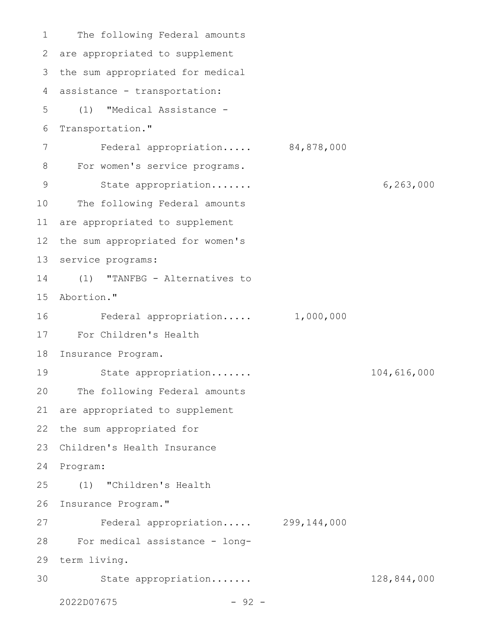The following Federal amounts are appropriated to supplement 2 3 the sum appropriated for medical 4 assistance - transportation: (1) "Medical Assistance - 5 Transportation." Federal appropriation..... 84,878,000 For women's service programs. State appropriation....... 6,263,000 The following Federal amounts 11 are appropriated to supplement 12 the sum appropriated for women's 13 service programs: (1) "TANFBG - Alternatives to 15 Abortion." Federal appropriation..... 1,000,000 For Children's Health 17 Insurance Program. 18 State appropriation....... 104,616,000 20 The following Federal amounts 21 are appropriated to supplement 22 the sum appropriated for 23 Children's Health Insurance 24 Program: (1) "Children's Health 26 Insurance Program." Federal appropriation..... 299,144,000 For medical assistance - long-28 term living. 29 State appropriation....... 128,844,000  $2022D07675$  - 92 -1 6 7 8 9 10 14 16 19 25 27 30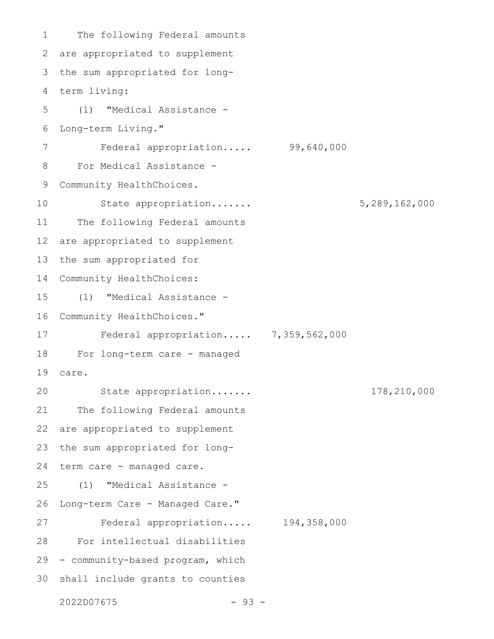The following Federal amounts are appropriated to supplement 3 the sum appropriated for longterm living: 4 (1) "Medical Assistance - Long-term Living." Federal appropriation..... 99,640,000 For Medical Assistance - Community HealthChoices. State appropriation....... 5,289,162,000 The following Federal amounts are appropriated to supplement the sum appropriated for Community HealthChoices: (1) "Medical Assistance - Community HealthChoices." Federal appropriation..... 7,359,562,000 For long-term care - managed care. State appropriation....... 178,210,000 The following Federal amounts are appropriated to supplement the sum appropriated for longterm care - managed care. (1) "Medical Assistance - Long-term Care - Managed Care." Federal appropriation..... 194,358,000 For intellectual disabilities 29 - community-based program, which 30 shall include grants to counties 1 2 5 6 7 8 9 10 11 12 13 14 15 16 17 18 19 20 21 22 23 24 25 26 27 28

 $2022D07675$  - 93 -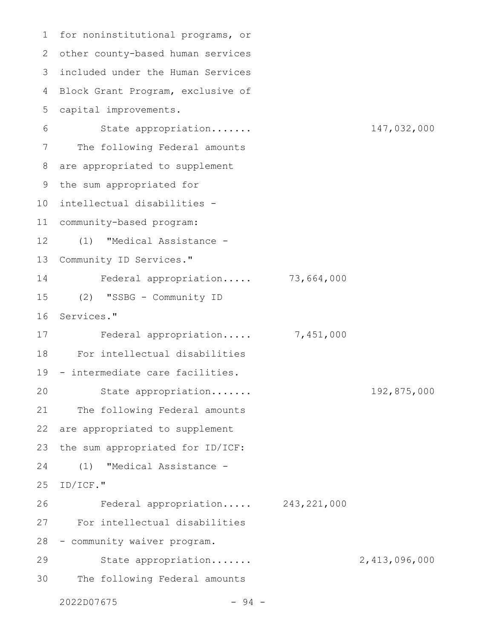1 for noninstitutional programs, or other county-based human services 2 included under the Human Services 3 Block Grant Program, exclusive of capital improvements. State appropriation....... 147,032,000 The following Federal amounts are appropriated to supplement the sum appropriated for intellectual disabilities - 10 community-based program: 11 (1) "Medical Assistance - Community ID Services." Federal appropriation..... 73,664,000 (2) "SSBG - Community ID Services." Federal appropriation..... 7,451,000 For intellectual disabilities 19 - intermediate care facilities. State appropriation....... 192,875,000 The following Federal amounts are appropriated to supplement the sum appropriated for ID/ICF: (1) "Medical Assistance - ID/ICF." Federal appropriation..... 243,221,000 For intellectual disabilities 28 - community waiver program. State appropriation....... 2,413,096,000 The following Federal amounts  $2022D07675$  - 94 -4 5 6 7 8 9 12 13 14 15 16 17 18 20 21 22 23 24 25 26 27 29 30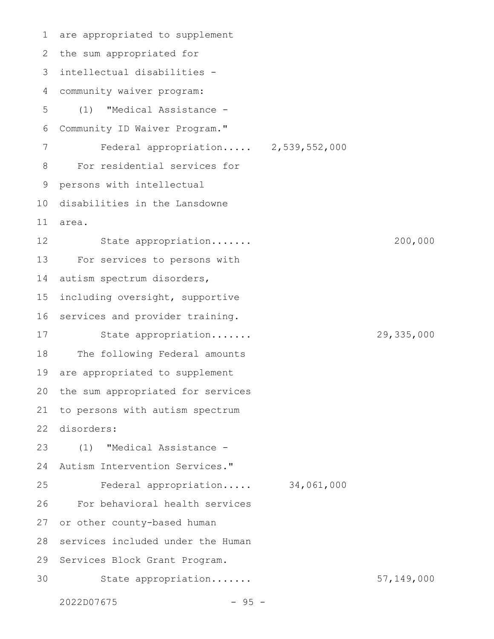are appropriated to supplement 1 2 the sum appropriated for intellectual disabilities - 3 community waiver program: (1) "Medical Assistance - Community ID Waiver Program." Federal appropriation..... 2,539,552,000 For residential services for persons with intellectual 10 disabilities in the Lansdowne area. State appropriation....... 200,000 For services to persons with autism spectrum disorders, including oversight, supportive services and provider training. State appropriation....... 29,335,000 The following Federal amounts are appropriated to supplement the sum appropriated for services to persons with autism spectrum disorders: (1) "Medical Assistance - Autism Intervention Services." Federal appropriation..... 34,061,000 For behavioral health services or other county-based human services included under the Human 29 Services Block Grant Program. State appropriation....... 57,149,000 2022D07675 - 95 - 4 5 6 7 8 9 11 12 13 14 15 16 17 18 19 20 21 22 23 24 25 26 27 28 30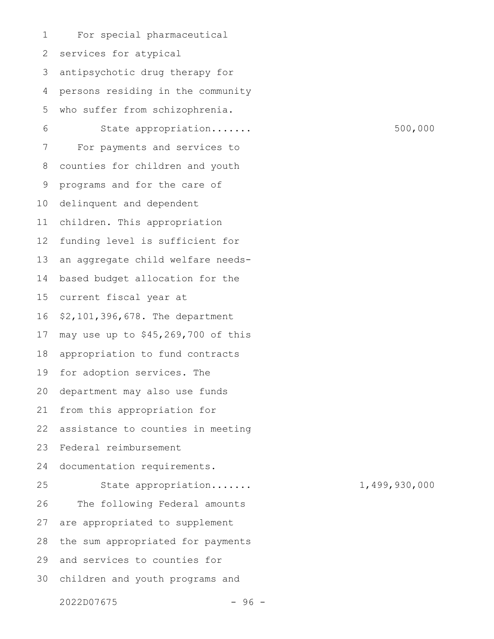For special pharmaceutical services for atypical antipsychotic drug therapy for persons residing in the community who suffer from schizophrenia. State appropriation....... 500,000 For payments and services to counties for children and youth programs and for the care of delinquent and dependent children. This appropriation funding level is sufficient for an aggregate child welfare needsbased budget allocation for the current fiscal year at \$2,101,396,678. The department may use up to \$45,269,700 of this appropriation to fund contracts for adoption services. The department may also use funds from this appropriation for assistance to counties in meeting Federal reimbursement documentation requirements. State appropriation....... 1,499,930,000 The following Federal amounts are appropriated to supplement the sum appropriated for payments and services to counties for 30 children and youth programs and 1 2 3 4 5 6 7 8 9 10 11 12 13 14 15 16 17 18 19 20 21 22 23 24 25 26 27 28 29

 $2022D07675$  - 96 -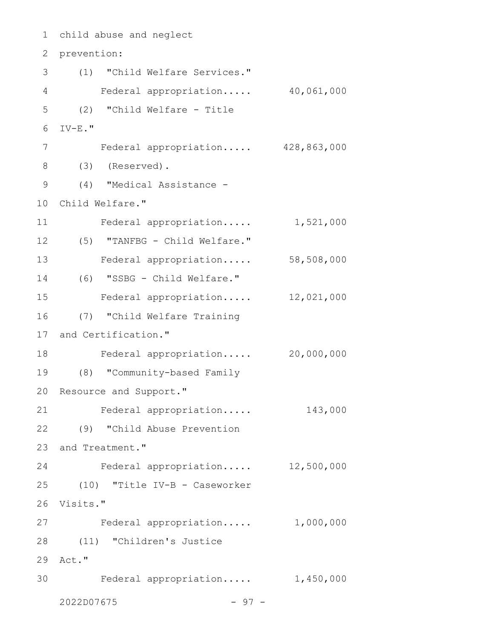| 1              | child abuse and neglect           |            |  |  |  |
|----------------|-----------------------------------|------------|--|--|--|
| 2              | prevention:                       |            |  |  |  |
| 3              | (1) "Child Welfare Services."     |            |  |  |  |
| $\overline{4}$ | Federal appropriation 40,061,000  |            |  |  |  |
| 5              | (2) "Child Welfare - Title        |            |  |  |  |
| 6              | $\texttt{IV-E.}$ "                |            |  |  |  |
| 7              | Federal appropriation 428,863,000 |            |  |  |  |
| 8              | $(3)$ (Reserved).                 |            |  |  |  |
| $\mathcal{G}$  | (4) "Medical Assistance -         |            |  |  |  |
| 10             | Child Welfare."                   |            |  |  |  |
| 11             | Federal appropriation             | 1,521,000  |  |  |  |
| 12             | (5) "TANFBG - Child Welfare."     |            |  |  |  |
| 13             | Federal appropriation             | 58,508,000 |  |  |  |
| 14             | (6) "SSBG - Child Welfare."       |            |  |  |  |
| 15             | Federal appropriation             | 12,021,000 |  |  |  |
| 16             | (7) "Child Welfare Training       |            |  |  |  |
| 17             | and Certification."               |            |  |  |  |
| 18             | Federal appropriation             | 20,000,000 |  |  |  |
| 19             | (8) "Community-based Family       |            |  |  |  |
|                | 20 Resource and Support."         |            |  |  |  |
| 21             | Federal appropriation             | 143,000    |  |  |  |
|                | 22 (9) "Child Abuse Prevention    |            |  |  |  |
|                | 23 and Treatment."                |            |  |  |  |
| 24             | Federal appropriation 12,500,000  |            |  |  |  |
|                | 25 (10) "Title IV-B - Caseworker  |            |  |  |  |
|                | 26 Visits."                       |            |  |  |  |
| 27             | Federal appropriation 1,000,000   |            |  |  |  |
| 28             | (11) "Children's Justice          |            |  |  |  |
| 29             | Act."                             |            |  |  |  |
| 30             | Federal appropriation 1,450,000   |            |  |  |  |
|                | 2022D07675<br>$-97 -$             |            |  |  |  |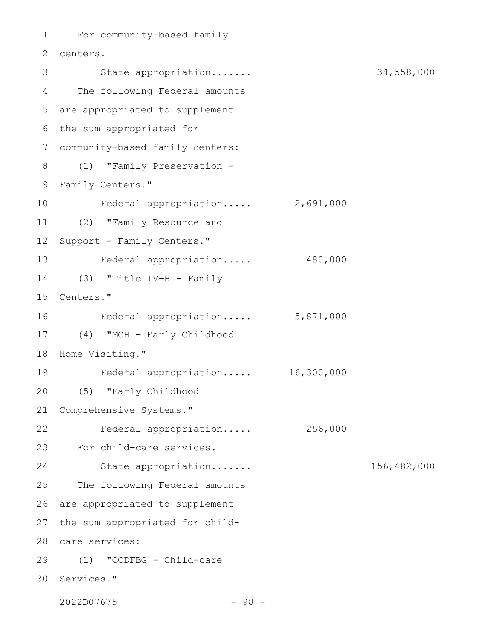```
For community-based family
1
centers.
2
         State appropriation....... 34,558,000
The following Federal amounts
4
are appropriated to supplement
5
6 the sum appropriated for
community-based family centers:
7
(1) "Family Preservation -
8
Family Centers."
9
     Federal appropriation..... 2,691,000
(2) "Family Resource and
11
   Support - Family Centers."
13 Federal appropriation..... 480,000
(3) "Title IV-B - Family
14
15 Centers."
    Federal appropriation..... 5,871,000
(4) "MCH - Early Childhood
17
18 Home Visiting."
    Federal appropriation..... 16,300,000
(5) "Early Childhood
20
21 Comprehensive Systems."
     Federal appropriation..... 256,000
For child-care services.
23
         State appropriation....... 156,482,000
   The following Federal amounts
  are appropriated to supplement
27 the sum appropriated for child-
care services:
28
(1) "CCDFBG - Child-care
29
30 Services."
   2022D07675 - 98 -
3
10
12
16
19
22
24
25
26
```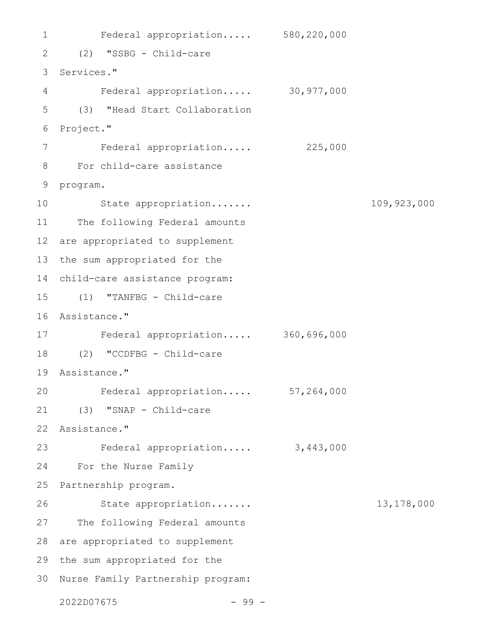```
Federal appropriation..... 580,220,000
(2) "SSBG - Child-care
2
3 Services."
   Federal appropriation..... 30,977,000
   (3) "Head Start Collaboration
6 Project."
       Federal appropriation..... 225,000
For child-care assistance
8
9 program.
    State appropriation....... 109,923,000
11 The following Federal amounts
12 are appropriated to supplement
13 the sum appropriated for the
child-care assistance program:
14
(1) "TANFBG - Child-care
15
16 Assistance."
Federal appropriation..... 360,696,000
17
(2) "CCDFBG - Child-care
18
Assistance."
19
    Federal appropriation..... 57,264,000
(3) "SNAP - Child-care
21
22 Assistance."
23 Federal appropriation..... 3,443,000
For the Nurse Family
24
25 Partnership program.
        State appropriation....... 13,178,000
27 The following Federal amounts
28 are appropriated to supplement
29 the sum appropriated for the
30 Nurse Family Partnership program:
   2022D07675 - 99 -
1
4
5
7
10
20
26
```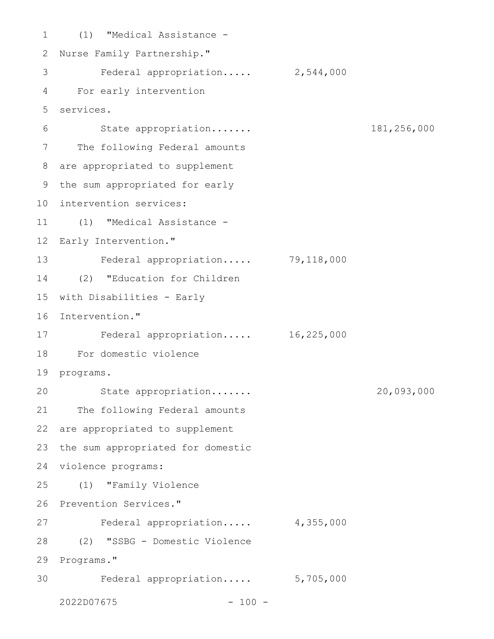(1) "Medical Assistance - 1 2 Nurse Family Partnership." 3 Federal appropriation..... 2,544,000 For early intervention 4 services. 5 State appropriation....... 181,256,000 7 The following Federal amounts are appropriated to supplement 8 9 the sum appropriated for early 10 intervention services: (1) "Medical Assistance - 11 12 Early Intervention." Federal appropriation..... 79,118,000 13 (2) "Education for Children 14 15 with Disabilities - Early 16 Intervention." Federal appropriation..... 16,225,000 17 For domestic violence 18 19 programs. State appropriation....... 20,093,000 21 The following Federal amounts 22 are appropriated to supplement 23 the sum appropriated for domestic 24 violence programs: (1) "Family Violence 25 26 Prevention Services." Federal appropriation..... 4,355,000 (2) "SSBG - Domestic Violence 28 29 Programs." Federal appropriation..... 5,705,000 2022D07675 - 100 - 6 20 27 30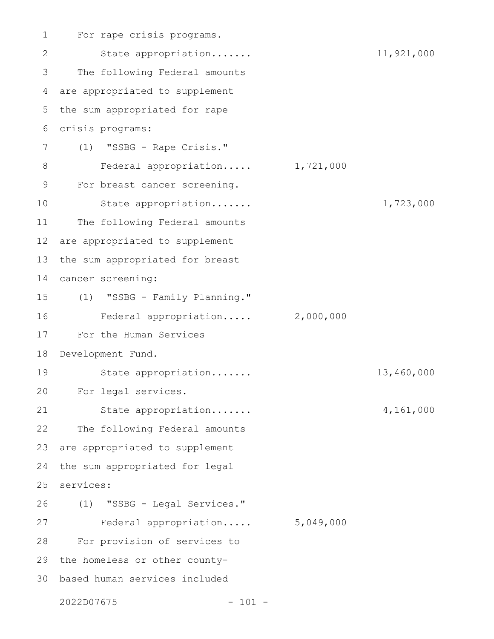For rape crisis programs. State appropriation....... 11,921,000 The following Federal amounts are appropriated to supplement the sum appropriated for rape crisis programs: (1) "SSBG - Rape Crisis." Federal appropriation..... 1,721,000 For breast cancer screening. State appropriation....... 1,723,000 The following Federal amounts are appropriated to supplement the sum appropriated for breast cancer screening: (1) "SSBG - Family Planning." Federal appropriation..... 2,000,000 For the Human Services Development Fund. State appropriation....... 13,460,000 For legal services. State appropriation....... 4,161,000 The following Federal amounts are appropriated to supplement the sum appropriated for legal services: (1) "SSBG - Legal Services." Federal appropriation..... 5,049,000 For provision of services to 29 the homeless or other countybased human services included 302022D07675 - 101 - 1 2 3 4 5 6 7 8 9 10 11 12 13 14 15 16 17 18 19 20 21 22 23 24 25 26 27 28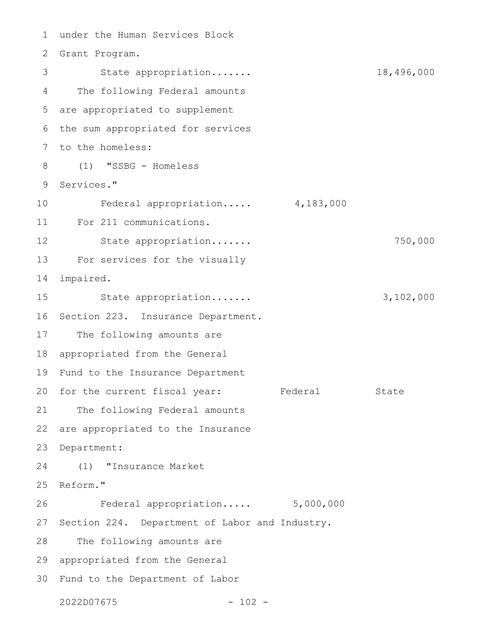under the Human Services Block 1 2 Grant Program. State appropriation....... 18,496,000 The following Federal amounts 4 are appropriated to supplement 5 6 the sum appropriated for services 7 to the homeless: (1) "SSBG - Homeless 8 9 Services." Federal appropriation..... 4,183,000 For 211 communications. 11 State appropriation....... 750,000 For services for the visually 13 impaired. State appropriation....... 3,102,000 16 Section 223. Insurance Department. The following amounts are 18 appropriated from the General 19 Fund to the Insurance Department 20 for the current fiscal year: Federal State 21 The following Federal amounts are appropriated to the Insurance 23 Department: (1) "Insurance Market Reform." Federal appropriation..... 5,000,000 27 Section 224. Department of Labor and Industry. The following amounts are 29 appropriated from the General Fund to the Department of Labor 302022D07675 - 102 - 3 10 12 14 15 17 22 24 25 26 28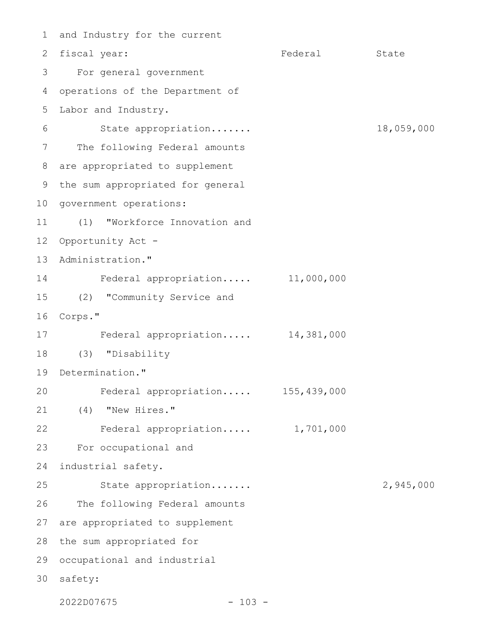1 and Industry for the current 2 fiscal year: Tederal State For general government 3 operations of the Department of 5 Labor and Industry. State appropriation....... 18,059,000 The following Federal amounts are appropriated to supplement 8 9 the sum appropriated for general 10 government operations: (1) "Workforce Innovation and 12 Opportunity Act -13 Administration." Federal appropriation..... 11,000,000 (2) "Community Service and 15 16 Corps." Federal appropriation..... 14,381,000 (3) "Disability 18 19 Determination." Federal appropriation..... 155,439,000 (4) "New Hires." 21 Federal appropriation..... 1,701,000 For occupational and 23 industrial safety. 24 State appropriation....... 2,945,000 The following Federal amounts 27 are appropriated to supplement 28 the sum appropriated for 29 occupational and industrial 30 safety: 2022D07675 - 103 - 4 6 7 11 14 17 20 22 25 26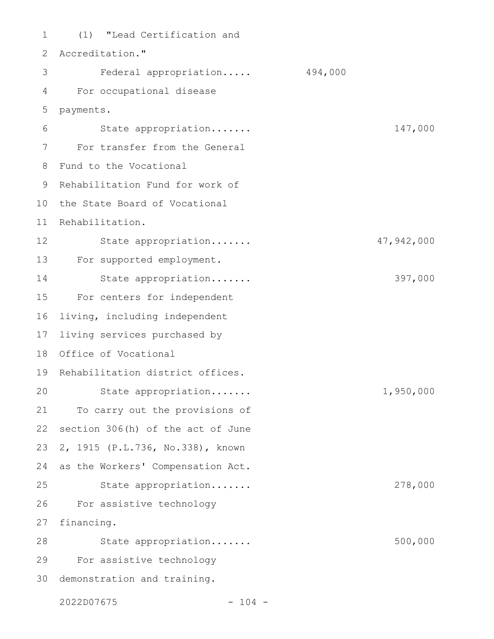(1) "Lead Certification and Accreditation." Federal appropriation..... 494,000 For occupational disease payments. State appropriation....... 147,000 For transfer from the General Fund to the Vocational 9 Rehabilitation Fund for work of 10 the State Board of Vocational Rehabilitation. State appropriation....... 47,942,000 For supported employment. State appropriation....... 397,000 For centers for independent living, including independent living services purchased by Office of Vocational 19 Rehabilitation district offices. State appropriation....... 1,950,000 To carry out the provisions of section 306(h) of the act of June 2, 1915 (P.L.736, No.338), known as the Workers' Compensation Act. State appropriation....... 278,000 For assistive technology financing. State appropriation....... 500,000 For assistive technology 30 demonstration and training. 1 2 3 4 5 6 7 8 11 12 13 14 15 16 17 18 20 21 22 23 24 25 26 27 28 29

2022D07675 - 104 -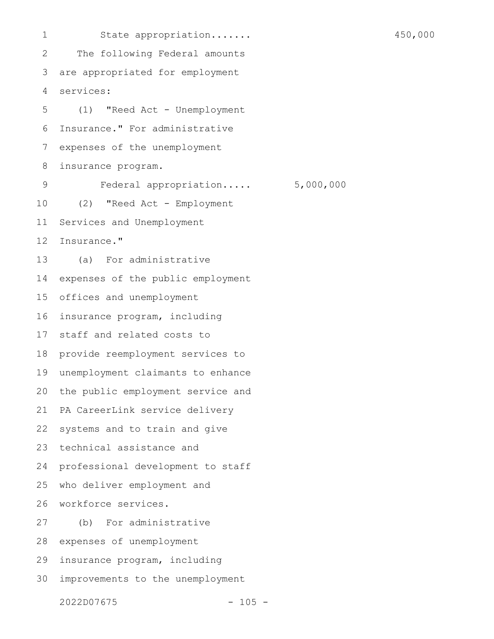State appropriation....... 450,000 The following Federal amounts are appropriated for employment services: (1) "Reed Act - Unemployment Insurance." For administrative expenses of the unemployment insurance program. Federal appropriation..... 5,000,000 (2) "Reed Act - Employment Services and Unemployment Insurance." (a) For administrative expenses of the public employment offices and unemployment insurance program, including staff and related costs to provide reemployment services to unemployment claimants to enhance the public employment service and PA CareerLink service delivery systems and to train and give technical assistance and professional development to staff who deliver employment and workforce services. (b) For administrative expenses of unemployment insurance program, including improvements to the unemployment 1 2 3 4 5 6 7 8 9 10 11 12 13 14 15 16 17 18 19 20 21 22 23 24 25 26 27 28 29 30

2022D07675 - 105 -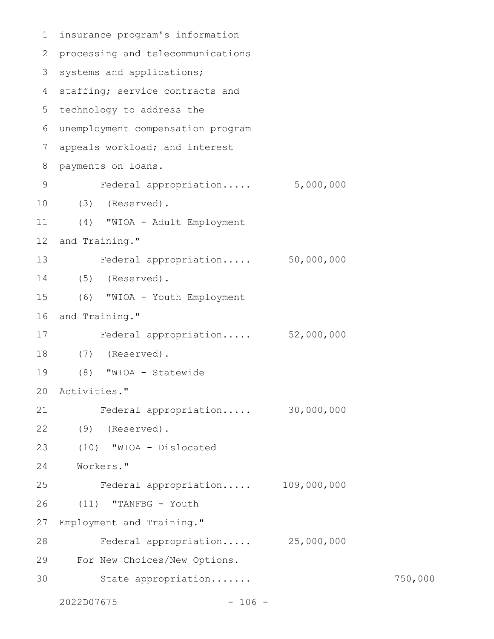```
insurance program's information
 processing and telecommunications
2
 3 systems and applications;
 4 staffing; service contracts and
 5 technology to address the
 unemployment compensation program
6
   appeals workload; and interest
   payments on loans.
         Federal appropriation..... 5,000,000
     (3) (Reserved).
     (4) "WIOA - Adult Employment
   and Training."
         Federal appropriation..... 50,000,000
(5) (Reserved).
14
      (6) "WIOA - Youth Employment
16 and Training."
         Federal appropriation..... 52,000,000
  (7) (Reserved).
      (8) "WIOA - Statewide
Activities."
20
        Federal appropriation..... 30,000,000
(9) (Reserved).
22
   (10) "WIOA - Dislocated
Workers."
24
         Federal appropriation..... 109,000,000
      (11) "TANFBG - Youth
   Employment and Training."
         Federal appropriation..... 25,000,000
      For New Choices/New Options.
         State appropriation....... 750,000
   2022D07675 - 106 -
1
7
8
9
10
11
12
13
15
17
18
19
21
23
25
26
27
28
29
30
```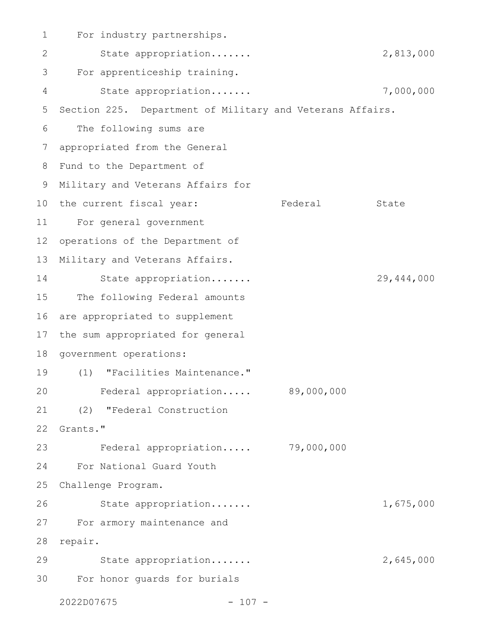For industry partnerships. State appropriation....... 2,813,000 For apprenticeship training. State appropriation....... 7,000,000 Section 225. Department of Military and Veterans Affairs. The following sums are appropriated from the General 8 Fund to the Department of 9 Military and Veterans Affairs for 10 the current fiscal year: Tederal State For general government 11 operations of the Department of Military and Veterans Affairs. State appropriation....... 29,444,000 The following Federal amounts are appropriated to supplement the sum appropriated for general 18 government operations: (1) "Facilities Maintenance." 19 Federal appropriation..... 89,000,000 (2) "Federal Construction Grants." Federal appropriation..... 79,000,000 For National Guard Youth Challenge Program. 25 State appropriation....... 1,675,000 For armory maintenance and 27 28 repair. State appropriation....... example 2,645,000 For honor guards for burials 302022D07675 - 107 - 1 2 3 4 5 6 7 12 13 14 15 16 17 20 21 22 23 24 26 29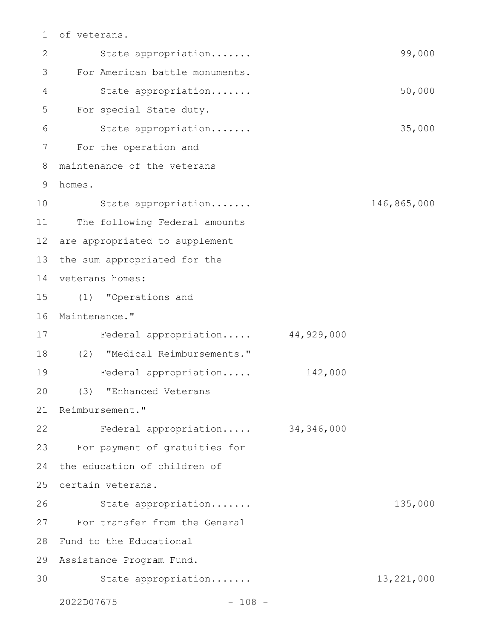## of veterans. 1

| $\mathbf{2}$ | State appropriation              |            | 99,000       |
|--------------|----------------------------------|------------|--------------|
| 3            | For American battle monuments.   |            |              |
| 4            | State appropriation              |            | 50,000       |
| 5            | For special State duty.          |            |              |
| 6            | State appropriation              |            | 35,000       |
| 7            | For the operation and            |            |              |
| 8            | maintenance of the veterans      |            |              |
| 9            | homes.                           |            |              |
| 10           | State appropriation              |            | 146,865,000  |
| 11           | The following Federal amounts    |            |              |
| 12           | are appropriated to supplement   |            |              |
| 13           | the sum appropriated for the     |            |              |
| 14           | veterans homes:                  |            |              |
| 15           | (1) "Operations and              |            |              |
| 16           | Maintenance."                    |            |              |
| 17           | Federal appropriation            | 44,929,000 |              |
| 18           | (2) "Medical Reimbursements."    |            |              |
| 19           | Federal appropriation            | 142,000    |              |
| 20           | (3)<br>"Enhanced Veterans        |            |              |
|              | 21 Reimbursement."               |            |              |
| 22           | Federal appropriation 34,346,000 |            |              |
| 23           | For payment of gratuities for    |            |              |
| 24           | the education of children of     |            |              |
| 25           | certain veterans.                |            |              |
| 26           | State appropriation              |            | 135,000      |
| 27           | For transfer from the General    |            |              |
| 28           | Fund to the Educational          |            |              |
| 29           | Assistance Program Fund.         |            |              |
| 30           | State appropriation              |            | 13, 221, 000 |
|              | 2022D07675<br>$-108 -$           |            |              |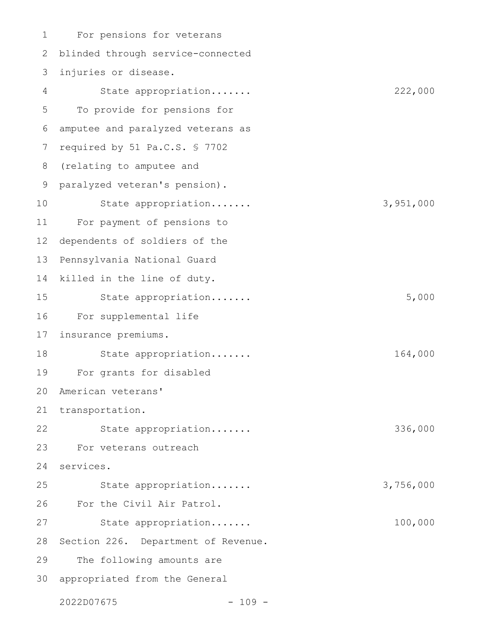For pensions for veterans blinded through service-connected injuries or disease. State appropriation....... 222,000 To provide for pensions for amputee and paralyzed veterans as required by 51 Pa.C.S. § 7702 (relating to amputee and paralyzed veteran's pension). State appropriation....... 3,951,000 For payment of pensions to dependents of soldiers of the Pennsylvania National Guard killed in the line of duty. State appropriation....... 5,000 For supplemental life insurance premiums. State appropriation....... 164,000 For grants for disabled American veterans' 21 transportation. State appropriation....... 336,000 For veterans outreach services. State appropriation....... 3,756,000 For the Civil Air Patrol. State appropriation....... 100,000 Section 226. Department of Revenue. The following amounts are 30 appropriated from the General 1 2 3 4 5 6 7 8 9 10 11 12 13 14 15 16 17 18 19 20 22 23 24 25 26 27 28 29

2022D07675 - 109 -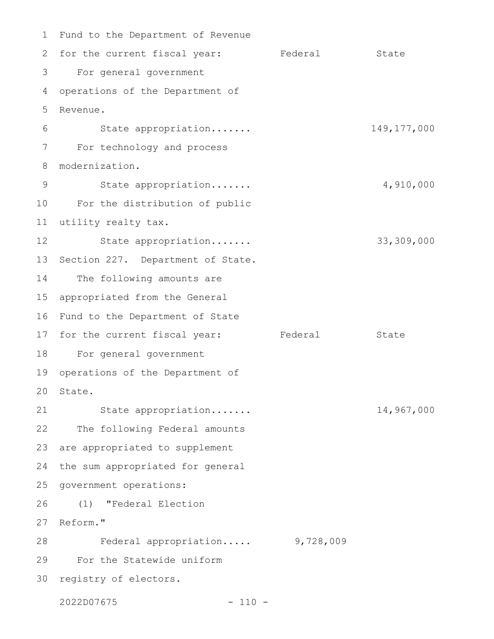1 Fund to the Department of Revenue 2 for the current fiscal year: Federal State For general government 3 4 operations of the Department of Revenue. State appropriation....... 149,177,000 For technology and process modernization. State appropriation....... 4,910,000 For the distribution of public 10 utility realty tax. 11 State appropriation....... 33,309,000 13 Section 227. Department of State. 14 The following amounts are appropriated from the General 16 Fund to the Department of State 17 for the current fiscal year: Federal State For general government 18 operations of the Department of 20 State. State appropriation....... 14,967,000 22 The following Federal amounts 23 are appropriated to supplement 24 the sum appropriated for general 25 government operations: (1) "Federal Election 27 Reform." Federal appropriation..... 9,728,009 For the Statewide uniform 29 30 registry of electors. 5 6 7 8 9 12 15 19 21 26 28

2022D07675 - 110 -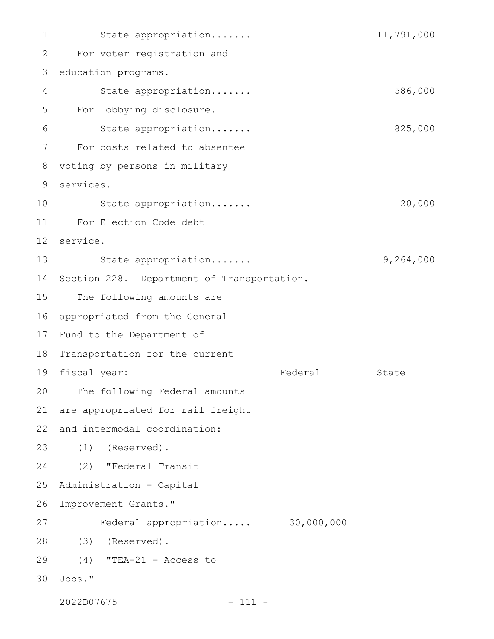State appropriation....... 11,791,000 For voter registration and 3 education programs. State appropriation....... 586,000 For lobbying disclosure. State appropriation....... 825,000 For costs related to absentee 8 voting by persons in military services. 9 State appropriation....... 20,000 For Election Code debt 11 service. 12 State appropriation....... 9,264,000 Section 228. Department of Transportation. The following amounts are appropriated from the General 17 Fund to the Department of 18 Transportation for the current 19 fiscal year: Tederal State The following Federal amounts are appropriated for rail freight and intermodal coordination: (1) (Reserved). 23 (2) "Federal Transit Administration - Capital 26 Improvement Grants." Federal appropriation..... 30,000,000 (3) (Reserved). 28 (4) "TEA-21 - Access to 29 Jobs." 301 2 4 5 6 7 10 13 14 15 16 20 21 22 24 25 27

2022D07675 - 111 -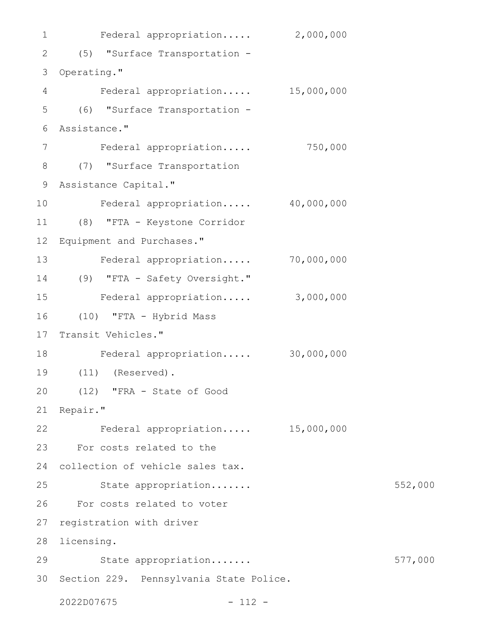Federal appropriation..... 2,000,000 (5) "Surface Transportation - 2 3 Operating." Federal appropriation..... 15,000,000 (6) "Surface Transportation - Assistance." Federal appropriation..... 750,000 (7) "Surface Transportation 8 Assistance Capital." 9 Federal appropriation..... 40,000,000 (8) "FTA - Keystone Corridor 11 Equipment and Purchases." Federal appropriation..... 70,000,000 (9) "FTA - Safety Oversight." 14 Federal appropriation..... 3,000,000 (10) "FTA - Hybrid Mass Transit Vehicles." Federal appropriation..... 30,000,000 (11) (Reserved). 19 (12) "FRA - State of Good 21 Repair." Federal appropriation..... 15,000,000 23 For costs related to the 24 collection of vehicle sales tax. State appropriation....... 652,000 For costs related to voter 26 registration with driver 28 licensing. State appropriation....... 577,000 30 Section 229. Pennsylvania State Police. 2022D07675 - 112 - 1 4 5 6 7 10 12 13 15 16 17 18 20 22 25 27 29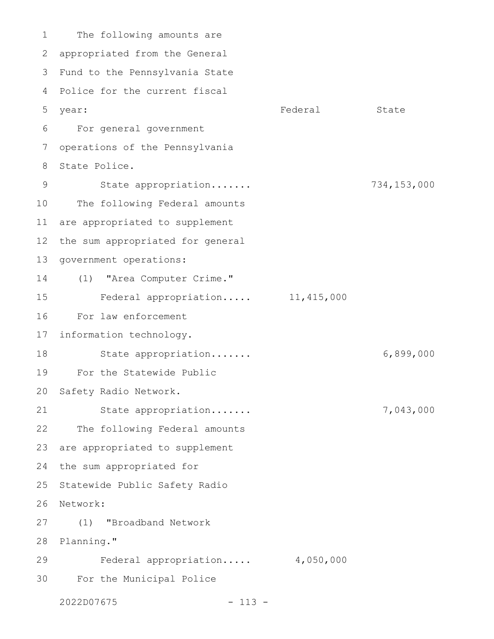The following amounts are 2 appropriated from the General Fund to the Pennsylvania State 3 4 Police for the current fiscal year: State State State State State State State State State State State State State State State State State State For general government 6 operations of the Pennsylvania State Police. State appropriation....... 734,153,000 The following Federal amounts are appropriated to supplement the sum appropriated for general government operations: (1) "Area Computer Crime." Federal appropriation..... 11,415,000 For law enforcement information technology. State appropriation....... 6,899,000 For the Statewide Public Safety Radio Network. State appropriation....... 7,043,000 The following Federal amounts are appropriated to supplement 24 the sum appropriated for 25 Statewide Public Safety Radio 26 Network: (1) "Broadband Network 28 Planning." Federal appropriation..... 4,050,000 For the Municipal Police 2022D07675 - 113 - 1 5 7 8 9 10 11 12 13 14 15 16 17 18 19 20 21 22 23 27 29 30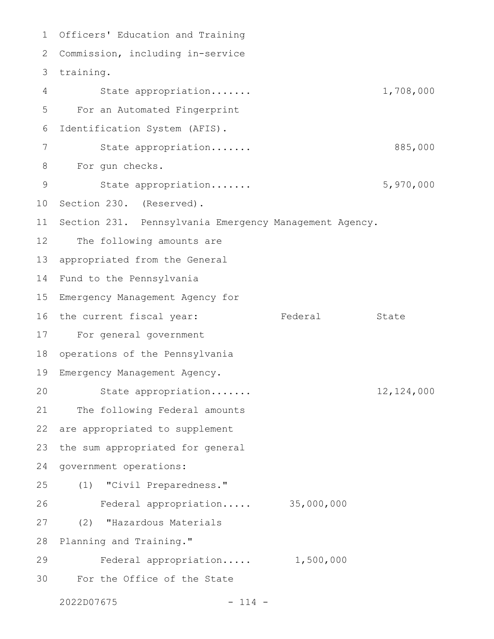1 Officers' Education and Training Commission, including in-service 2 3 training. State appropriation....... 1,708,000 For an Automated Fingerprint Identification System (AFIS). State appropriation....... 885,000 For gun checks. State appropriation....... 5,970,000 Section 230. (Reserved). Section 231. Pennsylvania Emergency Management Agency. The following amounts are appropriated from the General Fund to the Pennsylvania Emergency Management Agency for the current fiscal year: Federal State For general government operations of the Pennsylvania Emergency Management Agency. State appropriation....... 12,124,000 The following Federal amounts are appropriated to supplement the sum appropriated for general government operations: (1) "Civil Preparedness." Federal appropriation..... 35,000,000 (2) "Hazardous Materials Planning and Training." Federal appropriation..... 1,500,000 For the Office of the State 2022D07675 - 114 - 4 5 6 7 8 9 10 11 12 13 14 15 16 17 18 19 20 21 22 23 24 25 26 27 28 29 30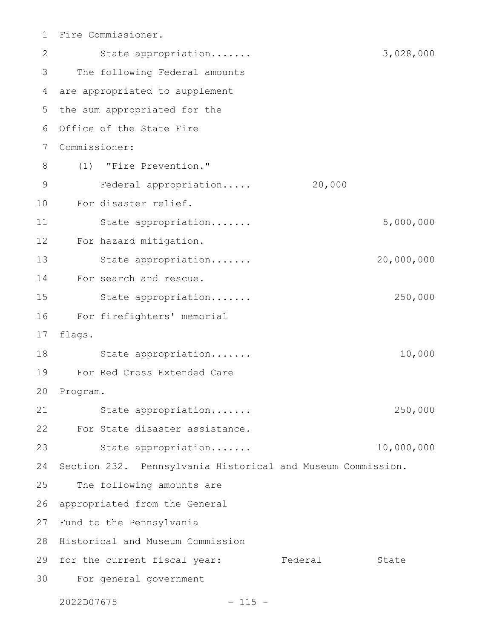Fire Commissioner. 1

State appropriation....... 3,028,000 The following Federal amounts are appropriated to supplement 4 5 the sum appropriated for the 6 Office of the State Fire Commissioner: 7 (1) "Fire Prevention." Federal appropriation..... 20,000 For disaster relief. 10 State appropriation....... 5,000,000 12 For hazard mitigation. State appropriation....... 20,000,000 For search and rescue. 14 State appropriation....... 250,000 For firefighters' memorial flags. State appropriation....... 10,000 For Red Cross Extended Care 19 20 Program. State appropriation....... 250,000 For State disaster assistance. 22 State appropriation....... 10,000,000 Section 232. Pennsylvania Historical and Museum Commission. The following amounts are appropriated from the General 27 Fund to the Pennsylvania 28 Historical and Museum Commission 29 for the current fiscal year: Federal State For general government 302 3 8 9 11 13 15 16 17 18 21 23 24 25 26

2022D07675 - 115 -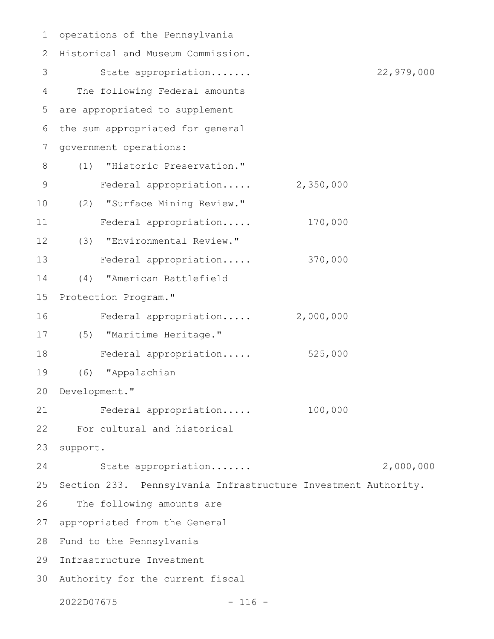| 1           | operations of the Pennsylvania                                 |            |
|-------------|----------------------------------------------------------------|------------|
| 2           | Historical and Museum Commission.                              |            |
| 3           | State appropriation                                            | 22,979,000 |
| 4           | The following Federal amounts                                  |            |
| 5           | are appropriated to supplement                                 |            |
| 6           | the sum appropriated for general                               |            |
| 7           | government operations:                                         |            |
| 8           | "Historic Preservation."<br>(1)                                |            |
| $\mathsf 9$ | 2,350,000<br>Federal appropriation                             |            |
| 10          | "Surface Mining Review."<br>(2)                                |            |
| 11          | 170,000<br>Federal appropriation                               |            |
| 12          | (3) "Environmental Review."                                    |            |
| 13          | 370,000<br>Federal appropriation                               |            |
| 14          | "American Battlefield<br>(4)                                   |            |
| 15          | Protection Program."                                           |            |
| 16          | 2,000,000<br>Federal appropriation                             |            |
| 17          | (5) "Maritime Heritage."                                       |            |
| 18          | 525,000<br>Federal appropriation                               |            |
| 19          | "Appalachian<br>(6)                                            |            |
|             | 20 Development."                                               |            |
| 21          | 100,000<br>Federal appropriation                               |            |
| 22          | For cultural and historical                                    |            |
| 23          | support.                                                       |            |
| 24          | State appropriation                                            | 2,000,000  |
| 25          | Section 233. Pennsylvania Infrastructure Investment Authority. |            |
| 26          | The following amounts are                                      |            |
| 27          | appropriated from the General                                  |            |
| 28          | Fund to the Pennsylvania                                       |            |
| 29          | Infrastructure Investment                                      |            |
| 30          | Authority for the current fiscal                               |            |
|             | 2022D07675<br>$-116 -$                                         |            |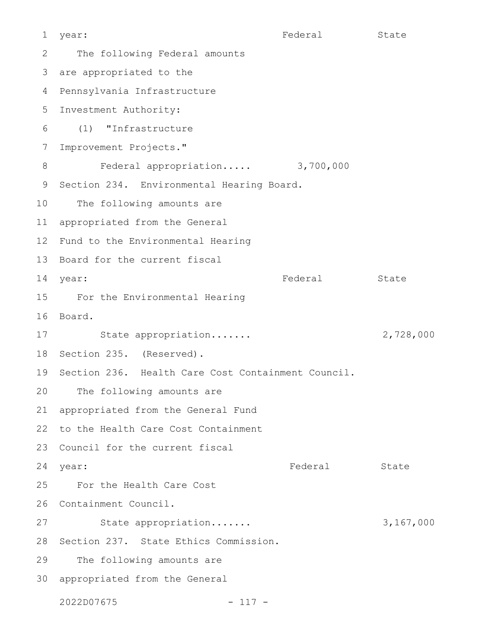Federal State The following Federal amounts are appropriated to the 4 Pennsylvania Infrastructure 5 Investment Authority: (1) "Infrastructure Improvement Projects." Federal appropriation..... 3,700,000 Section 234. Environmental Hearing Board. The following amounts are appropriated from the General 12 Fund to the Environmental Hearing 13 Board for the current fiscal Federal State For the Environmental Hearing 15 16 Board. State appropriation....... 2,728,000 18 Section 235. (Reserved). 19 Section 236. Health Care Cost Containment Council. The following amounts are appropriated from the General Fund 22 to the Health Care Cost Containment 23 Council for the current fiscal year: State State State State State State State State State State State State State State State State State State For the Health Care Cost 26 Containment Council. State appropriation....... 3,167,000 28 Section 237. State Ethics Commission. The following amounts are 30 appropriated from the General 2022D07675 - 117 - 1 year: 2 3  $6 \overline{6}$ 7 8 9 10 11 14 vear: 17 20 21 24 year: 25 27 29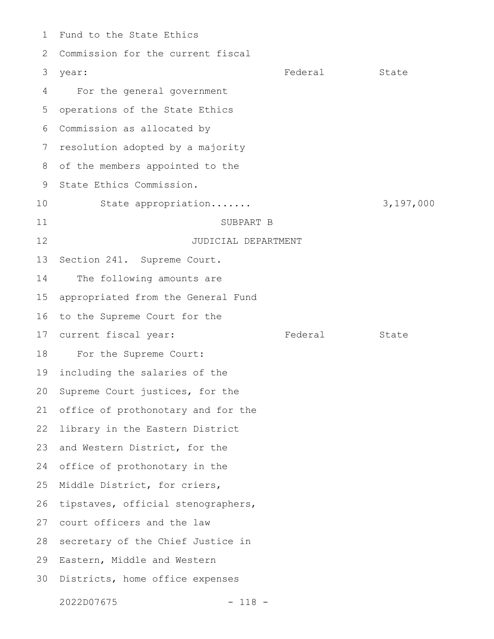Fund to the State Ethics Commission for the current fiscal year: Federal State For the general government operations of the State Ethics Commission as allocated by resolution adopted by a majority of the members appointed to the State Ethics Commission. State appropriation....... 3,197,000 SUBPART B JUDICIAL DEPARTMENT Section 241. Supreme Court. The following amounts are appropriated from the General Fund to the Supreme Court for the current fiscal year: Federal State For the Supreme Court: including the salaries of the Supreme Court justices, for the office of prothonotary and for the library in the Eastern District and Western District, for the office of prothonotary in the Middle District, for criers, tipstaves, official stenographers, court officers and the law secretary of the Chief Justice in Eastern, Middle and Western Districts, home office expenses 2022D07675 - 118 - 1 2 3 4 5 6 7 8 9 10 11 12 13 14 15 16 17 18 19 20 21 22 23 24 25 26 27 28 29 30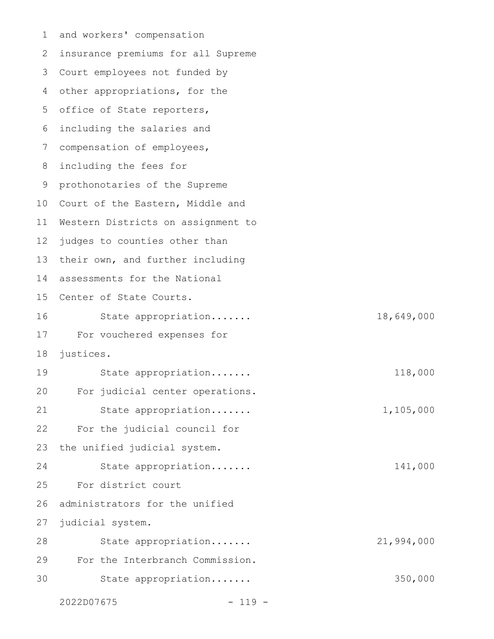and workers' compensation 1 2 insurance premiums for all Supreme Court employees not funded by 3 4 other appropriations, for the 5 office of State reporters, including the salaries and compensation of employees, including the fees for prothonotaries of the Supreme 10 Court of the Eastern, Middle and Western Districts on assignment to judges to counties other than 13 their own, and further including 14 assessments for the National 15 Center of State Courts. State appropriation....... 18,649,000 For vouchered expenses for justices. State appropriation....... 118,000 For judicial center operations. State appropriation....... 1,105,000 For the judicial council for the unified judicial system. State appropriation....... 141,000 For district court administrators for the unified judicial system. State appropriation....... 21,994,000 For the Interbranch Commission. State appropriation....... 350,000 6 7 8 9 11 12 16 17 18 19 20 21 22 23 24 25 26 27 28 29 30

2022D07675 - 119 -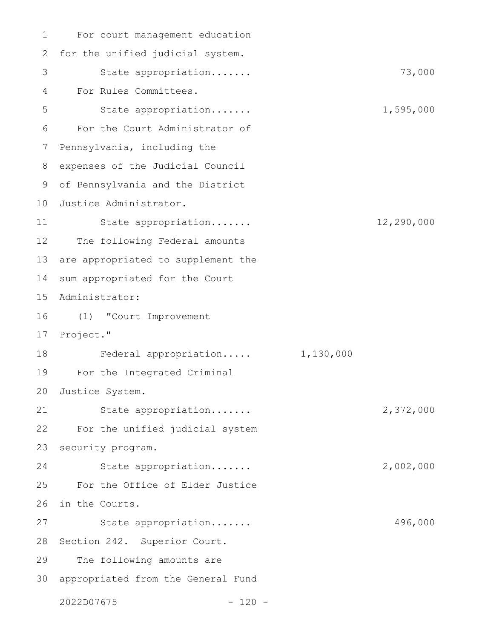For court management education for the unified judicial system. State appropriation....... 73,000 For Rules Committees. State appropriation....... 1,595,000 For the Court Administrator of Pennsylvania, including the expenses of the Judicial Council of Pennsylvania and the District 10 Justice Administrator. State appropriation....... 12,290,000 The following Federal amounts are appropriated to supplement the sum appropriated for the Court Administrator: (1) "Court Improvement Project." Federal appropriation..... 1,130,000 For the Integrated Criminal Justice System. State appropriation....... 2,372,000 For the unified judicial system security program. State appropriation....... 2,002,000 For the Office of Elder Justice in the Courts. State appropriation....... 496,000 28 Section 242. Superior Court. The following amounts are appropriated from the General Fund 302022D07675 - 120 - 1 2 3 4 5 6 7 8 9 11 12 13 14 15 16 17 18 19 20 21 22 23 24 25 26 27 29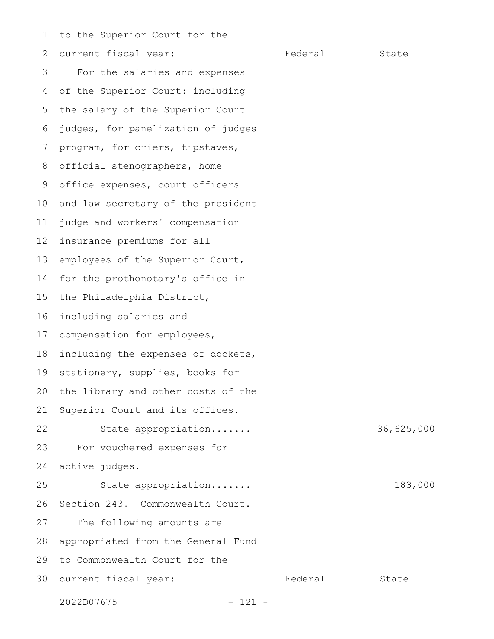to the Superior Court for the 1

current fiscal year: Federal State For the salaries and expenses of the Superior Court: including the salary of the Superior Court judges, for panelization of judges program, for criers, tipstaves, official stenographers, home office expenses, court officers and law secretary of the president judge and workers' compensation insurance premiums for all employees of the Superior Court, for the prothonotary's office in the Philadelphia District, including salaries and compensation for employees, including the expenses of dockets, stationery, supplies, books for the library and other costs of the Superior Court and its offices. State appropriation....... 36,625,000 For vouchered expenses for active judges. State appropriation....... 183,000 Section 243. Commonwealth Court. The following amounts are appropriated from the General Fund to Commonwealth Court for the 30 current fiscal year: Tederal State 2022D07675 - 121 - 2 3 4 5 6 7 8 9 10 11 12 13 14 15 16 17 18 19 20 21 22 23 24 25 26 27 28 29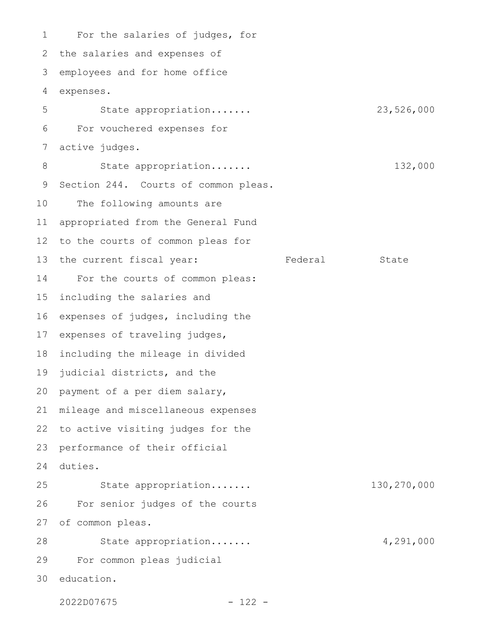For the salaries of judges, for 2 the salaries and expenses of employees and for home office expenses. State appropriation....... 23,526,000 For vouchered expenses for active judges. State appropriation....... 132,000 Section 244. Courts of common pleas. The following amounts are appropriated from the General Fund to the courts of common pleas for the current fiscal year: Federal State For the courts of common pleas: including the salaries and expenses of judges, including the expenses of traveling judges, including the mileage in divided judicial districts, and the 20 payment of a per diem salary, mileage and miscellaneous expenses 22 to active visiting judges for the performance of their official duties. State appropriation....... 130,270,000 For senior judges of the courts of common pleas. State appropriation....... 4,291,000 For common pleas judicial 30 education. 1 3 4 5 6 7 8 9 10 11 12 13 14 15 16 17 18 19 21 23 24 25 26 27 28 29

2022D07675 - 122 -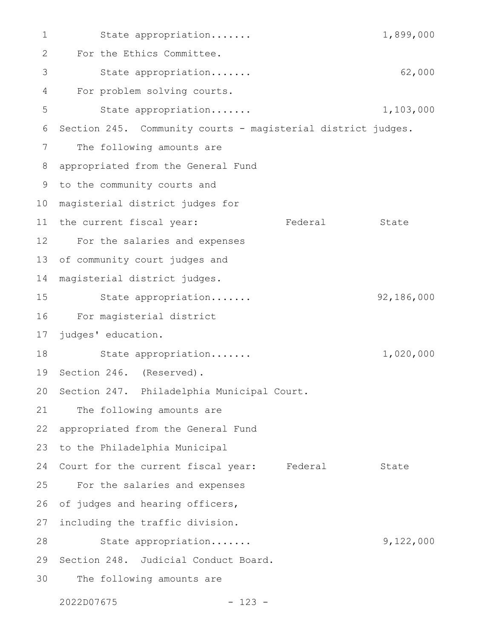State appropriation....... 1,899,000 For the Ethics Committee. State appropriation....... 62,000 For problem solving courts. State appropriation....... 1,103,000 Section 245. Community courts - magisterial district judges. The following amounts are appropriated from the General Fund 9 to the community courts and magisterial district judges for 10 11 the current fiscal year: Tederal State For the salaries and expenses 12 of community court judges and magisterial district judges. State appropriation....... 92,186,000 For magisterial district judges' education. State appropriation....... 1,020,000 19 Section 246. (Reserved). 20 Section 247. Philadelphia Municipal Court. The following amounts are appropriated from the General Fund to the Philadelphia Municipal Court for the current fiscal year: Federal State For the salaries and expenses of judges and hearing officers, including the traffic division. State appropriation....... 9,122,000 29 Section 248. Judicial Conduct Board. The following amounts are 1 2 3 4 5 6 7 8 13 14 15 16 17 18 21 22 23 24 25 26 27 28 30

2022D07675 - 123 -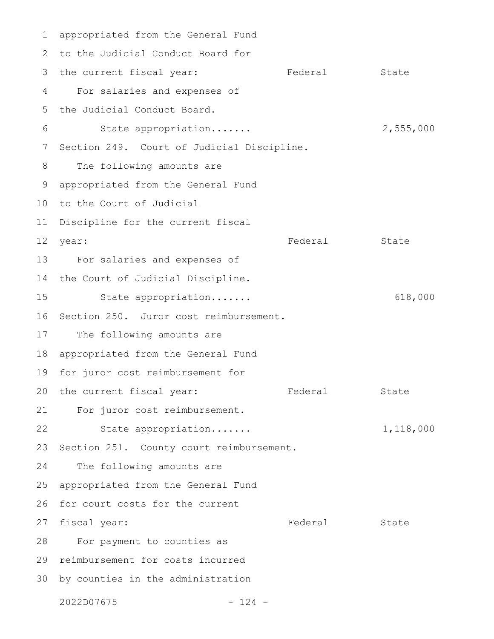appropriated from the General Fund 1 2 to the Judicial Conduct Board for 3 the current fiscal year: Tederal State For salaries and expenses of the Judicial Conduct Board. State appropriation....... 2,555,000 7 Section 249. Court of Judicial Discipline. The following amounts are appropriated from the General Fund 10 to the Court of Judicial 11 Discipline for the current fiscal Federal State For salaries and expenses of 13 14 the Court of Judicial Discipline. State appropriation....... 618,000 16 Section 250. Juror cost reimbursement. The following amounts are 18 appropriated from the General Fund 19 for juror cost reimbursement for 20 the current fiscal year: Tederal State For juror cost reimbursement. 21 State appropriation....... 1,118,000 23 Section 251. County court reimbursement. The following amounts are appropriated from the General Fund 26 for court costs for the current Federal State For payment to counties as 29 reimbursement for costs incurred 30 by counties in the administration 2022D07675 - 124 - 4 5 6 8 9 12 year: 15 17 22 24 25 27 fiscal year: 28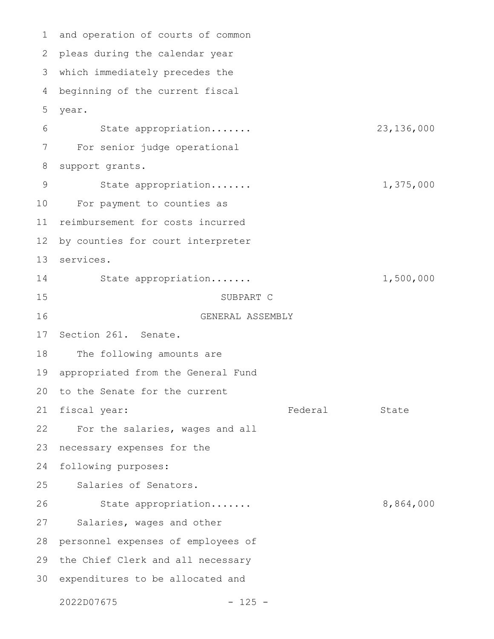and operation of courts of common pleas during the calendar year 2 which immediately precedes the 3 beginning of the current fiscal year. State appropriation....... 23,136,000 For senior judge operational support grants. State appropriation....... 1,375,000 For payment to counties as reimbursement for costs incurred by counties for court interpreter services. 13 State appropriation....... 1,500,000 SUBPART C GENERAL ASSEMBLY Section 261. Senate. The following amounts are appropriated from the General Fund to the Senate for the current Federal State For the salaries, wages and all necessary expenses for the following purposes: Salaries of Senators. State appropriation....... 8,864,000 Salaries, wages and other personnel expenses of employees of 29 the Chief Clerk and all necessary 30 expenditures to be allocated and 2022D07675 - 125 - 1 4 5 6 7 8 9 10 11 12 14 15 16 17 18 19 20 21 fiscal year: 22 23 24 25 26 27 28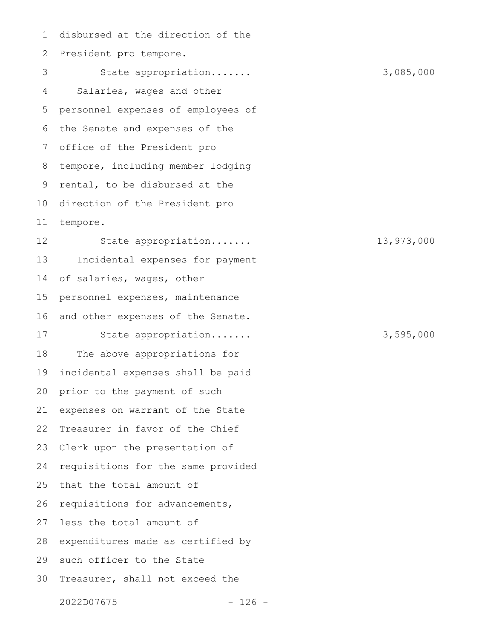disbursed at the direction of the President pro tempore. State appropriation....... 3,085,000 Salaries, wages and other personnel expenses of employees of the Senate and expenses of the office of the President pro tempore, including member lodging rental, to be disbursed at the direction of the President pro tempore. State appropriation....... 13,973,000 Incidental expenses for payment of salaries, wages, other personnel expenses, maintenance and other expenses of the Senate. State appropriation....... 3,595,000 The above appropriations for incidental expenses shall be paid prior to the payment of such expenses on warrant of the State Treasurer in favor of the Chief Clerk upon the presentation of requisitions for the same provided that the total amount of requisitions for advancements, less the total amount of expenditures made as certified by 29 such officer to the State Treasurer, shall not exceed the 2022D07675 - 126 - 1 2 3 4 5 6 7 8 9 10 11 12 13 14 15 16 17 18 19 20 21 22 23 24 25 26 27 28 30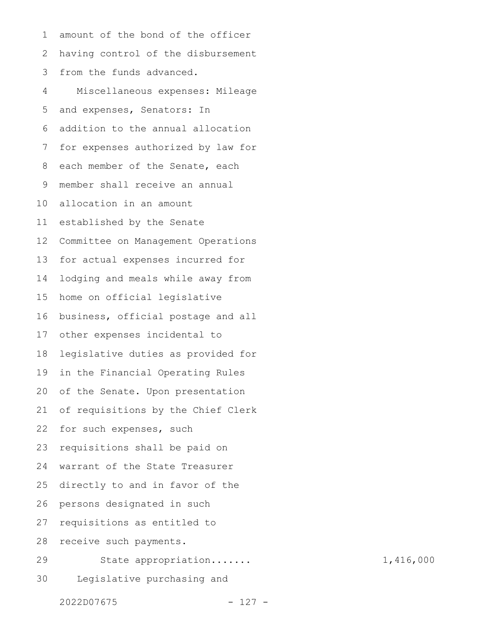amount of the bond of the officer having control of the disbursement from the funds advanced. Miscellaneous expenses: Mileage and expenses, Senators: In addition to the annual allocation for expenses authorized by law for each member of the Senate, each member shall receive an annual allocation in an amount established by the Senate Committee on Management Operations for actual expenses incurred for lodging and meals while away from home on official legislative business, official postage and all other expenses incidental to legislative duties as provided for in the Financial Operating Rules of the Senate. Upon presentation of requisitions by the Chief Clerk for such expenses, such requisitions shall be paid on warrant of the State Treasurer directly to and in favor of the persons designated in such requisitions as entitled to receive such payments. State appropriation....... 1,416,000 Legislative purchasing and 1 2 3 4 5 6 7 8 9 10 11 12 13 14 15 16 17 18 19 20 21 22 23 24 25 26 27 28 29 30

2022D07675 - 127 -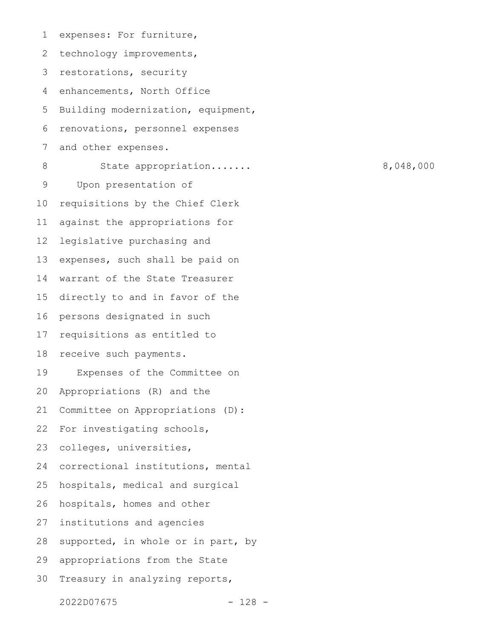expenses: For furniture, technology improvements, restorations, security enhancements, North Office Building modernization, equipment, renovations, personnel expenses and other expenses. State appropriation....... 8,048,000 Upon presentation of requisitions by the Chief Clerk against the appropriations for legislative purchasing and expenses, such shall be paid on warrant of the State Treasurer directly to and in favor of the persons designated in such requisitions as entitled to receive such payments. Expenses of the Committee on Appropriations (R) and the Committee on Appropriations (D): For investigating schools, colleges, universities, correctional institutions, mental hospitals, medical and surgical hospitals, homes and other institutions and agencies supported, in whole or in part, by appropriations from the State Treasury in analyzing reports, 1 2 3 4 5 6 7 8 9 10 11 12 13 14 15 16 17 18 19 20 21 22 23 24 25 26 27 28 29 30

2022D07675 - 128 -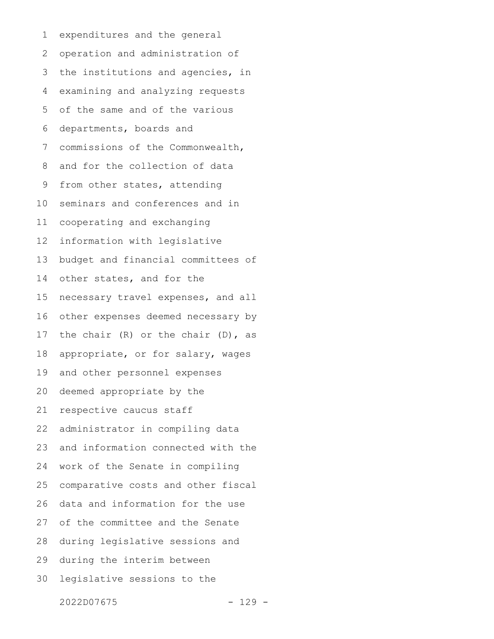expenditures and the general operation and administration of the institutions and agencies, in examining and analyzing requests of the same and of the various departments, boards and commissions of the Commonwealth, and for the collection of data from other states, attending seminars and conferences and in cooperating and exchanging information with legislative budget and financial committees of other states, and for the necessary travel expenses, and all other expenses deemed necessary by the chair (R) or the chair (D), as appropriate, or for salary, wages and other personnel expenses deemed appropriate by the respective caucus staff administrator in compiling data and information connected with the work of the Senate in compiling comparative costs and other fiscal data and information for the use of the committee and the Senate during legislative sessions and during the interim between legislative sessions to the 1 2 3 4 5 6 7 8 9 10 11 12 13 14 15 16 17 18 19 20 21 22 23 24 25 26 27 28 29 30

2022D07675 - 129 -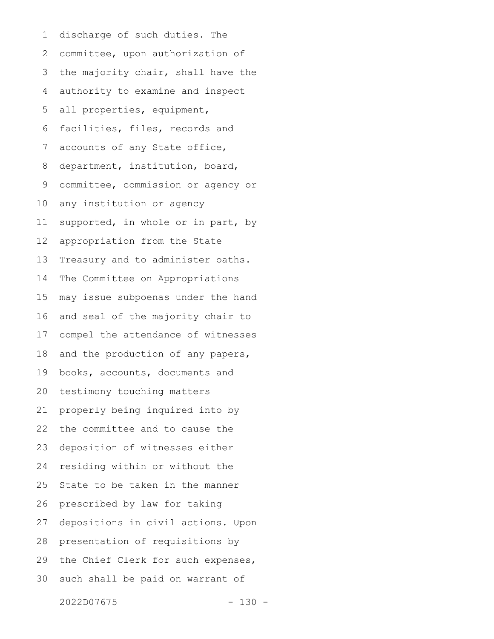discharge of such duties. The committee, upon authorization of the majority chair, shall have the authority to examine and inspect all properties, equipment, facilities, files, records and accounts of any State office, department, institution, board, committee, commission or agency or any institution or agency supported, in whole or in part, by appropriation from the State Treasury and to administer oaths. The Committee on Appropriations may issue subpoenas under the hand and seal of the majority chair to compel the attendance of witnesses and the production of any papers, books, accounts, documents and testimony touching matters properly being inquired into by the committee and to cause the deposition of witnesses either residing within or without the State to be taken in the manner prescribed by law for taking depositions in civil actions. Upon presentation of requisitions by the Chief Clerk for such expenses, such shall be paid on warrant of 1 2 3 4 5 6 7 8 9 10 11 12 13 14 15 16 17 18 19 20 21 22 23 24 25 26 27 28 29 30

2022D07675 - 130 -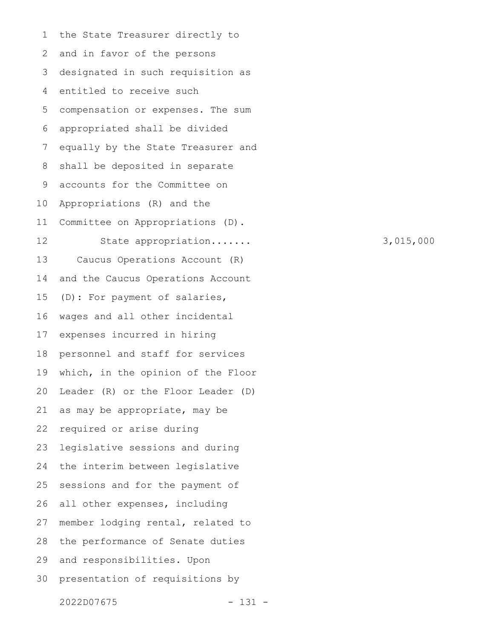the State Treasurer directly to and in favor of the persons designated in such requisition as entitled to receive such compensation or expenses. The sum appropriated shall be divided equally by the State Treasurer and shall be deposited in separate accounts for the Committee on Appropriations (R) and the Committee on Appropriations (D). State appropriation....... 3,015,000 Caucus Operations Account (R) and the Caucus Operations Account (D): For payment of salaries, wages and all other incidental expenses incurred in hiring personnel and staff for services which, in the opinion of the Floor Leader (R) or the Floor Leader (D) as may be appropriate, may be required or arise during legislative sessions and during the interim between legislative sessions and for the payment of all other expenses, including member lodging rental, related to the performance of Senate duties and responsibilities. Upon presentation of requisitions by 1 2 3 4 5 6 7 8 9 10 11 12 13 14 15 16 17 18 19 20 21 22 23 24 25 26 27 28 29 30

2022D07675 - 131 -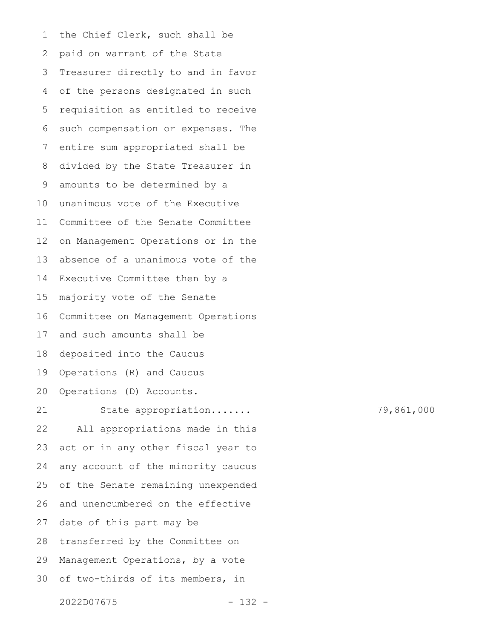the Chief Clerk, such shall be paid on warrant of the State Treasurer directly to and in favor of the persons designated in such requisition as entitled to receive such compensation or expenses. The entire sum appropriated shall be divided by the State Treasurer in amounts to be determined by a unanimous vote of the Executive Committee of the Senate Committee on Management Operations or in the absence of a unanimous vote of the Executive Committee then by a majority vote of the Senate Committee on Management Operations and such amounts shall be deposited into the Caucus Operations (R) and Caucus Operations (D) Accounts. State appropriation....... 79,861,000 All appropriations made in this act or in any other fiscal year to any account of the minority caucus of the Senate remaining unexpended and unencumbered on the effective date of this part may be transferred by the Committee on Management Operations, by a vote of two-thirds of its members, in 1 2 3 4 5 6 7 8 9 10 11 12 13 14 15 16 17 18 19 20 21 22 23 24 25 26 27 28 29 30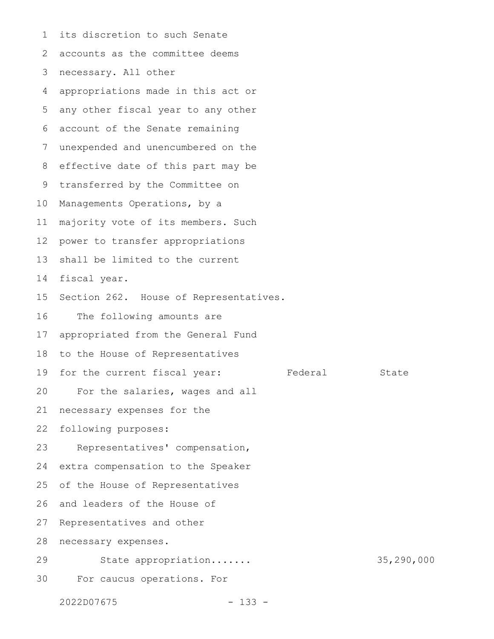its discretion to such Senate accounts as the committee deems necessary. All other appropriations made in this act or any other fiscal year to any other account of the Senate remaining unexpended and unencumbered on the effective date of this part may be transferred by the Committee on Managements Operations, by a majority vote of its members. Such power to transfer appropriations shall be limited to the current fiscal year. Section 262. House of Representatives. The following amounts are appropriated from the General Fund to the House of Representatives for the current fiscal year: Federal State For the salaries, wages and all necessary expenses for the following purposes: Representatives' compensation, extra compensation to the Speaker of the House of Representatives and leaders of the House of Representatives and other necessary expenses. State appropriation....... 35,290,000 For caucus operations. For 1 2 3 4 5 6 7 8 9 10 11 12 13 14 15 16 17 18 19 20 21 22 23 24 25 26 27 28 29 30

2022D07675 - 133 -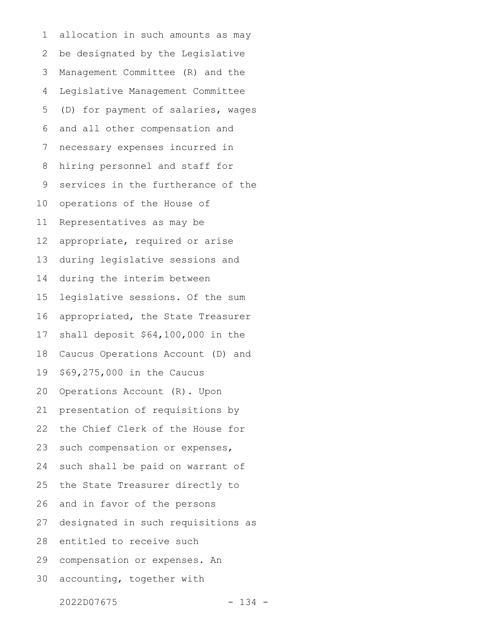allocation in such amounts as may be designated by the Legislative Management Committee (R) and the Legislative Management Committee (D) for payment of salaries, wages and all other compensation and necessary expenses incurred in hiring personnel and staff for services in the furtherance of the operations of the House of Representatives as may be appropriate, required or arise during legislative sessions and during the interim between legislative sessions. Of the sum appropriated, the State Treasurer shall deposit \$64,100,000 in the Caucus Operations Account (D) and \$69,275,000 in the Caucus Operations Account (R). Upon presentation of requisitions by the Chief Clerk of the House for such compensation or expenses, such shall be paid on warrant of the State Treasurer directly to and in favor of the persons designated in such requisitions as entitled to receive such compensation or expenses. An accounting, together with 1 2 3 4 5 6 7 8 9 10 11 12 13 14 15 16 17 18 19 20 21 22 23 24 25 26 27 28 29 30

2022D07675 - 134 -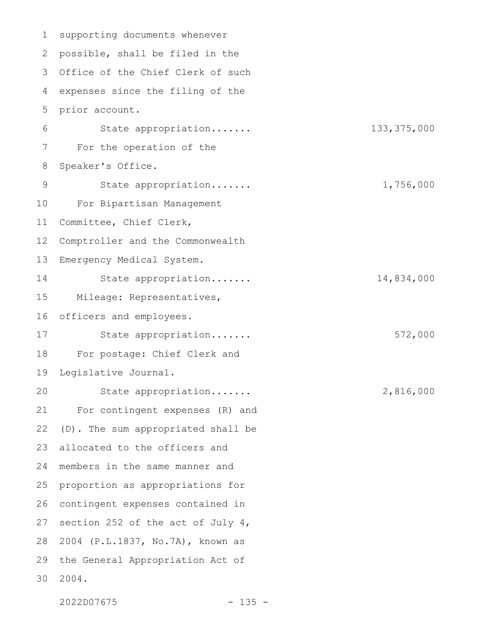supporting documents whenever possible, shall be filed in the 3 Office of the Chief Clerk of such expenses since the filing of the prior account. State appropriation....... 133,375,000 For the operation of the Speaker's Office. State appropriation....... 1,756,000 For Bipartisan Management Committee, Chief Clerk, Comptroller and the Commonwealth Emergency Medical System. State appropriation....... 14,834,000 Mileage: Representatives, officers and employees. State appropriation....... 572,000 For postage: Chief Clerk and Legislative Journal. State appropriation....... 2,816,000 For contingent expenses (R) and (D). The sum appropriated shall be allocated to the officers and members in the same manner and proportion as appropriations for contingent expenses contained in section 252 of the act of July 4, 2004 (P.L.1837, No.7A), known as the General Appropriation Act of 2004. 1 2 4 5 6 7 8 9 10 11 12 13 14 15 16 17 18 19 20 21 22 23 24 25 26 27 28 29 30

2022D07675 - 135 -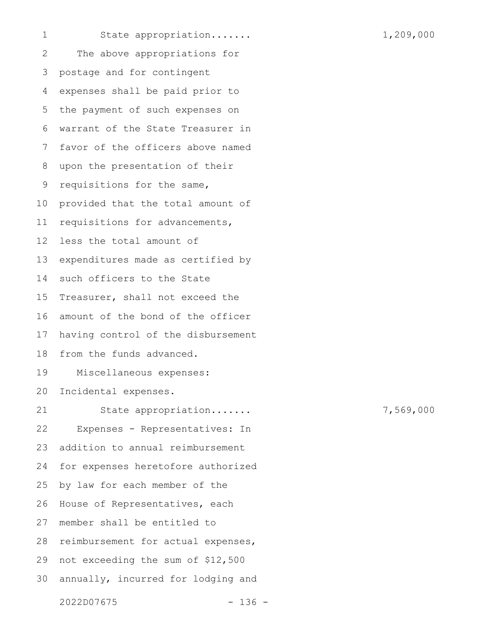1

State appropriation....... 1,209,000

The above appropriations for postage and for contingent expenses shall be paid prior to the payment of such expenses on warrant of the State Treasurer in favor of the officers above named upon the presentation of their requisitions for the same, provided that the total amount of requisitions for advancements, less the total amount of expenditures made as certified by such officers to the State Treasurer, shall not exceed the amount of the bond of the officer having control of the disbursement from the funds advanced. Miscellaneous expenses: Incidental expenses. State appropriation....... 7,569,000 Expenses - Representatives: In addition to annual reimbursement for expenses heretofore authorized by law for each member of the House of Representatives, each member shall be entitled to reimbursement for actual expenses, not exceeding the sum of \$12,500 annually, incurred for lodging and 2 3 4 5 6 7 8 9 10 11 12 13 14 15 16 17 18 19 20 21 22 23 24 25 26 27 28 29 30

2022D07675 - 136 -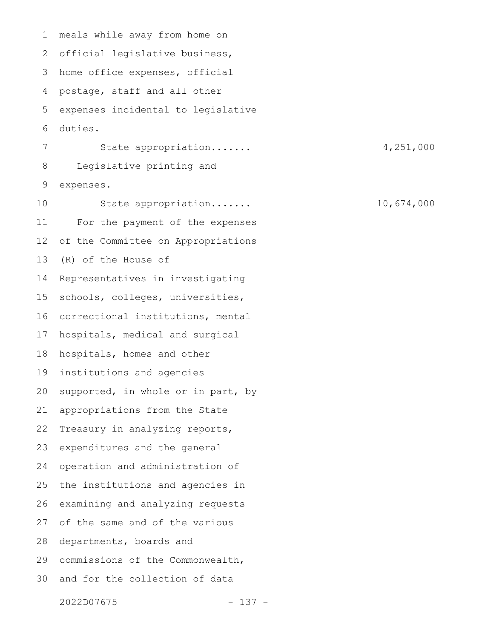meals while away from home on official legislative business, home office expenses, official postage, staff and all other expenses incidental to legislative duties. State appropriation....... 4,251,000 Legislative printing and expenses. State appropriation....... 10,674,000 For the payment of the expenses of the Committee on Appropriations (R) of the House of Representatives in investigating schools, colleges, universities, correctional institutions, mental hospitals, medical and surgical hospitals, homes and other institutions and agencies supported, in whole or in part, by appropriations from the State Treasury in analyzing reports, expenditures and the general operation and administration of the institutions and agencies in examining and analyzing requests of the same and of the various departments, boards and commissions of the Commonwealth, and for the collection of data 1 2 3 4 5 6 7 8 9 10 11 12 13 14 15 16 17 18 19 20 21 22 23 24 25 26 27 28 29 30

2022D07675 - 137 -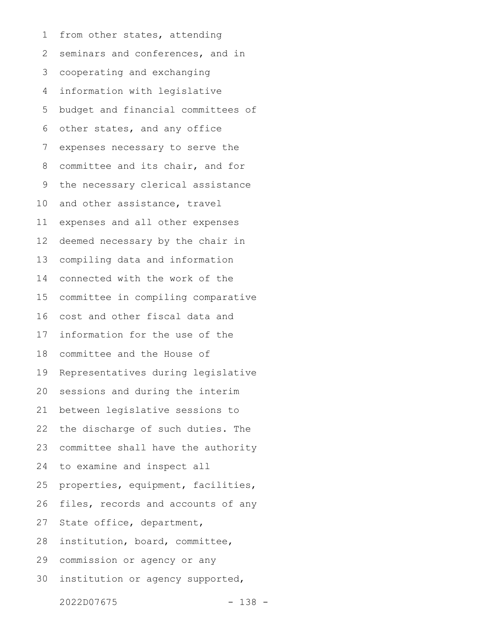from other states, attending seminars and conferences, and in cooperating and exchanging information with legislative budget and financial committees of other states, and any office expenses necessary to serve the committee and its chair, and for the necessary clerical assistance and other assistance, travel expenses and all other expenses deemed necessary by the chair in compiling data and information connected with the work of the committee in compiling comparative cost and other fiscal data and information for the use of the committee and the House of Representatives during legislative sessions and during the interim between legislative sessions to the discharge of such duties. The committee shall have the authority to examine and inspect all properties, equipment, facilities, files, records and accounts of any State office, department, institution, board, committee, commission or agency or any institution or agency supported, 1 2 3 4 5 6 7 8 9 10 11 12 13 14 15 16 17 18 19 20 21 22 23 24 25 26 27 28 29 30

2022D07675 - 138 -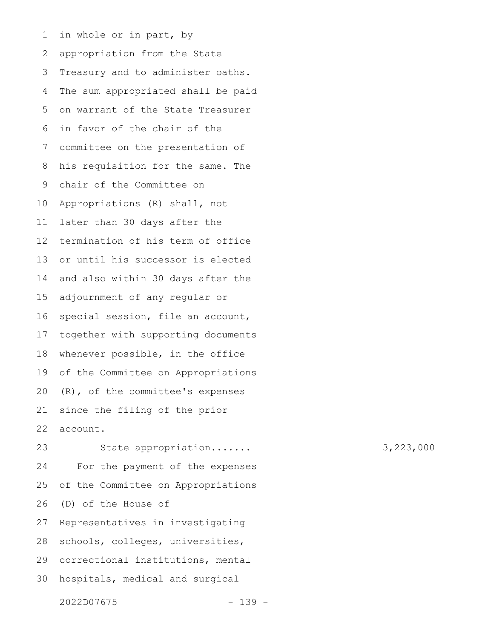in whole or in part, by appropriation from the State Treasury and to administer oaths. The sum appropriated shall be paid on warrant of the State Treasurer in favor of the chair of the committee on the presentation of his requisition for the same. The chair of the Committee on Appropriations (R) shall, not later than 30 days after the termination of his term of office or until his successor is elected and also within 30 days after the adjournment of any regular or special session, file an account, together with supporting documents whenever possible, in the office of the Committee on Appropriations (R), of the committee's expenses since the filing of the prior account. 1 2 3 4 5 6 7 8 9 10 11 12 13 14 15 16 17 18 19 20 21 22

State appropriation....... 3,223,000 For the payment of the expenses of the Committee on Appropriations (D) of the House of Representatives in investigating schools, colleges, universities, correctional institutions, mental hospitals, medical and surgical 23 24 25 26 27 28 29 30

2022D07675 - 139 -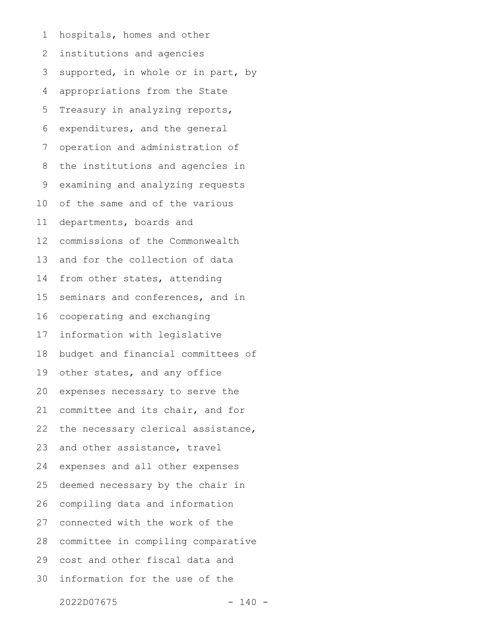hospitals, homes and other institutions and agencies supported, in whole or in part, by appropriations from the State Treasury in analyzing reports, expenditures, and the general operation and administration of the institutions and agencies in examining and analyzing requests of the same and of the various departments, boards and commissions of the Commonwealth and for the collection of data from other states, attending seminars and conferences, and in cooperating and exchanging information with legislative budget and financial committees of other states, and any office expenses necessary to serve the committee and its chair, and for the necessary clerical assistance, and other assistance, travel expenses and all other expenses deemed necessary by the chair in compiling data and information connected with the work of the committee in compiling comparative cost and other fiscal data and information for the use of the 1 2 3 4 5 6 7 8 9 10 11 12 13 14 15 16 17 18 19 20 21 22 23 24 25 26 27 28 29 30

2022D07675 - 140 -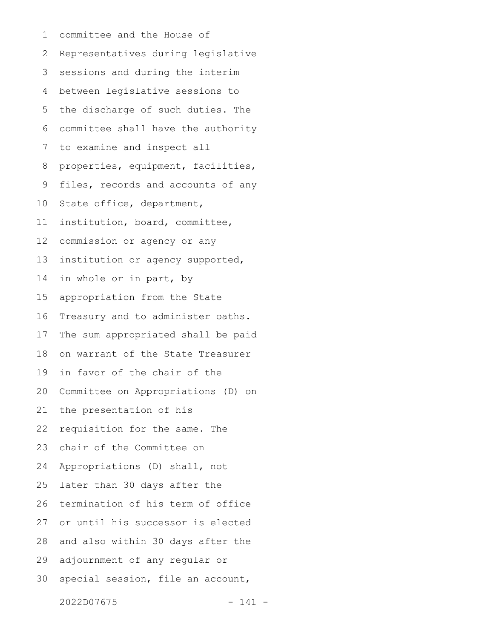committee and the House of Representatives during legislative sessions and during the interim between legislative sessions to the discharge of such duties. The committee shall have the authority to examine and inspect all properties, equipment, facilities, files, records and accounts of any State office, department, institution, board, committee, commission or agency or any institution or agency supported, in whole or in part, by appropriation from the State Treasury and to administer oaths. The sum appropriated shall be paid on warrant of the State Treasurer in favor of the chair of the Committee on Appropriations (D) on the presentation of his requisition for the same. The chair of the Committee on Appropriations (D) shall, not later than 30 days after the termination of his term of office or until his successor is elected and also within 30 days after the adjournment of any regular or special session, file an account, 1 2 3 4 5 6 7 8 9 10 11 12 13 14 15 16 17 18 19 20 21 22 23 24 25 26 27 28 29 30

2022D07675 - 141 -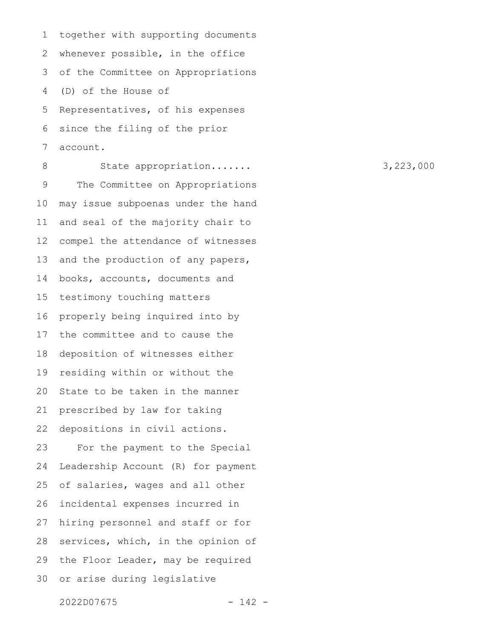together with supporting documents whenever possible, in the office of the Committee on Appropriations (D) of the House of Representatives, of his expenses since the filing of the prior account. 1 2 3 4 5 6 7

State appropriation....... 3,223,000 The Committee on Appropriations may issue subpoenas under the hand and seal of the majority chair to compel the attendance of witnesses and the production of any papers, books, accounts, documents and testimony touching matters properly being inquired into by the committee and to cause the deposition of witnesses either residing within or without the State to be taken in the manner prescribed by law for taking depositions in civil actions. For the payment to the Special Leadership Account (R) for payment of salaries, wages and all other incidental expenses incurred in hiring personnel and staff or for services, which, in the opinion of the Floor Leader, may be required or arise during legislative 8 9 10 11 12 13 14 15 16 17 18 19 20 21 22 23 24 25 26 27 28 29 30

2022D07675 - 142 -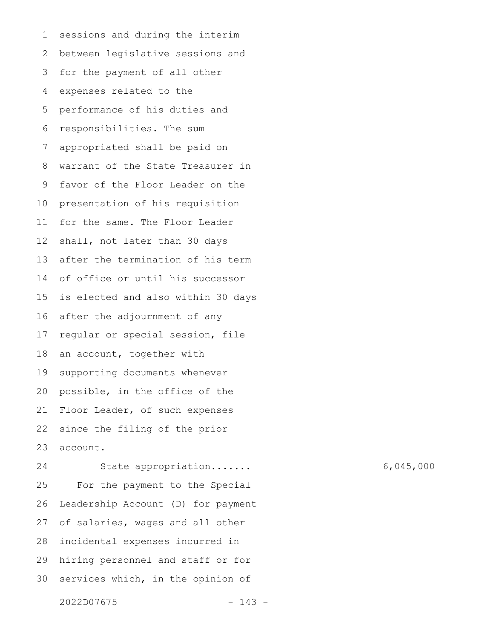sessions and during the interim between legislative sessions and for the payment of all other expenses related to the performance of his duties and responsibilities. The sum appropriated shall be paid on warrant of the State Treasurer in favor of the Floor Leader on the presentation of his requisition for the same. The Floor Leader shall, not later than 30 days after the termination of his term of office or until his successor is elected and also within 30 days after the adjournment of any regular or special session, file an account, together with supporting documents whenever possible, in the office of the Floor Leader, of such expenses since the filing of the prior account. 1 2 3 4 5 6 7 8 9 10 11 12 13 14 15 16 17 18 19 20 21 22 23

State appropriation....... 6,045,000 For the payment to the Special Leadership Account (D) for payment of salaries, wages and all other incidental expenses incurred in hiring personnel and staff or for services which, in the opinion of 24 25 26 27 28 29 30

2022D07675 - 143 -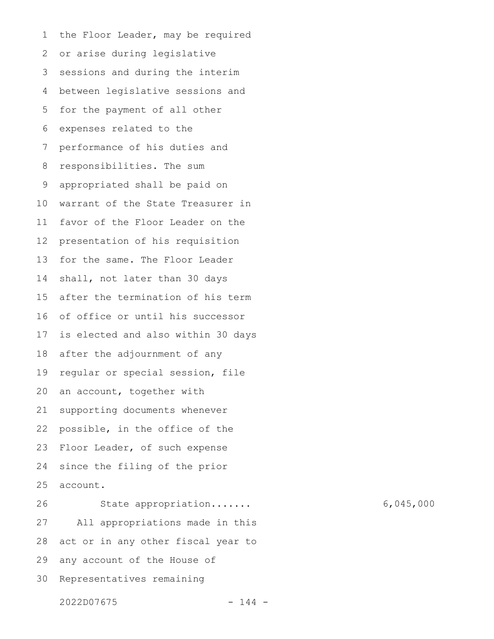the Floor Leader, may be required or arise during legislative sessions and during the interim between legislative sessions and for the payment of all other expenses related to the performance of his duties and responsibilities. The sum appropriated shall be paid on warrant of the State Treasurer in favor of the Floor Leader on the presentation of his requisition for the same. The Floor Leader shall, not later than 30 days after the termination of his term of office or until his successor is elected and also within 30 days after the adjournment of any regular or special session, file an account, together with supporting documents whenever possible, in the office of the Floor Leader, of such expense since the filing of the prior account. State appropriation....... 6,045,000 All appropriations made in this act or in any other fiscal year to any account of the House of 1 2 3 4 5 6 7 8 9 10 11 12 13 14 15 16 17 18 19 20 21 22 23 24 25 26 27 28 29

Representatives remaining 30

2022D07675 - 144 -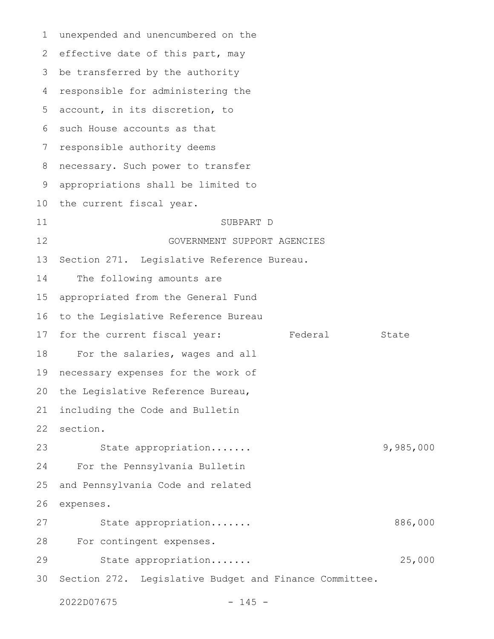unexpended and unencumbered on the effective date of this part, may be transferred by the authority responsible for administering the account, in its discretion, to such House accounts as that responsible authority deems necessary. Such power to transfer appropriations shall be limited to the current fiscal year. SUBPART D GOVERNMENT SUPPORT AGENCIES Section 271. Legislative Reference Bureau. The following amounts are appropriated from the General Fund to the Legislative Reference Bureau for the current fiscal year: Federal State For the salaries, wages and all necessary expenses for the work of the Legislative Reference Bureau, including the Code and Bulletin section. State appropriation....... 9,985,000 For the Pennsylvania Bulletin and Pennsylvania Code and related expenses. State appropriation....... 886,000 For contingent expenses. State appropriation....... 25,000 Section 272. Legislative Budget and Finance Committee. 1 2 3 4 5 6 7 8 9 10 11 12 13 14 15 16 17 18 19 20 21 22 23 24 25 26 27 28 29 30

2022D07675 - 145 -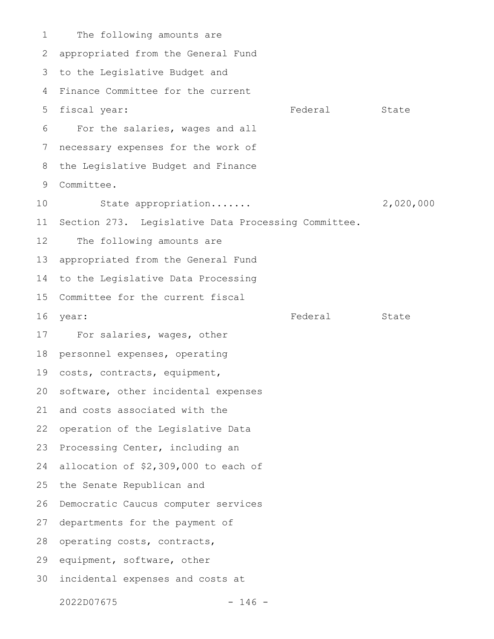The following amounts are appropriated from the General Fund to the Legislative Budget and Finance Committee for the current fiscal year: The State State State State State State For the salaries, wages and all necessary expenses for the work of the Legislative Budget and Finance Committee. State appropriation....... 2,020,000 Section 273. Legislative Data Processing Committee. The following amounts are appropriated from the General Fund to the Legislative Data Processing Committee for the current fiscal year: State State State State State State State State State State State State State State State State State State For salaries, wages, other personnel expenses, operating costs, contracts, equipment, software, other incidental expenses and costs associated with the operation of the Legislative Data Processing Center, including an allocation of \$2,309,000 to each of the Senate Republican and Democratic Caucus computer services departments for the payment of operating costs, contracts, equipment, software, other incidental expenses and costs at 1 2 3 4 5 6 7 8 9 10 11 12 13 14 15 16 17 18 19 20 21 22 23 24 25 26 27 28 29 30

2022D07675 - 146 -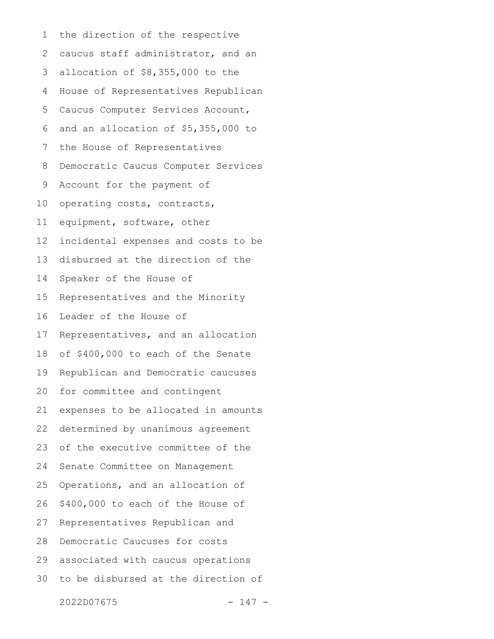the direction of the respective caucus staff administrator, and an allocation of \$8,355,000 to the House of Representatives Republican Caucus Computer Services Account, and an allocation of \$5,355,000 to the House of Representatives Democratic Caucus Computer Services Account for the payment of operating costs, contracts, equipment, software, other incidental expenses and costs to be disbursed at the direction of the Speaker of the House of Representatives and the Minority Leader of the House of Representatives, and an allocation of \$400,000 to each of the Senate Republican and Democratic caucuses for committee and contingent expenses to be allocated in amounts determined by unanimous agreement of the executive committee of the Senate Committee on Management Operations, and an allocation of \$400,000 to each of the House of Representatives Republican and Democratic Caucuses for costs associated with caucus operations to be disbursed at the direction of 1 2 3 4 5 6 7 8 9 10 11 12 13 14 15 16 17 18 19 20 21 22 23 24 25 26 27 28 29 30

2022D07675 - 147 -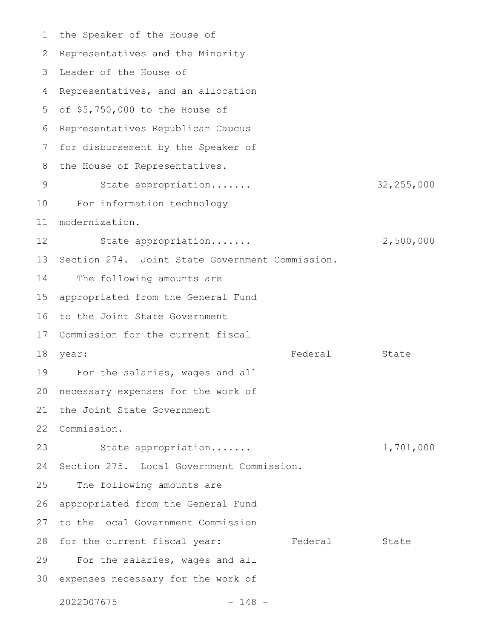the Speaker of the House of Representatives and the Minority Leader of the House of 3 Representatives, and an allocation 5 of \$5,750,000 to the House of Representatives Republican Caucus 6 for disbursement by the Speaker of the House of Representatives. State appropriation....... 32,255,000 For information technology modernization. State appropriation....... 2,500,000 13 Section 274. Joint State Government Commission. The following amounts are appropriated from the General Fund 16 to the Joint State Government 17 Commission for the current fiscal year: State State State State State State State State State State State State State State State State State State 19 For the salaries, wages and all necessary expenses for the work of the Joint State Government Commission. 22 State appropriation....... 1,701,000 Section 275. Local Government Commission. The following amounts are appropriated from the General Fund to the Local Government Commission 28 for the current fiscal year: Tederal State For the salaries, wages and all 30 expenses necessary for the work of 2022D07675 - 148 - 1 2 4 7 8 9 10 11 12 14 15 18 year: 20 21 23 24 25 26 27 29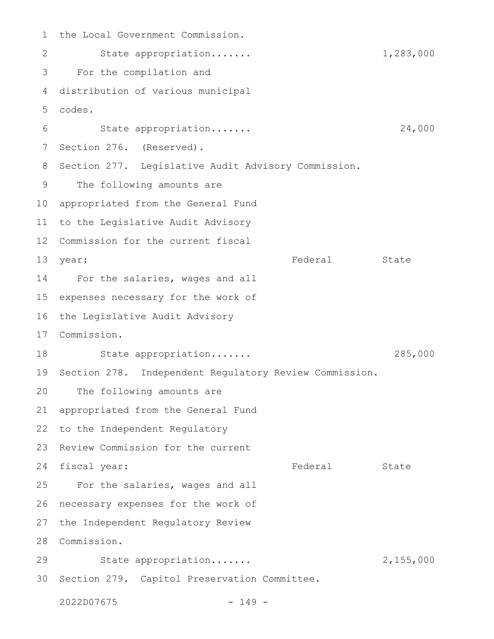the Local Government Commission. State appropriation....... 1,283,000 For the compilation and distribution of various municipal codes. State appropriation....... 24,000 Section 276. (Reserved). Section 277. Legislative Audit Advisory Commission. The following amounts are appropriated from the General Fund to the Legislative Audit Advisory Commission for the current fiscal year: State State State State State State State State State State State State State State State State State State For the salaries, wages and all expenses necessary for the work of the Legislative Audit Advisory Commission. State appropriation....... 285,000 Section 278. Independent Regulatory Review Commission. The following amounts are appropriated from the General Fund to the Independent Regulatory 23 Review Commission for the current 24 fiscal year: The Federal State State For the salaries, wages and all necessary expenses for the work of the Independent Regulatory Review Commission. 28 State appropriation....... 2,155,000 30 Section 279. Capitol Preservation Committee. 2022D07675 - 149 - 1 2 3 4 5 6 7 8 9 10 11 12 13 year: 14 15 16 17 18 19 20 21 22 25 26 27 29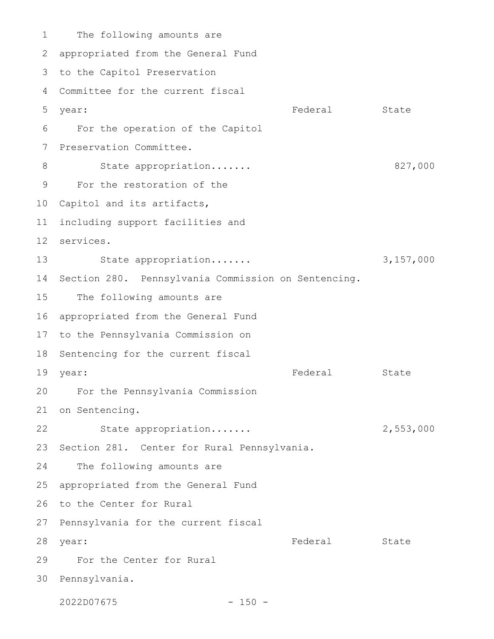The following amounts are appropriated from the General Fund 2 3 to the Capitol Preservation Committee for the current fiscal 4 year: State State State State State State State State State State State State State State State State State State For the operation of the Capitol Preservation Committee. State appropriation....... 827,000 For the restoration of the 10 Capitol and its artifacts, including support facilities and services. 12 State appropriation....... 3,157,000 Section 280. Pennsylvania Commission on Sentencing. The following amounts are appropriated from the General Fund 17 to the Pennsylvania Commission on 18 Sentencing for the current fiscal year: State State State State State State State State State State State State State State State State State State For the Pennsylvania Commission 20 21 on Sentencing. State appropriation....... 2,553,000 23 Section 281. Center for Rural Pennsylvania. The following amounts are appropriated from the General Fund 26 to the Center for Rural 27 Pennsylvania for the current fiscal Federal State For the Center for Rural 29 30 Pennsylvania. 1 5 year: 6 7 8 9 11 13 14 15 16 19 year: 22 24 25 28 year:

2022D07675 - 150 -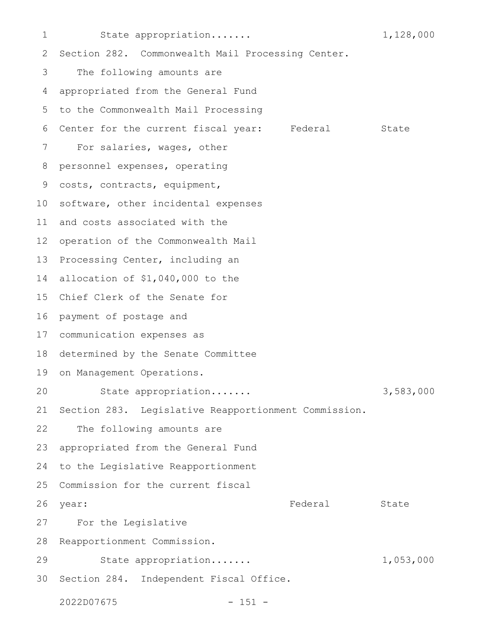State appropriation....... 1,128,000 Section 282. Commonwealth Mail Processing Center. The following amounts are appropriated from the General Fund to the Commonwealth Mail Processing Center for the current fiscal year: Federal State For salaries, wages, other personnel expenses, operating costs, contracts, equipment, software, other incidental expenses and costs associated with the 12 operation of the Commonwealth Mail Processing Center, including an allocation of \$1,040,000 to the Chief Clerk of the Senate for 16 payment of postage and communication expenses as 17 determined by the Senate Committee on Management Operations. State appropriation....... 3,583,000 Section 283. Legislative Reapportionment Commission. The following amounts are appropriated from the General Fund to the Legislative Reapportionment Commission for the current fiscal year: State State State State State State State State State State State State State State State State State State For the Legislative Reapportionment Commission. State appropriation....... 1,053,000 30 Section 284. Independent Fiscal Office. 2022D07675 - 151 - 1 2 3 4 5 6 7 8 9 10 11 13 14 15 18 19 20 21 22 23 24 25 26 27 28 29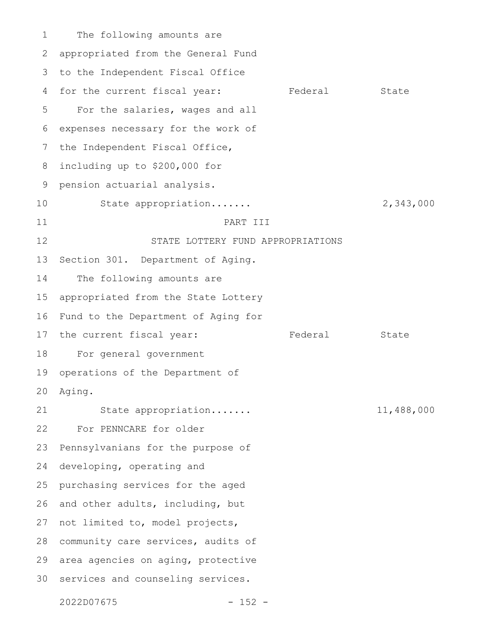The following amounts are appropriated from the General Fund to the Independent Fiscal Office for the current fiscal year: Federal State For the salaries, wages and all expenses necessary for the work of the Independent Fiscal Office, including up to \$200,000 for pension actuarial analysis. State appropriation....... 2,343,000 PART III STATE LOTTERY FUND APPROPRIATIONS Section 301. Department of Aging. The following amounts are appropriated from the State Lottery Fund to the Department of Aging for the current fiscal year: Federal State For general government operations of the Department of Aging. State appropriation....... 11,488,000 For PENNCARE for older Pennsylvanians for the purpose of developing, operating and purchasing services for the aged and other adults, including, but not limited to, model projects, community care services, audits of area agencies on aging, protective 30 services and counseling services. 1 2 3 4 5 6 7 8 9 10 11 12 13 14 15 16 17 18 19 20 21 22 23 24 25 26 27 28 29

2022D07675 - 152 -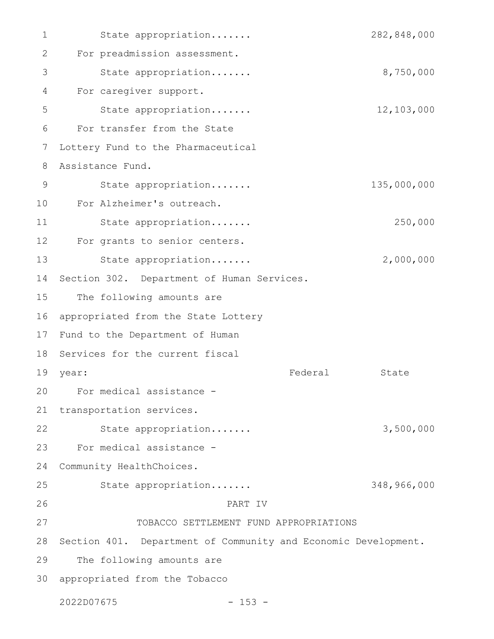State appropriation....... 282,848,000 For preadmission assessment. State appropriation....... 8,750,000 For caregiver support. State appropriation....... 12,103,000 For transfer from the State Lottery Fund to the Pharmaceutical Assistance Fund. State appropriation....... 135,000,000 For Alzheimer's outreach. 10 State appropriation....... 250,000 For grants to senior centers. State appropriation....... 2,000,000 Section 302. Department of Human Services. The following amounts are appropriated from the State Lottery 17 Fund to the Department of Human 18 Services for the current fiscal Federal State For medical assistance - 20 21 transportation services. State appropriation....... 3,500,000 For medical assistance - Community HealthChoices. State appropriation....... 348,966,000 PART IV TOBACCO SETTLEMENT FUND APPROPRIATIONS 28 Section 401. Department of Community and Economic Development. The following amounts are appropriated from the Tobacco 302022D07675 - 153 - 1 2 3 4 5 6 7 8 9 11 12 13 14 15 16 19 year: 22 23 24 25 26 27 29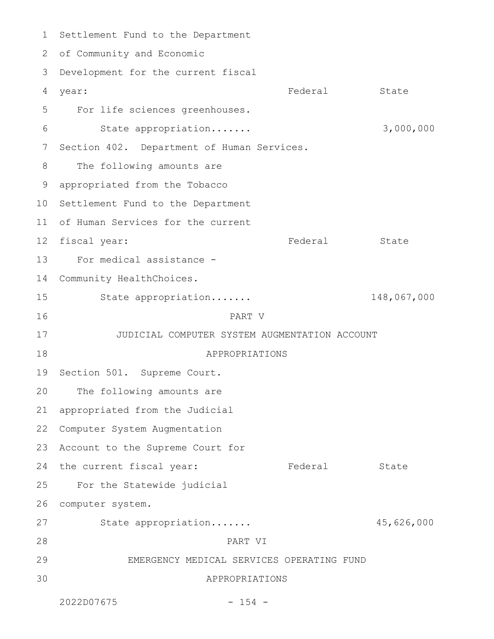Settlement Fund to the Department of Community and Economic 2 3 Development for the current fiscal vear: State State State State State State State State State State State State State State State State State State For life sciences greenhouses. State appropriation....... 3,000,000 Section 402. Department of Human Services. The following amounts are appropriated from the Tobacco 10 Settlement Fund to the Department 11 of Human Services for the current Federal State For medical assistance - 14 Community HealthChoices. State appropriation....... 148,067,000 PART V JUDICIAL COMPUTER SYSTEM AUGMENTATION ACCOUNT APPROPRIATIONS 19 Section 501. Supreme Court. The following amounts are appropriated from the Judicial 22 Computer System Augmentation 23 Account to the Supreme Court for 24 the current fiscal year: The Federal State For the Statewide judicial computer system. State appropriation....... 45,626,000 PART VI EMERGENCY MEDICAL SERVICES OPERATING FUND APPROPRIATIONS 2022D07675 - 154 - 1 4 5 6 7 8 9 12 fiscal year: 13 15 16 17 18 20 21 25 26 27 28 29 30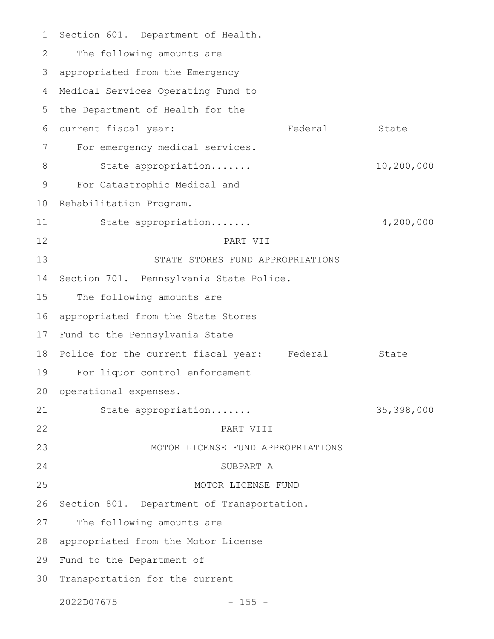Section 601. Department of Health. The following amounts are appropriated from the Emergency Medical Services Operating Fund to the Department of Health for the current fiscal year: Tederal State For emergency medical services. State appropriation....... 10,200,000 For Catastrophic Medical and Rehabilitation Program. State appropriation....... 4,200,000 PART VII STATE STORES FUND APPROPRIATIONS Section 701. Pennsylvania State Police. The following amounts are appropriated from the State Stores Fund to the Pennsylvania State 18 Police for the current fiscal year: Federal State For liquor control enforcement operational expenses. State appropriation....... 35,398,000 PART VIII MOTOR LICENSE FUND APPROPRIATIONS SUBPART A MOTOR LICENSE FUND Section 801. Department of Transportation. The following amounts are appropriated from the Motor License 29 Fund to the Department of 30 Transportation for the current 1 2 3 4 5 6 7 8 9 10 11 12 13 14 15 16 17 19 20 21 22 23 24 25 26 27 28

2022D07675 - 155 -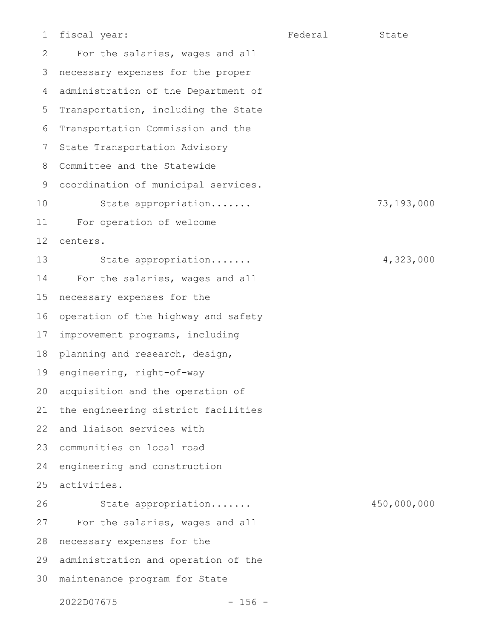1

For the salaries, wages and all necessary expenses for the proper administration of the Department of Transportation, including the State Transportation Commission and the State Transportation Advisory Committee and the Statewide coordination of municipal services. State appropriation....... 73,193,000 For operation of welcome centers. State appropriation....... 4,323,000 For the salaries, wages and all necessary expenses for the operation of the highway and safety improvement programs, including planning and research, design, engineering, right-of-way acquisition and the operation of the engineering district facilities and liaison services with 23 communities on local road engineering and construction activities. State appropriation....... 450,000,000 For the salaries, wages and all necessary expenses for the administration and operation of the maintenance program for State 2 3 4 5 6 7 8 9 10 11 12 13 14 15 16 17 18 19 20 21 22 24 25 26 27 28 29 30

2022D07675 - 156 -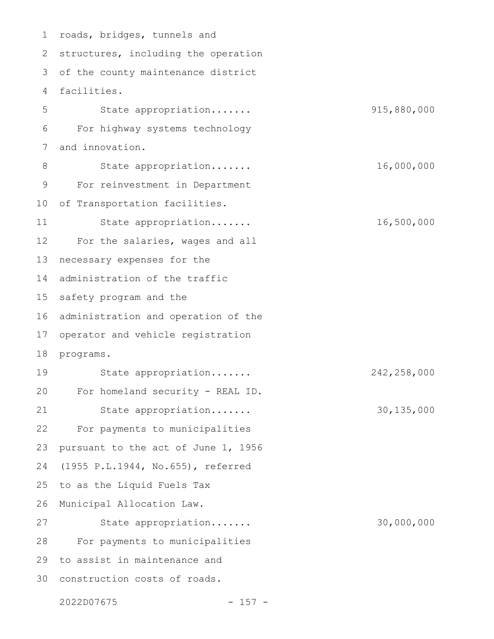1 roads, bridges, tunnels and 2 structures, including the operation 3 of the county maintenance district facilities. State appropriation....... 915,880,000 For highway systems technology and innovation. State appropriation....... 16,000,000 For reinvestment in Department of Transportation facilities. State appropriation....... 16,500,000 For the salaries, wages and all necessary expenses for the administration of the traffic safety program and the administration and operation of the operator and vehicle registration programs. State appropriation....... 242,258,000 For homeland security - REAL ID. State appropriation....... 30,135,000 For payments to municipalities pursuant to the act of June 1, 1956 (1955 P.L.1944, No.655), referred to as the Liquid Fuels Tax Municipal Allocation Law. State appropriation....... 30,000,000 For payments to municipalities 29 to assist in maintenance and 30 construction costs of roads. 4 5 6 7 8 9 10 11 12 13 14 15 16 17 18 19 20 21 22 23 24 25 26 27 28

2022D07675 - 157 -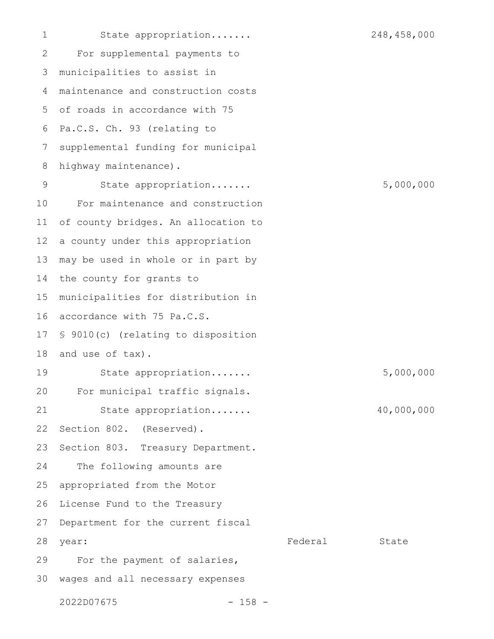State appropriation....... 248,458,000 For supplemental payments to municipalities to assist in maintenance and construction costs of roads in accordance with 75 Pa.C.S. Ch. 93 (relating to supplemental funding for municipal highway maintenance). State appropriation....... 5,000,000 For maintenance and construction of county bridges. An allocation to a county under this appropriation may be used in whole or in part by the county for grants to municipalities for distribution in accordance with 75 Pa.C.S. § 9010(c) (relating to disposition and use of tax). State appropriation....... 5,000,000 For municipal traffic signals. State appropriation....... 40,000,000 Section 802. (Reserved). Section 803. Treasury Department. The following amounts are appropriated from the Motor License Fund to the Treasury Department for the current fiscal year: State State State State State State State State State State State State State State State State State State For the payment of salaries, wages and all necessary expenses 2022D07675 - 158 - 1 2 3 4 5 6 7 8 9 10 11 12 13 14 15 16 17 18 19 20 21 22 23 24 25 26 27 28 29 30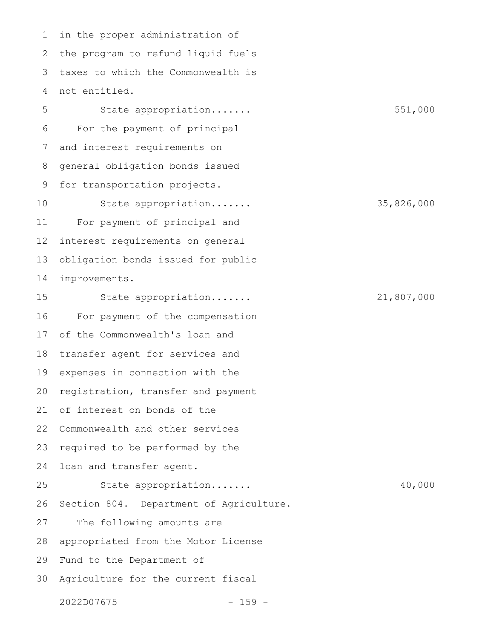in the proper administration of the program to refund liquid fuels taxes to which the Commonwealth is not entitled. State appropriation....... 551,000 For the payment of principal and interest requirements on general obligation bonds issued for transportation projects. State appropriation....... 35,826,000 For payment of principal and interest requirements on general obligation bonds issued for public improvements. State appropriation....... 21,807,000 For payment of the compensation of the Commonwealth's loan and transfer agent for services and expenses in connection with the registration, transfer and payment of interest on bonds of the Commonwealth and other services required to be performed by the loan and transfer agent. State appropriation....... 40,000 Section 804. Department of Agriculture. The following amounts are appropriated from the Motor License Fund to the Department of Agriculture for the current fiscal 1 2 3 4 5 6 7 8 9 10 11 12 13 14 15 16 17 18 19 20 21 22 23 24 25 26 27 28 29 30

2022D07675 - 159 -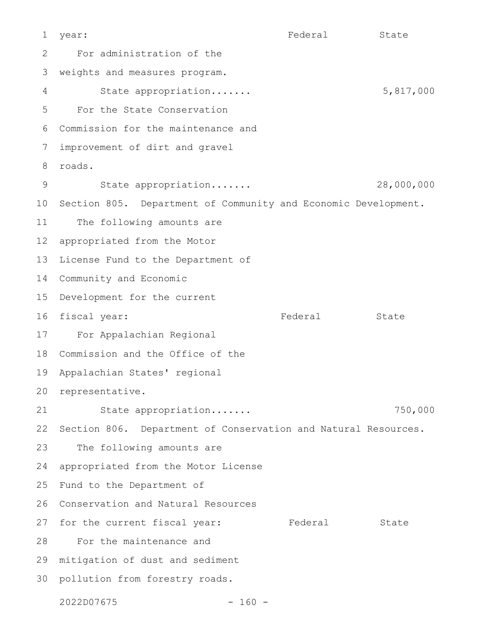year: State State State State State State State State State State State State State State State State State State For administration of the weights and measures program. State appropriation....... 5,817,000 For the State Conservation Commission for the maintenance and improvement of dirt and gravel roads. State appropriation....... 28,000,000 10 Section 805. Department of Community and Economic Development. The following amounts are appropriated from the Motor License Fund to the Department of 14 Community and Economic Development for the current 16 fiscal year: Tederal State For Appalachian Regional Commission and the Office of the Appalachian States' regional 20 representative. State appropriation....... 750,000 Section 806. Department of Conservation and Natural Resources. The following amounts are appropriated from the Motor License Fund to the Department of Conservation and Natural Resources 26 27 for the current fiscal year: Tederal State For the maintenance and mitigation of dust and sediment 29 30 pollution from forestry roads. 1  $\mathcal{P}$ 3 4 5 6 7 8 9 11 12 13 15 17 18 19 21 22 23 24 25 28

2022D07675 - 160 -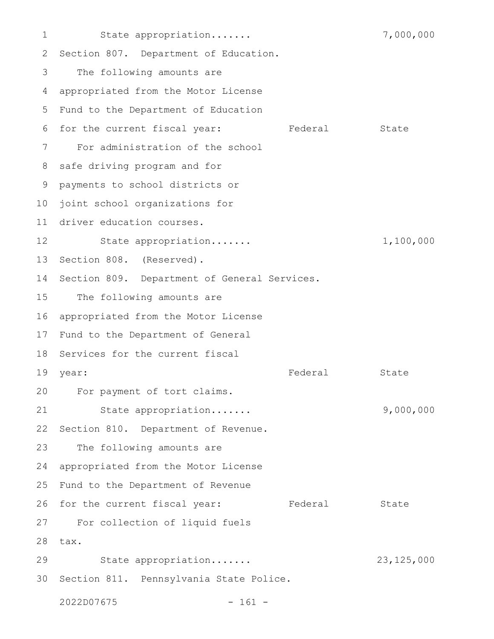State appropriation....... 7,000,000 2 Section 807. Department of Education. The following amounts are appropriated from the Motor License 5 Fund to the Department of Education 6 for the current fiscal year: Tederal State For administration of the school safe driving program and for payments to school districts or joint school organizations for driver education courses. State appropriation....... 1,100,000 13 Section 808. (Reserved). Section 809. Department of General Services. The following amounts are appropriated from the Motor License 17 Fund to the Department of General 18 Services for the current fiscal year: State State State State State State State State State State State State State State State State State State 20 For payment of tort claims. State appropriation....... 9,000,000 Section 810. Department of Revenue. The following amounts are appropriated from the Motor License Fund to the Department of Revenue 26 for the current fiscal year: Tederal State For collection of liquid fuels 28 tax. State appropriation....... 23,125,000 30 Section 811. Pennsylvania State Police. 1 3 4 7 8 9 10 11 12 14 15 16 19 year: 21 22 23 24 25 27 29

2022D07675 - 161 -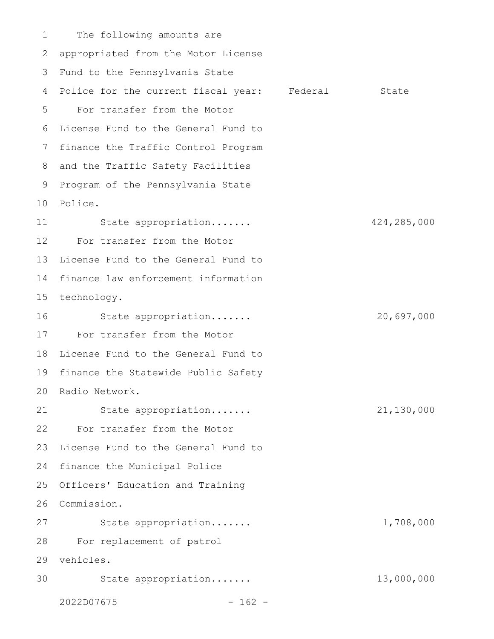The following amounts are appropriated from the Motor License 2 Fund to the Pennsylvania State 3 4 Police for the current fiscal year: Federal State For transfer from the Motor 5 6 License Fund to the General Fund to 7 finance the Traffic Control Program 8 and the Traffic Safety Facilities 9 Program of the Pennsylvania State Police. 10 State appropriation....... 424,285,000 For transfer from the Motor License Fund to the General Fund to 14 finance law enforcement information 15 technology. State appropriation....... 20,697,000 17 For transfer from the Motor 18 License Fund to the General Fund to 19 finance the Statewide Public Safety 20 Radio Network. State appropriation....... 21,130,000 For transfer from the Motor 23 License Fund to the General Fund to 24 finance the Municipal Police 25 Officers' Education and Training Commission. 26 State appropriation....... 1,708,000 For replacement of patrol 28 vehicles. 29 State appropriation....... 13,000,000 2022D07675 - 162 - 1 11 12 13 16 21 22 27 30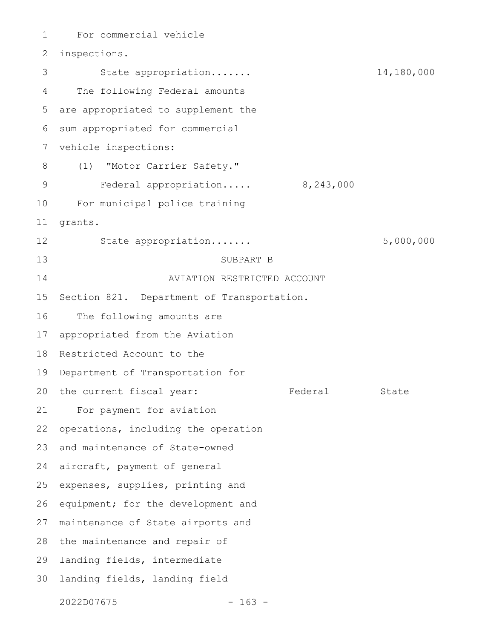For commercial vehicle inspections. State appropriation....... 14,180,000 The following Federal amounts are appropriated to supplement the sum appropriated for commercial vehicle inspections: (1) "Motor Carrier Safety." Federal appropriation..... 8,243,000 For municipal police training grants. State appropriation....... 5,000,000 SUBPART B AVIATION RESTRICTED ACCOUNT Section 821. Department of Transportation. The following amounts are appropriated from the Aviation Restricted Account to the Department of Transportation for the current fiscal year: Federal State For payment for aviation operations, including the operation and maintenance of State-owned aircraft, payment of general expenses, supplies, printing and equipment; for the development and maintenance of State airports and the maintenance and repair of landing fields, intermediate landing fields, landing field 2022D07675 - 163 - 1 2 3 4 5 6 7 8 9 10 11 12 13 14 15 16 17 18 19 20 21 22 23 24 25 26 27 28 29 30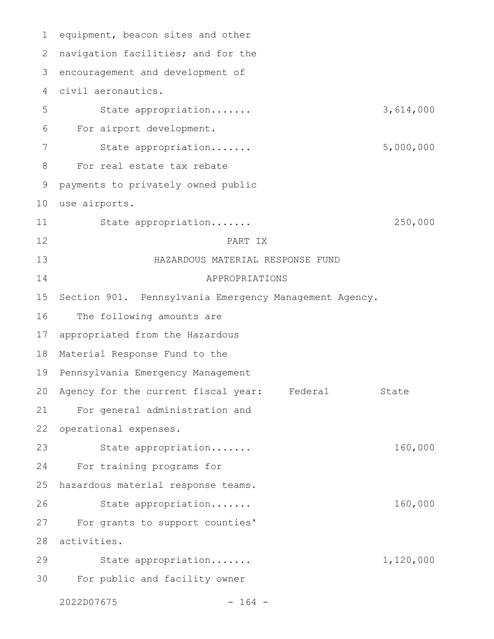equipment, beacon sites and other navigation facilities; and for the encouragement and development of civil aeronautics. State appropriation....... 3,614,000 For airport development. State appropriation....... 5,000,000 For real estate tax rebate payments to privately owned public use airports. State appropriation....... 250,000 PART IX HAZARDOUS MATERIAL RESPONSE FUND APPROPRIATIONS Section 901. Pennsylvania Emergency Management Agency. The following amounts are appropriated from the Hazardous Material Response Fund to the Pennsylvania Emergency Management Agency for the current fiscal year: Federal State For general administration and operational expenses. State appropriation....... 160,000 For training programs for hazardous material response teams. State appropriation....... 160,000 For grants to support counties' activities. State appropriation....... 1,120,000 For public and facility owner 2022D07675 - 164 - 1 2 3 4 5 6 7 8 9 10 11 12 13 14 15 16 17 18 19 20 21 22 23 24 25 26 27 28 29 30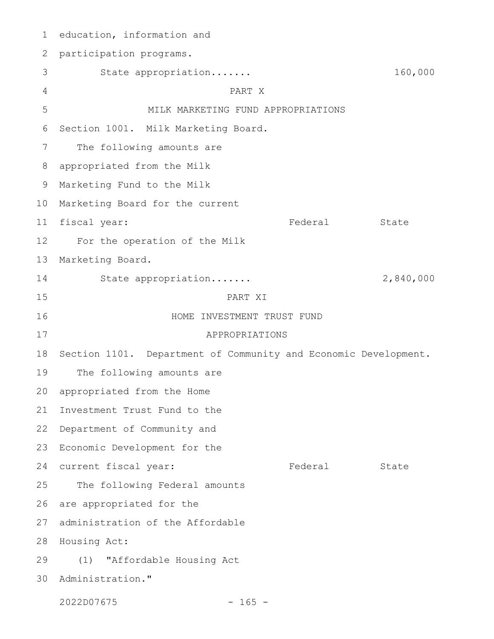1 education, information and 2 participation programs. State appropriation....... 160,000 PART X MILK MARKETING FUND APPROPRIATIONS Section 1001. Milk Marketing Board. The following amounts are appropriated from the Milk Marketing Fund to the Milk 9 10 Marketing Board for the current Federal State For the operation of the Milk Marketing Board. State appropriation....... 2,840,000 PART XI HOME INVESTMENT TRUST FUND APPROPRIATIONS 18 Section 1101. Department of Community and Economic Development. The following amounts are 20 appropriated from the Home Investment Trust Fund to the 22 Department of Community and 23 Economic Development for the 24 current fiscal year: The Federal State The following Federal amounts are appropriated for the 27 administration of the Affordable 28 Housing Act: (1) "Affordable Housing Act 30 Administration." 2022D07675 - 165 - 3 4 5 6 7 8 11 fiscal year: 12 13 14 15 16 17 19 21 25 26 29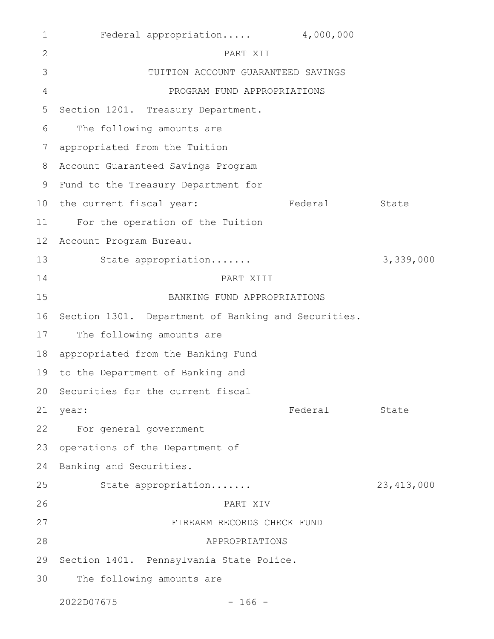| $\mathbf{1}$    | Federal appropriation 4,000,000                     |         |              |
|-----------------|-----------------------------------------------------|---------|--------------|
| 2               | PART XII                                            |         |              |
| 3               | TUITION ACCOUNT GUARANTEED SAVINGS                  |         |              |
| $\overline{4}$  | PROGRAM FUND APPROPRIATIONS                         |         |              |
| 5               | Section 1201. Treasury Department.                  |         |              |
| 6               | The following amounts are                           |         |              |
| 7               | appropriated from the Tuition                       |         |              |
| 8               | Account Guaranteed Savings Program                  |         |              |
| 9               | Fund to the Treasury Department for                 |         |              |
| 10              | the current fiscal year:                            | Federal | State        |
| 11              | For the operation of the Tuition                    |         |              |
| 12 <sup>°</sup> | Account Program Bureau.                             |         |              |
| 13              | State appropriation                                 |         | 3,339,000    |
| 14              | PART XIII                                           |         |              |
| 15              | BANKING FUND APPROPRIATIONS                         |         |              |
| 16              | Section 1301. Department of Banking and Securities. |         |              |
| 17              | The following amounts are                           |         |              |
| 18              | appropriated from the Banking Fund                  |         |              |
| 19              | to the Department of Banking and                    |         |              |
|                 | 20 Securities for the current fiscal                |         |              |
| 21              | year:                                               | Federal | State        |
| 22              | For general government                              |         |              |
| 23              | operations of the Department of                     |         |              |
| 24              | Banking and Securities.                             |         |              |
| 25              | State appropriation                                 |         | 23, 413, 000 |
| 26              | PART XIV                                            |         |              |
| 27              | FIREARM RECORDS CHECK FUND                          |         |              |
| 28              | APPROPRIATIONS                                      |         |              |
| 29              | Section 1401. Pennsylvania State Police.            |         |              |
| 30              | The following amounts are                           |         |              |
|                 | 2022D07675<br>$-166 -$                              |         |              |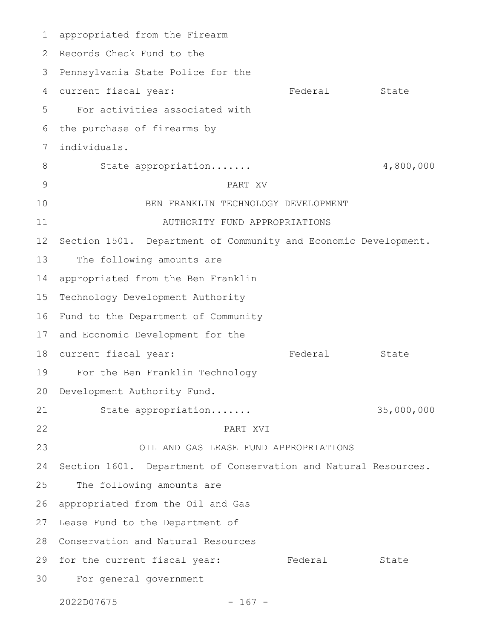appropriated from the Firearm 2 Records Check Fund to the 3 Pennsylvania State Police for the 4 current fiscal year: Tederal State For activities associated with the purchase of firearms by individuals. State appropriation....... 4,800,000 PART XV BEN FRANKLIN TECHNOLOGY DEVELOPMENT AUTHORITY FUND APPROPRIATIONS Section 1501. Department of Community and Economic Development. The following amounts are appropriated from the Ben Franklin Technology Development Authority 16 Fund to the Department of Community 17 and Economic Development for the 18 current fiscal year: Tederal State For the Ben Franklin Technology Development Authority Fund. State appropriation....... 35,000,000 PART XVI OIL AND GAS LEASE FUND APPROPRIATIONS Section 1601. Department of Conservation and Natural Resources. The following amounts are appropriated from the Oil and Gas Lease Fund to the Department of Conservation and Natural Resources 28 29 for the current fiscal year: Tederal State For general government 301 5 6 7 8 9 10 11 12 13 14 15 19 20 21 22 23 24 25 26 27

2022D07675 - 167 -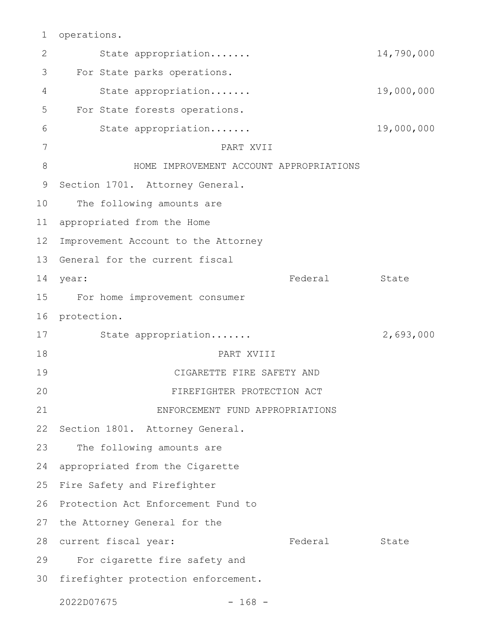operations. 1

State appropriation....... 14,790,000 For State parks operations. State appropriation....... 19,000,000 For State forests operations. State appropriation....... 19,000,000 PART XVII HOME IMPROVEMENT ACCOUNT APPROPRIATIONS Section 1701. Attorney General. The following amounts are appropriated from the Home Improvement Account to the Attorney 13 General for the current fiscal year: State State State State State State State State State State State State State State State State State State For home improvement consumer 16 protection. State appropriation....... 2,693,000 PART XVIII CIGARETTE FIRE SAFETY AND FIREFIGHTER PROTECTION ACT ENFORCEMENT FUND APPROPRIATIONS 22 Section 1801. Attorney General. The following amounts are appropriated from the Cigarette 25 Fire Safety and Firefighter 26 Protection Act Enforcement Fund to 27 the Attorney General for the 28 current fiscal year: Tederal State For cigarette fire safety and 30 firefighter protection enforcement. 2022D07675 - 168 - 2 3 4 5 6 7 8 9 10 11 12 14 year: 15 17 18 19 20 21 23 24 29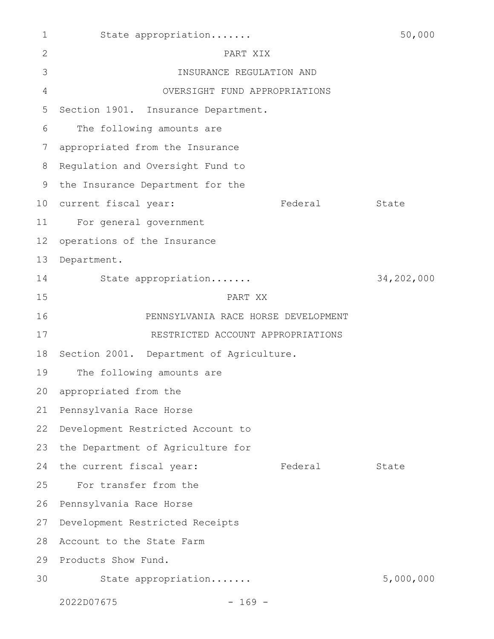| $\mathbf 1$     | State appropriation                      |          | 50,000     |
|-----------------|------------------------------------------|----------|------------|
| 2               | PART XIX                                 |          |            |
| 3               | INSURANCE REGULATION AND                 |          |            |
| $\overline{4}$  | OVERSIGHT FUND APPROPRIATIONS            |          |            |
| 5               | Section 1901. Insurance Department.      |          |            |
| 6               | The following amounts are                |          |            |
| 7               | appropriated from the Insurance          |          |            |
| 8               | Regulation and Oversight Fund to         |          |            |
| 9               | the Insurance Department for the         |          |            |
| 10 <sub>o</sub> | current fiscal year:                     | Federal  | State      |
| 11              | For general government                   |          |            |
| 12              | operations of the Insurance              |          |            |
| 13              | Department.                              |          |            |
| 14              | State appropriation                      |          | 34,202,000 |
| 15              | PART XX                                  |          |            |
| 16              | PENNSYLVANIA RACE HORSE DEVELOPMENT      |          |            |
| 17              | RESTRICTED ACCOUNT APPROPRIATIONS        |          |            |
| 18              | Section 2001. Department of Agriculture. |          |            |
| 19              | The following amounts are                |          |            |
|                 | 20 appropriated from the                 |          |            |
| 21              | Pennsylvania Race Horse                  |          |            |
| 22              | Development Restricted Account to        |          |            |
| 23              | the Department of Agriculture for        |          |            |
| 24              | the current fiscal year:                 | Federal  | State      |
| 25              | For transfer from the                    |          |            |
| 26              | Pennsylvania Race Horse                  |          |            |
| 27              | Development Restricted Receipts          |          |            |
| 28              | Account to the State Farm                |          |            |
| 29              | Products Show Fund.                      |          |            |
| 30              | State appropriation                      |          | 5,000,000  |
|                 | 2022D07675                               | $-169 -$ |            |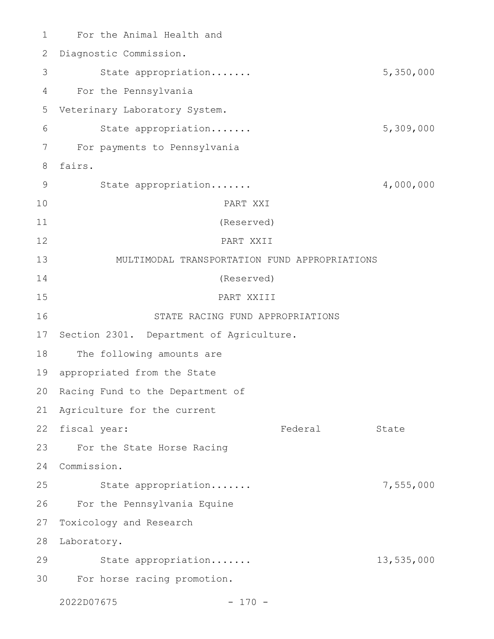For the Animal Health and Diagnostic Commission. State appropriation....... 5,350,000 For the Pennsylvania Veterinary Laboratory System. State appropriation....... 5,309,000 For payments to Pennsylvania fairs. State appropriation....... 4,000,000 PART XXI (Reserved) PART XXII MULTIMODAL TRANSPORTATION FUND APPROPRIATIONS (Reserved) PART XXIII STATE RACING FUND APPROPRIATIONS 17 Section 2301. Department of Agriculture. The following amounts are 19 appropriated from the State 20 Racing Fund to the Department of 21 Agriculture for the current 22 fiscal year: Tederal State For the State Horse Racing Commission. 24 State appropriation....... 7,555,000 For the Pennsylvania Equine 27 Toxicology and Research 28 Laboratory. State appropriation....... 13,535,000 For horse racing promotion. 2022D07675 - 170 -1 2 3 4 5 6 7 8 9 10 11 12 13 14 15 16 18 23 25 26 29 30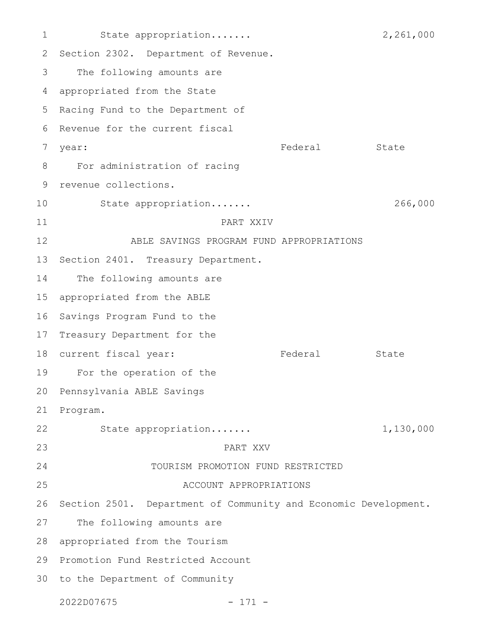State appropriation....... 2,261,000 2 Section 2302. Department of Revenue. The following amounts are appropriated from the State 5 Racing Fund to the Department of 6 Revenue for the current fiscal year: Federal State For administration of racing revenue collections. State appropriation....... 266,000 PART XXIV ABLE SAVINGS PROGRAM FUND APPROPRIATIONS 13 Section 2401. Treasury Department. The following amounts are appropriated from the ABLE 16 Savings Program Fund to the 17 Treasury Department for the 18 current fiscal year: Tederal State 19 For the operation of the 20 Pennsylvania ABLE Savings Program. State appropriation....... 1,130,000 PART XXV TOURISM PROMOTION FUND RESTRICTED ACCOUNT APPROPRIATIONS Section 2501. Department of Community and Economic Development. The following amounts are appropriated from the Tourism 29 Promotion Fund Restricted Account 30 to the Department of Community 2022D07675 - 171 - 1 3 4 7 8 9 10 11 12 14 15 21 22 23 24 25 26 27 28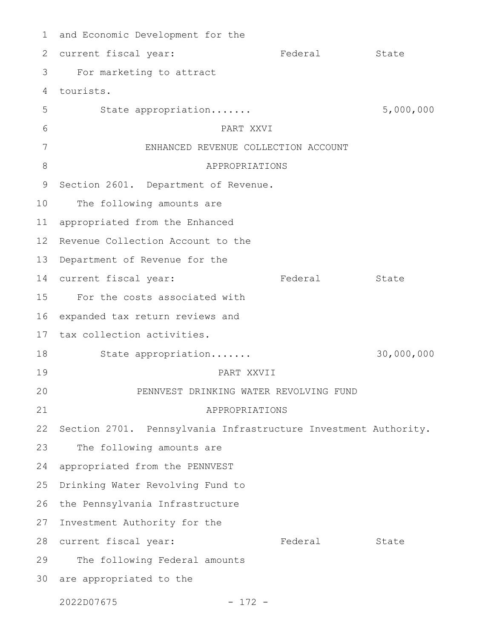and Economic Development for the 1 2 current fiscal year: Tederal State For marketing to attract tourists. 4 State appropriation....... 5,000,000 PART XXVI ENHANCED REVENUE COLLECTION ACCOUNT APPROPRIATIONS Section 2601. Department of Revenue. The following amounts are appropriated from the Enhanced Revenue Collection Account to the 13 Department of Revenue for the 14 current fiscal year: Tederal State 15 For the costs associated with expanded tax return reviews and 17 tax collection activities. State appropriation....... 30,000,000 PART XXVII PENNVEST DRINKING WATER REVOLVING FUND APPROPRIATIONS 22 Section 2701. Pennsylvania Infrastructure Investment Authority. The following amounts are appropriated from the PENNVEST Drinking Water Revolving Fund to 26 the Pennsylvania Infrastructure 27 Investment Authority for the 28 current fiscal year: Tederal State The following Federal amounts 30 are appropriated to the 3 5 6 7 8 9 10 11 12 16 18 19 20 21 23 24 25 29

2022D07675 - 172 -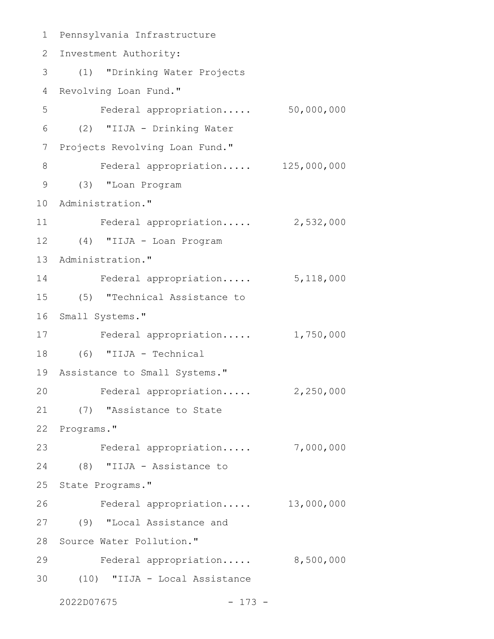Pennsylvania Infrastructure 1 2 Investment Authority: (1) "Drinking Water Projects 3 4 Revolving Loan Fund." Federal appropriation..... 50,000,000 (2) "IIJA - Drinking Water 6 7 Projects Revolving Loan Fund." Federal appropriation..... 125,000,000 (3) "Loan Program 9 10 Administration." Federal appropriation..... 2,532,000 (4) "IIJA - Loan Program 12 13 Administration." Federal appropriation..... 5,118,000 14 (5) "Technical Assistance to 15 16 Small Systems." 17 Federal appropriation..... 1,750,000 (6) "IIJA - Technical 18 19 Assistance to Small Systems." Federal appropriation..... 2,250,000 (7) "Assistance to State 21 22 Programs." Federal appropriation..... 7,000,000 23 (8) "IIJA - Assistance to 24 25 State Programs." Federal appropriation..... 13,000,000 (9) "Local Assistance and 27 28 Source Water Pollution." Federal appropriation..... 8,500,000 (10) "IIJA - Local Assistance 302022D07675 - 173 - 5 8 11 20 26 29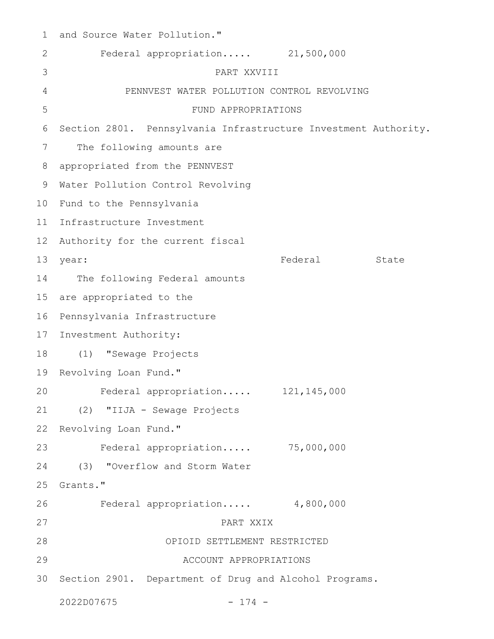| 1               | and Source Water Pollution."                                    |         |       |
|-----------------|-----------------------------------------------------------------|---------|-------|
| 2               | Federal appropriation 21,500,000                                |         |       |
| 3               | PART XXVIII                                                     |         |       |
| 4               | PENNVEST WATER POLLUTION CONTROL REVOLVING                      |         |       |
| 5               | FUND APPROPRIATIONS                                             |         |       |
| 6               | Section 2801. Pennsylvania Infrastructure Investment Authority. |         |       |
| 7               | The following amounts are                                       |         |       |
| 8               | appropriated from the PENNVEST                                  |         |       |
| 9               | Water Pollution Control Revolving                               |         |       |
| 10 <sup>°</sup> | Fund to the Pennsylvania                                        |         |       |
| 11              | Infrastructure Investment                                       |         |       |
| 12 <sup>°</sup> | Authority for the current fiscal                                |         |       |
| 13              | year:                                                           | Federal | State |
| 14              | The following Federal amounts                                   |         |       |
| 15              | are appropriated to the                                         |         |       |
| 16              | Pennsylvania Infrastructure                                     |         |       |
| 17              | Investment Authority:                                           |         |       |
| 18              | "Sewage Projects<br>(1)                                         |         |       |
| 19              | Revolving Loan Fund."                                           |         |       |
| 20              | Federal appropriation 121,145,000                               |         |       |
| 21              | (2) "IIJA - Sewage Projects                                     |         |       |
| 22              | Revolving Loan Fund."                                           |         |       |
| 23              | Federal appropriation 75,000,000                                |         |       |
| 24              | "Overflow and Storm Water<br>(3)                                |         |       |
| 25              | Grants."                                                        |         |       |
| 26              | Federal appropriation 4,800,000                                 |         |       |
| 27              | PART XXIX                                                       |         |       |
| 28              | OPIOID SETTLEMENT RESTRICTED                                    |         |       |
| 29              | ACCOUNT APPROPRIATIONS                                          |         |       |
| 30              | Section 2901. Department of Drug and Alcohol Programs.          |         |       |
|                 | 2022D07675<br>$-174 -$                                          |         |       |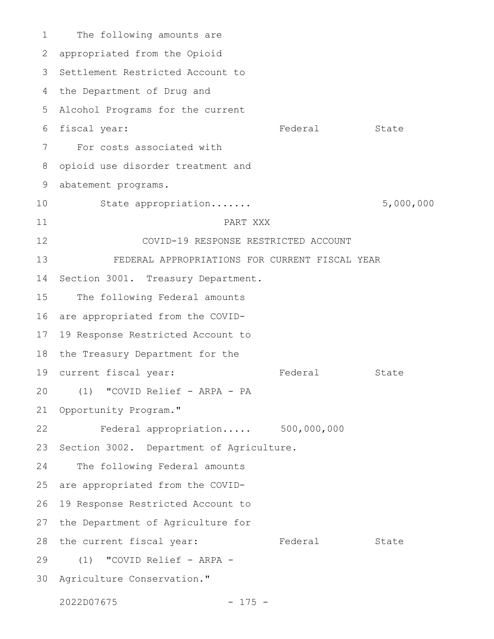The following amounts are appropriated from the Opioid 3 Settlement Restricted Account to 4 the Department of Drug and Alcohol Programs for the current 5 6 fiscal year: Tederal State For costs associated with opioid use disorder treatment and abatement programs. State appropriation....... 5,000,000 PART XXX COVID-19 RESPONSE RESTRICTED ACCOUNT FEDERAL APPROPRIATIONS FOR CURRENT FISCAL YEAR Section 3001. Treasury Department. The following Federal amounts are appropriated from the COVID-19 Response Restricted Account to 18 the Treasury Department for the 19 current fiscal year: Tederal State (1) "COVID Relief - ARPA - PA 21 Opportunity Program." Federal appropriation..... 500,000,000 Section 3002. Department of Agriculture. The following Federal amounts are appropriated from the COVID-19 Response Restricted Account to 27 the Department of Agriculture for 28 the current fiscal year: Tederal State (1) "COVID Relief - ARPA - 29 30 Agriculture Conservation." 1 2 7 8 9 10 11 12 13 14 15 16 17 20 22 23 24 25 26

2022D07675 - 175 -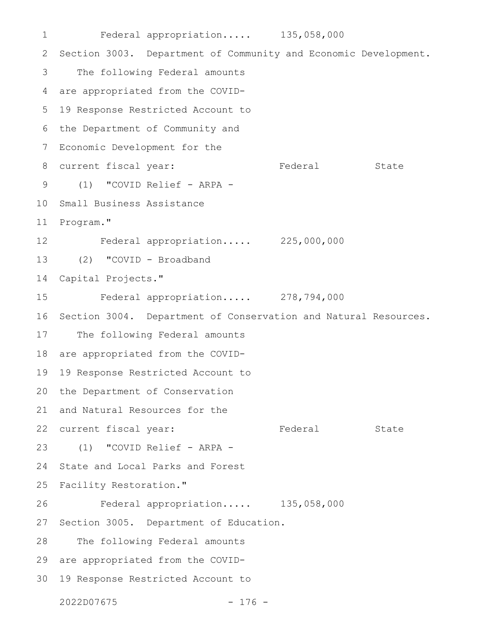Federal appropriation..... 135,058,000 2 Section 3003. Department of Community and Economic Development. The following Federal amounts are appropriated from the COVID-19 Response Restricted Account to 6 the Department of Community and 7 Economic Development for the 8 current fiscal year: Tederal State (1) "COVID Relief - ARPA - 9 10 Small Business Assistance 11 Program." Federal appropriation..... 225,000,000 (2) "COVID - Broadband Capital Projects." Federal appropriation..... 278,794,000 Section 3004. Department of Conservation and Natural Resources. The following Federal amounts are appropriated from the COVID-19 Response Restricted Account to the Department of Conservation 21 and Natural Resources for the 22 current fiscal year: Tederal State (1) "COVID Relief - ARPA - State and Local Parks and Forest Facility Restoration." Federal appropriation..... 135,058,000 Section 3005. Department of Education. The following Federal amounts 29 are appropriated from the COVID-19 Response Restricted Account to 302022D07675 - 176 - 1 3 4 5 12 13 14 15 16 17 18 19 20 23 24 25 26 27 28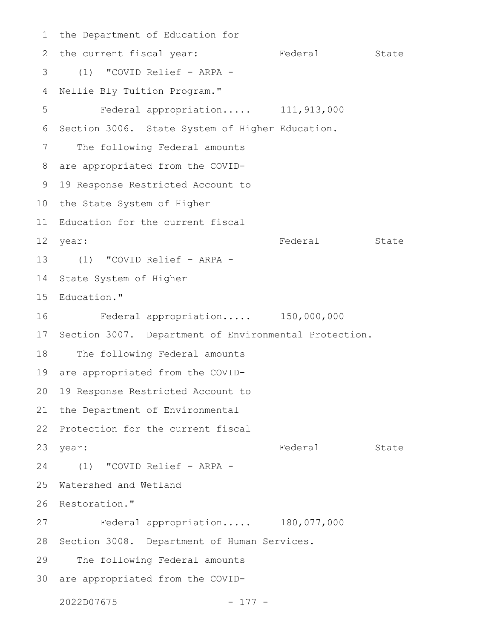1 the Department of Education for 2 the current fiscal year: Tederal State (1) "COVID Relief - ARPA - Nellie Bly Tuition Program." Federal appropriation..... 111,913,000 Section 3006. State System of Higher Education. The following Federal amounts are appropriated from the COVID-8 19 Response Restricted Account to 10 the State System of Higher 11 Education for the current fiscal Federal State (1) "COVID Relief - ARPA - 13 14 State System of Higher Education." Federal appropriation..... 150,000,000 17 Section 3007. Department of Environmental Protection. The following Federal amounts are appropriated from the COVID-19 Response Restricted Account to 20 21 the Department of Environmental 22 Protection for the current fiscal year: State State State State State State State State State State State State State State State State State State (1) "COVID Relief - ARPA - 24 Watershed and Wetland 26 Restoration." Federal appropriation..... 180,077,000 28 Section 3008. Department of Human Services. The following Federal amounts 30 are appropriated from the COVID-2022D07675 - 177 - 3 4 5 6 7 9 12 year: 15 16 18 19 23 year: 25 27 29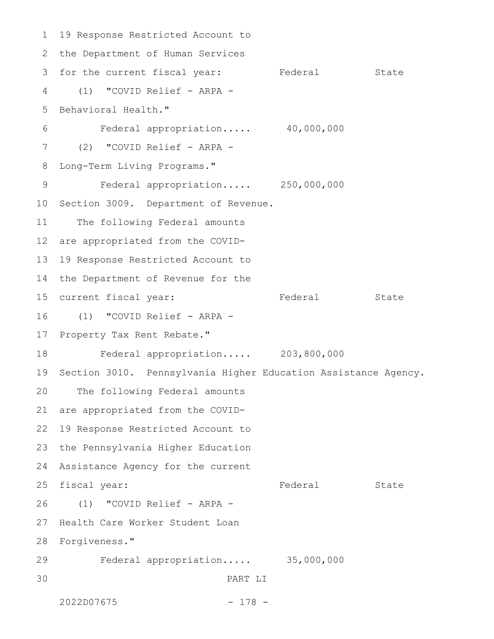19 Response Restricted Account to 2 the Department of Human Services 3 for the current fiscal year: Federal State (1) "COVID Relief - ARPA - Behavioral Health." Federal appropriation..... 40,000,000 (2) "COVID Relief - ARPA - Long-Term Living Programs." Federal appropriation..... 250,000,000 10 Section 3009. Department of Revenue. The following Federal amounts are appropriated from the COVID-19 Response Restricted Account to the Department of Revenue for the 15 current fiscal year: Tederal State (1) "COVID Relief - ARPA - Property Tax Rent Rebate." Federal appropriation..... 203,800,000 Section 3010. Pennsylvania Higher Education Assistance Agency. The following Federal amounts are appropriated from the COVID-19 Response Restricted Account to 23 the Pennsylvania Higher Education Assistance Agency for the current fiscal year: The State State State State State State State State State State State State State State (1) "COVID Relief - ARPA - Health Care Worker Student Loan Forgiveness." 28 Federal appropriation..... 35,000,000 PART LI 2022D07675 - 178 - 1 4 5 6 7 8 9 11 12 13 14 16 17 18 19 20 21 22 24 25 26 27 29 30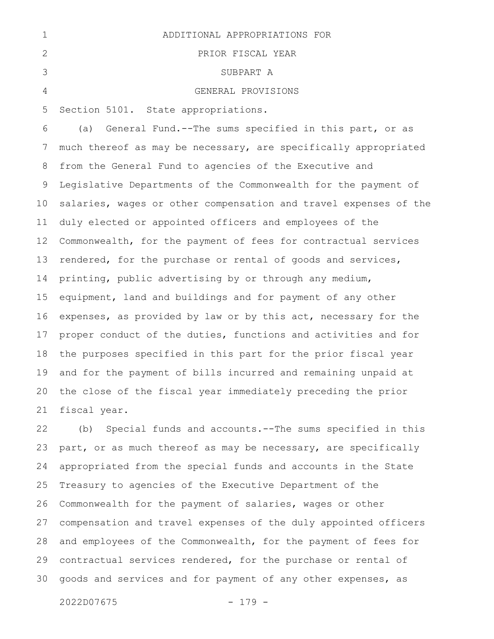| ADDITIONAL APPROPRIATIONS FOR |
|-------------------------------|
| PRIOR FISCAL YEAR             |
| SUBPART A                     |
| GENERAL PROVISIONS            |

Section 5101. State appropriations. 5

(a) General Fund.--The sums specified in this part, or as much thereof as may be necessary, are specifically appropriated from the General Fund to agencies of the Executive and Legislative Departments of the Commonwealth for the payment of salaries, wages or other compensation and travel expenses of the duly elected or appointed officers and employees of the Commonwealth, for the payment of fees for contractual services rendered, for the purchase or rental of goods and services, printing, public advertising by or through any medium, equipment, land and buildings and for payment of any other expenses, as provided by law or by this act, necessary for the proper conduct of the duties, functions and activities and for the purposes specified in this part for the prior fiscal year and for the payment of bills incurred and remaining unpaid at the close of the fiscal year immediately preceding the prior fiscal year. 6 7 8 9 10 11 12 13 14 15 16 17 18 19 20 21

(b) Special funds and accounts.--The sums specified in this part, or as much thereof as may be necessary, are specifically appropriated from the special funds and accounts in the State Treasury to agencies of the Executive Department of the Commonwealth for the payment of salaries, wages or other compensation and travel expenses of the duly appointed officers and employees of the Commonwealth, for the payment of fees for contractual services rendered, for the purchase or rental of goods and services and for payment of any other expenses, as 22 23 24 25 26 27 28 29 30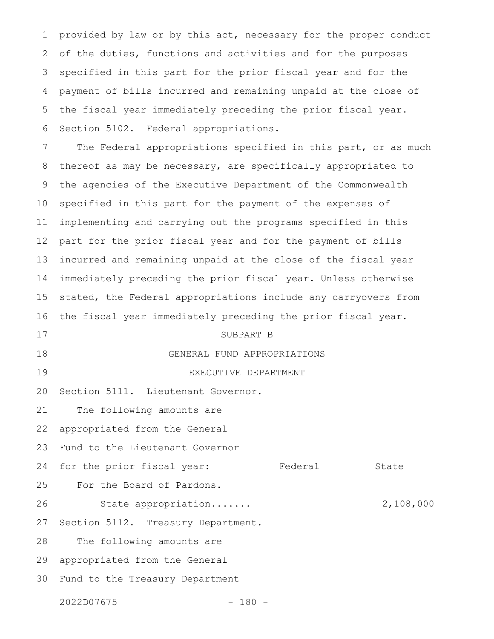provided by law or by this act, necessary for the proper conduct of the duties, functions and activities and for the purposes specified in this part for the prior fiscal year and for the payment of bills incurred and remaining unpaid at the close of the fiscal year immediately preceding the prior fiscal year. Section 5102. Federal appropriations. 1 2 3 4 5 6

The Federal appropriations specified in this part, or as much thereof as may be necessary, are specifically appropriated to the agencies of the Executive Department of the Commonwealth specified in this part for the payment of the expenses of implementing and carrying out the programs specified in this part for the prior fiscal year and for the payment of bills incurred and remaining unpaid at the close of the fiscal year immediately preceding the prior fiscal year. Unless otherwise stated, the Federal appropriations include any carryovers from the fiscal year immediately preceding the prior fiscal year. 7 8 9 10 11 12 13 14 15 16

## SUBPART B 17

GENERAL FUND APPROPRIATIONS 18

EXECUTIVE DEPARTMENT 19

Section 5111. Lieutenant Governor. 20

The following amounts are 21

appropriated from the General 22

Fund to the Lieutenant Governor 23

for the prior fiscal year: Federal State 24

For the Board of Pardons. 25

State appropriation....... 2,108,000 26

Section 5112. Treasury Department. 27

The following amounts are 28

appropriated from the General 29

Fund to the Treasury Department 30

2022D07675 - 180 -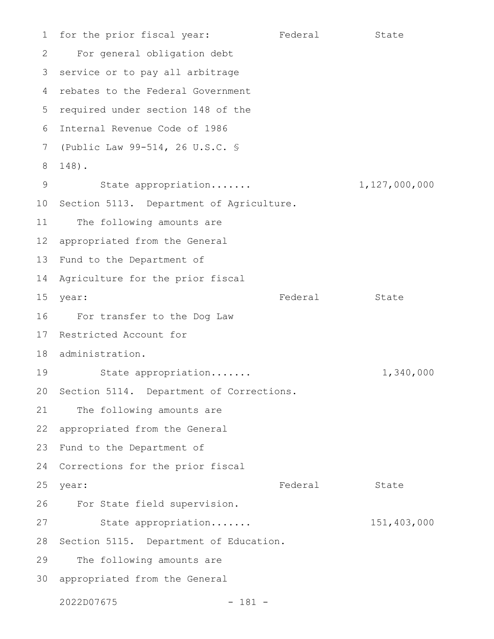for the prior fiscal year: Tederal State For general obligation debt 3 service or to pay all arbitrage rebates to the Federal Government 4 5 required under section 148 of the Internal Revenue Code of 1986 6 (Public Law 99-514, 26 U.S.C. § 7 148). 8 State appropriation....... 1,127,000,000 10 Section 5113. Department of Agriculture. The following amounts are appropriated from the General 13 Fund to the Department of Agriculture for the prior fiscal year: State State State State State State State State State State State State State State State State State State For transfer to the Dog Law Restricted Account for 18 administration. State appropriation....... 1,340,000 20 Section 5114. Department of Corrections. The following amounts are appropriated from the General 23 Fund to the Department of 24 Corrections for the prior fiscal year: State State State State State State State State State State State State State State State State State State For State field supervision. State appropriation....... 151,403,000 28 Section 5115. Department of Education. The following amounts are appropriated from the General 302022D07675 - 181 - 1 2 9 11 12 14 15 16 17 19 21 22 25 26 27 29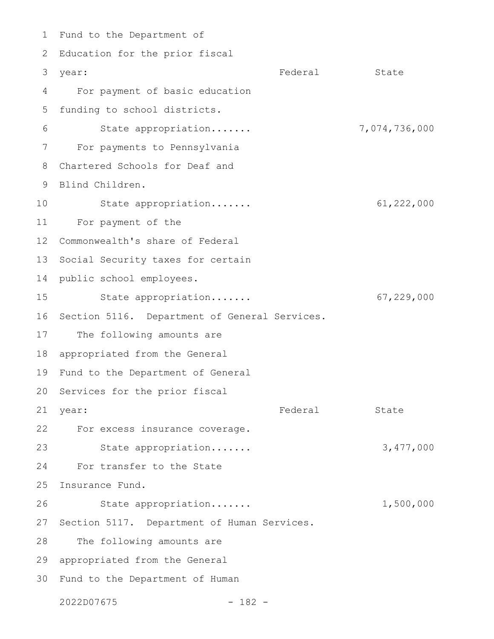1 Fund to the Department of 2 Education for the prior fiscal year: State State State State State State State State State State State State State State State State State State For payment of basic education funding to school districts. State appropriation....... 7,074,736,000 For payments to Pennsylvania Chartered Schools for Deaf and 9 Blind Children. State appropriation....... 61,222,000 For payment of the Commonwealth's share of Federal 13 Social Security taxes for certain 14 public school employees. State appropriation....... 67,229,000 16 Section 5116. Department of General Services. The following amounts are 18 appropriated from the General 19 Fund to the Department of General 20 Services for the prior fiscal Federal State For excess insurance coverage. 22 State appropriation....... 3,477,000 For transfer to the State 25 Insurance Fund. State appropriation....... 1,500,000 27 Section 5117. Department of Human Services. The following amounts are 29 appropriated from the General Fund to the Department of Human 303 year: 4 5 6 7 8 10 11 12 15 17 21 year: 23 24 26 28

2022D07675 - 182 -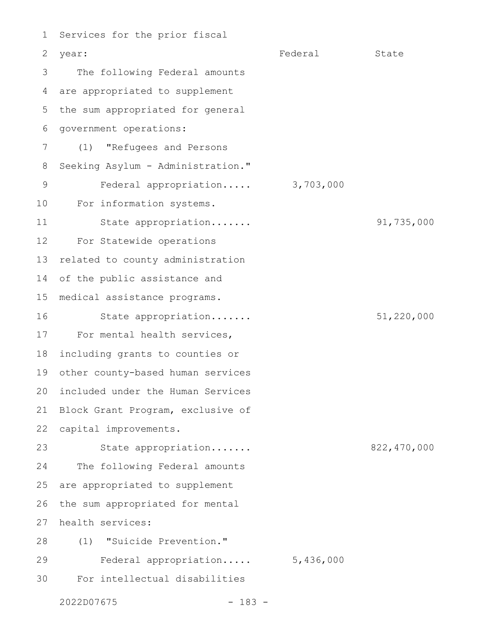Services for the prior fiscal year: State State State State State State State State State State State State State State State State State State The following Federal amounts are appropriated to supplement the sum appropriated for general government operations: (1) "Refugees and Persons Seeking Asylum - Administration." Federal appropriation..... 3,703,000 For information systems. State appropriation....... 91,735,000 For Statewide operations related to county administration of the public assistance and medical assistance programs. State appropriation....... 51,220,000 For mental health services, including grants to counties or other county-based human services included under the Human Services Block Grant Program, exclusive of capital improvements. State appropriation....... 822,470,000 The following Federal amounts are appropriated to supplement the sum appropriated for mental health services: (1) "Suicide Prevention." Federal appropriation..... 5,436,000 For intellectual disabilities 1 2 3 4 5 6 7 8 9 10 11 12 13 14 15 16 17 18 19 20 21 22 23 24 25 26 27 28 29 30

2022D07675 - 183 -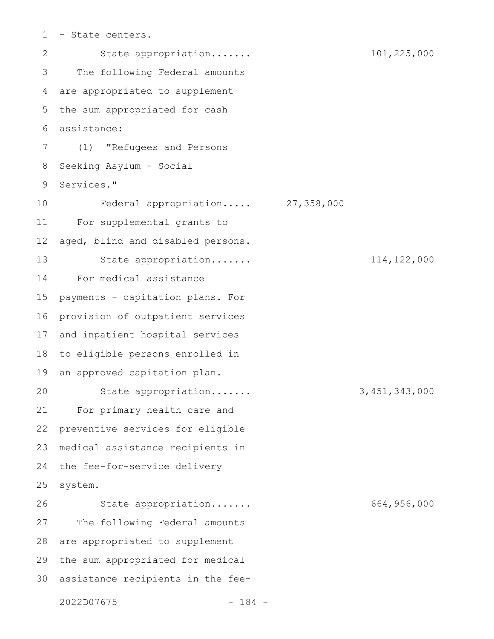- State centers. 1

State appropriation....... 101,225,000 The following Federal amounts are appropriated to supplement the sum appropriated for cash assistance: (1) "Refugees and Persons Seeking Asylum - Social Services." Federal appropriation..... 27,358,000 For supplemental grants to aged, blind and disabled persons. State appropriation....... 114,122,000 For medical assistance payments - capitation plans. For provision of outpatient services and inpatient hospital services to eligible persons enrolled in an approved capitation plan. State appropriation....... 3,451,343,000 For primary health care and preventive services for eligible medical assistance recipients in the fee-for-service delivery system. State appropriation....... 664,956,000 The following Federal amounts are appropriated to supplement the sum appropriated for medical assistance recipients in the fee-2022D07675 - 184 - 2 3 4 5 6 7 8 9 10 11 12 13 14 15 16 17 18 19 20 21 22 23 24 25 26 27 28 29 30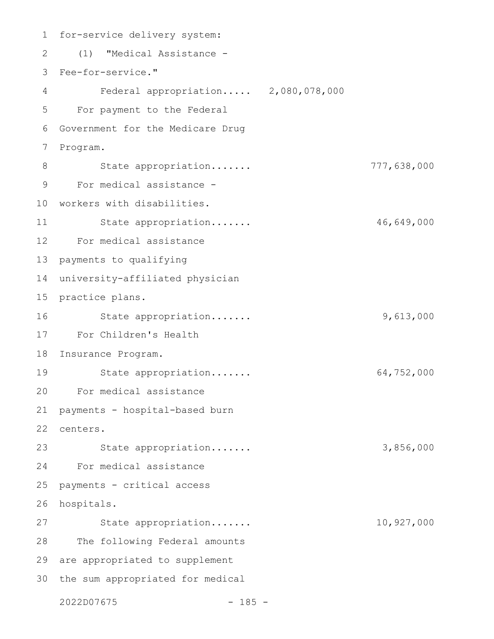for-service delivery system: (1) "Medical Assistance - Fee-for-service." 3 Federal appropriation..... 2,080,078,000 For payment to the Federal Government for the Medicare Drug Program. State appropriation....... 777,638,000 For medical assistance - 10 workers with disabilities. State appropriation....... 46,649,000 For medical assistance payments to qualifying university-affiliated physician 15 practice plans. State appropriation....... 9,613,000 For Children's Health Insurance Program. 18 State appropriation....... 64,752,000 For medical assistance payments - hospital-based burn centers. State appropriation....... 3,856,000 For medical assistance payments - critical access hospitals. State appropriation....... 10,927,000 The following Federal amounts 29 are appropriated to supplement 30 the sum appropriated for medical 2022D07675 - 185 - 1 2 4 5 6 7 8 9 11 12 13 14 16 17 19 20 21 22 23 24 25 26 27 28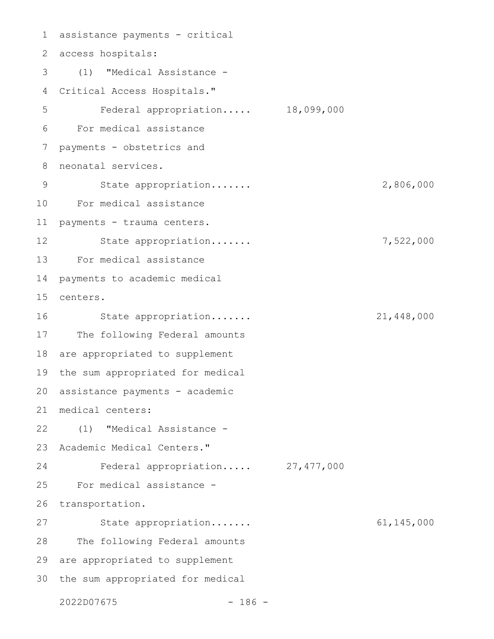assistance payments - critical 1 access hospitals: 2 (1) "Medical Assistance - Critical Access Hospitals." 4 Federal appropriation..... 18,099,000 For medical assistance payments - obstetrics and neonatal services. State appropriation....... 2,806,000 For medical assistance 10 payments - trauma centers. State appropriation....... 7,522,000 For medical assistance 13 payments to academic medical centers. 15 State appropriation....... 21,448,000 The following Federal amounts 18 are appropriated to supplement 19 the sum appropriated for medical 20 assistance payments - academic medical centers: 21 (1) "Medical Assistance - 22 23 Academic Medical Centers." Federal appropriation..... 27,477,000 For medical assistance transportation. State appropriation....... 61,145,000 The following Federal amounts 29 are appropriated to supplement 30 the sum appropriated for medical 3 5 6 7 8 9 11 12 14 16 17 24 25 26 27 28

2022D07675 - 186 -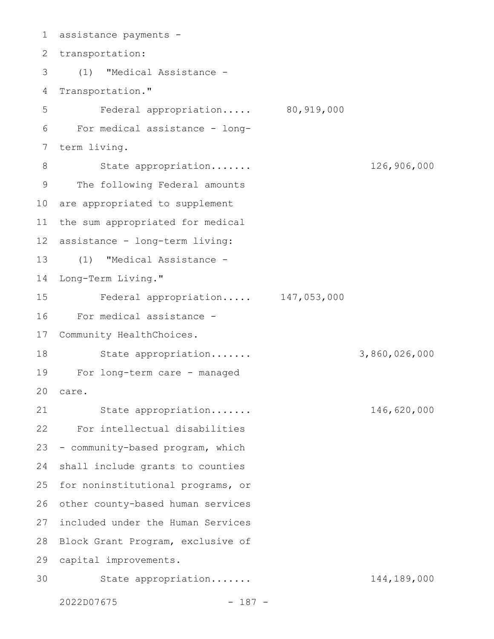assistance payments - 1 2 transportation: (1) "Medical Assistance - 3 4 Transportation." Federal appropriation..... 80,919,000 For medical assistance - longterm living. State appropriation....... 126,906,000 The following Federal amounts 10 are appropriated to supplement the sum appropriated for medical 12 assistance - long-term living: (1) "Medical Assistance - Long-Term Living." Federal appropriation..... 147,053,000 For medical assistance - 17 Community HealthChoices. State appropriation....... 3,860,026,000 For long-term care - managed 19 care. State appropriation....... 146,620,000 For intellectual disabilities - community-based program, which shall include grants to counties 25 for noninstitutional programs, or 26 other county-based human services included under the Human Services 28 Block Grant Program, exclusive of 29 capital improvements. State appropriation....... 144,189,000 5 6 7 8 9 11 13 14 15 16 18 20 21 22 23 24 27 30

2022D07675 - 187 -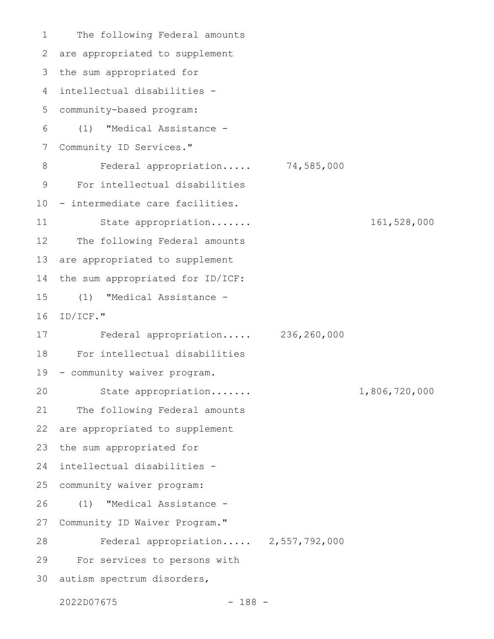The following Federal amounts are appropriated to supplement the sum appropriated for intellectual disabilities - 4 community-based program: (1) "Medical Assistance - Community ID Services." Federal appropriation..... 74,585,000 For intellectual disabilities - intermediate care facilities. State appropriation....... 161,528,000 The following Federal amounts are appropriated to supplement the sum appropriated for ID/ICF: (1) "Medical Assistance - ID/ICF." Federal appropriation..... 236,260,000 For intellectual disabilities - community waiver program. State appropriation....... 1,806,720,000 The following Federal amounts are appropriated to supplement the sum appropriated for intellectual disabilities community waiver program: (1) "Medical Assistance - Community ID Waiver Program." Federal appropriation..... 2,557,792,000 For services to persons with 30 autism spectrum disorders, 1 2 3 5 6 7 8 9 10 11 12 13 14 15 16 17 18 19 20 21 22 23 24 25 26 27 28 29

2022D07675 - 188 -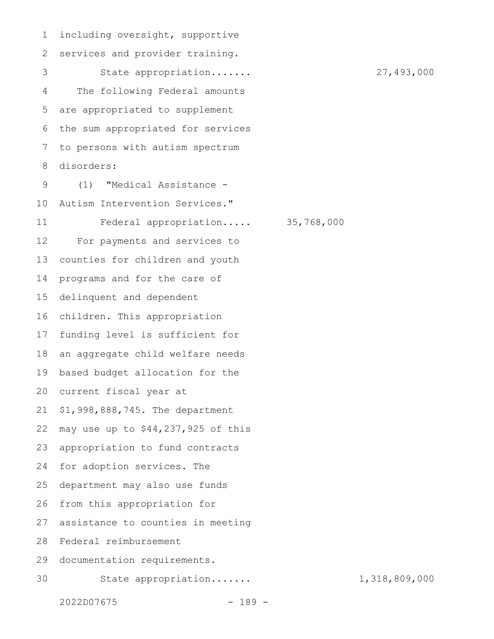including oversight, supportive services and provider training. State appropriation....... 27,493,000 The following Federal amounts are appropriated to supplement the sum appropriated for services to persons with autism spectrum disorders: (1) "Medical Assistance - Autism Intervention Services." Federal appropriation..... 35,768,000 For payments and services to counties for children and youth programs and for the care of delinquent and dependent children. This appropriation funding level is sufficient for an aggregate child welfare needs based budget allocation for the current fiscal year at \$1,998,888,745. The department may use up to \$44,237,925 of this appropriation to fund contracts for adoption services. The department may also use funds from this appropriation for assistance to counties in meeting Federal reimbursement documentation requirements. State appropriation....... 1,318,809,000 1 2 3 4 5 6 7 8 9 10 11 12 13 14 15 16 17 18 19 20 21 22 23 24 25 26 27 28 29 30

2022D07675 - 189 -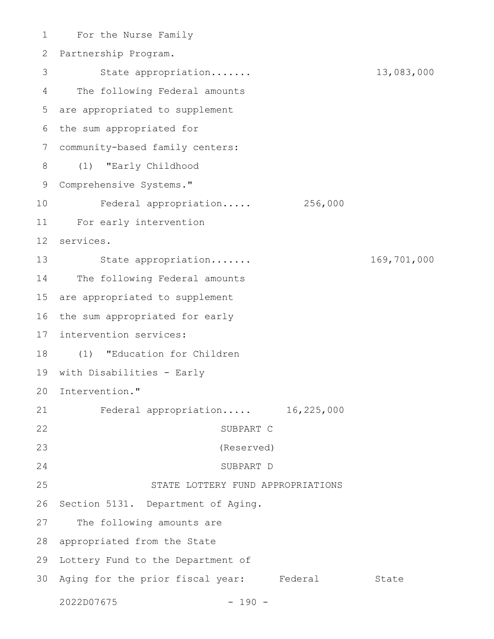For the Nurse Family 1 Partnership Program. 2 State appropriation....... 13,083,000 The following Federal amounts 4 are appropriated to supplement 5 6 the sum appropriated for community-based family centers: 7 (1) "Early Childhood 9 Comprehensive Systems." Federal appropriation..... 256,000 For early intervention 11 services. 12 State appropriation....... 169,701,000 14 The following Federal amounts 15 are appropriated to supplement 16 the sum appropriated for early 17 intervention services: (1) "Education for Children 18 19 with Disabilities - Early 20 Intervention." Federal appropriation..... 16,225,000 SUBPART C (Reserved) SUBPART D STATE LOTTERY FUND APPROPRIATIONS 26 Section 5131. Department of Aging. The following amounts are 28 appropriated from the State 29 Lottery Fund to the Department of 30 Aging for the prior fiscal year: Federal State 2022D07675 - 190 - 3 8 10 13 21 22 23 24 25 27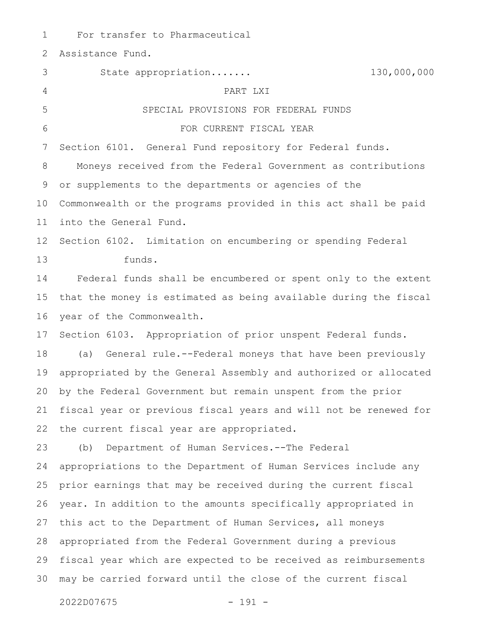For transfer to Pharmaceutical Assistance Fund. State appropriation....... 130,000,000 PART LXI SPECIAL PROVISIONS FOR FEDERAL FUNDS FOR CURRENT FISCAL YEAR Section 6101. General Fund repository for Federal funds. Moneys received from the Federal Government as contributions or supplements to the departments or agencies of the Commonwealth or the programs provided in this act shall be paid into the General Fund. Section 6102. Limitation on encumbering or spending Federal funds. Federal funds shall be encumbered or spent only to the extent that the money is estimated as being available during the fiscal year of the Commonwealth. Section 6103. Appropriation of prior unspent Federal funds. (a) General rule.--Federal moneys that have been previously appropriated by the General Assembly and authorized or allocated by the Federal Government but remain unspent from the prior fiscal year or previous fiscal years and will not be renewed for the current fiscal year are appropriated. (b) Department of Human Services.--The Federal appropriations to the Department of Human Services include any prior earnings that may be received during the current fiscal year. In addition to the amounts specifically appropriated in this act to the Department of Human Services, all moneys appropriated from the Federal Government during a previous fiscal year which are expected to be received as reimbursements may be carried forward until the close of the current fiscal 1 2 3 4 5 6 7 8 9 10 11 12 13 14 15 16 17 18 19 20 21 22 23 24 25 26 27 28 29 30

2022D07675 - 191 -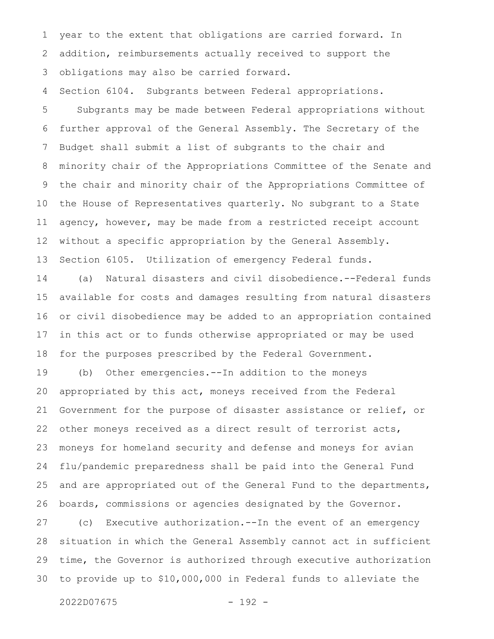year to the extent that obligations are carried forward. In addition, reimbursements actually received to support the obligations may also be carried forward. 1 2 3

Section 6104. Subgrants between Federal appropriations. 4

Subgrants may be made between Federal appropriations without further approval of the General Assembly. The Secretary of the Budget shall submit a list of subgrants to the chair and minority chair of the Appropriations Committee of the Senate and the chair and minority chair of the Appropriations Committee of the House of Representatives quarterly. No subgrant to a State agency, however, may be made from a restricted receipt account without a specific appropriation by the General Assembly. Section 6105. Utilization of emergency Federal funds. 5 6 7 8 9 10 11 12 13

(a) Natural disasters and civil disobedience.--Federal funds available for costs and damages resulting from natural disasters or civil disobedience may be added to an appropriation contained in this act or to funds otherwise appropriated or may be used for the purposes prescribed by the Federal Government. 14 15 16 17 18

(b) Other emergencies.--In addition to the moneys appropriated by this act, moneys received from the Federal Government for the purpose of disaster assistance or relief, or other moneys received as a direct result of terrorist acts, moneys for homeland security and defense and moneys for avian flu/pandemic preparedness shall be paid into the General Fund and are appropriated out of the General Fund to the departments, boards, commissions or agencies designated by the Governor. 19 20 21 22 23 24 25 26

(c) Executive authorization.--In the event of an emergency situation in which the General Assembly cannot act in sufficient time, the Governor is authorized through executive authorization to provide up to \$10,000,000 in Federal funds to alleviate the 27 28 29 30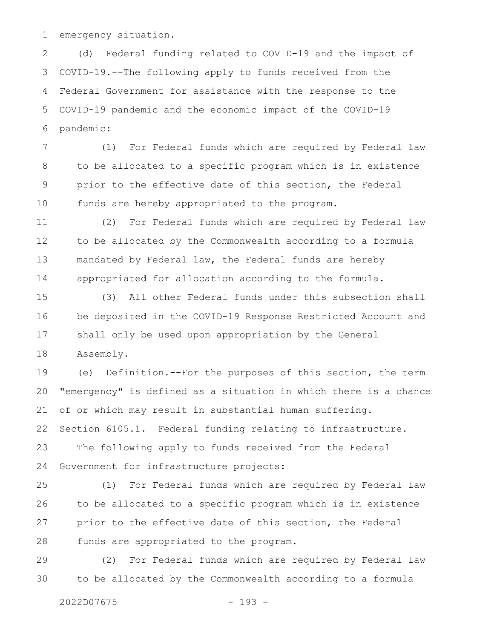emergency situation. 1

(d) Federal funding related to COVID-19 and the impact of COVID-19.--The following apply to funds received from the Federal Government for assistance with the response to the COVID-19 pandemic and the economic impact of the COVID-19 pandemic: 2 3 4 5 6

(1) For Federal funds which are required by Federal law to be allocated to a specific program which is in existence prior to the effective date of this section, the Federal funds are hereby appropriated to the program. 7 8 9 10

(2) For Federal funds which are required by Federal law to be allocated by the Commonwealth according to a formula mandated by Federal law, the Federal funds are hereby appropriated for allocation according to the formula. 11 12 13 14

(3) All other Federal funds under this subsection shall be deposited in the COVID-19 Response Restricted Account and shall only be used upon appropriation by the General Assembly. 15 16 17 18

(e) Definition.--For the purposes of this section, the term "emergency" is defined as a situation in which there is a chance of or which may result in substantial human suffering. Section 6105.1. Federal funding relating to infrastructure. The following apply to funds received from the Federal Government for infrastructure projects: 19 20 21 22 23 24

(1) For Federal funds which are required by Federal law to be allocated to a specific program which is in existence prior to the effective date of this section, the Federal funds are appropriated to the program. 25 26 27 28

(2) For Federal funds which are required by Federal law to be allocated by the Commonwealth according to a formula 29 30

2022D07675 - 193 -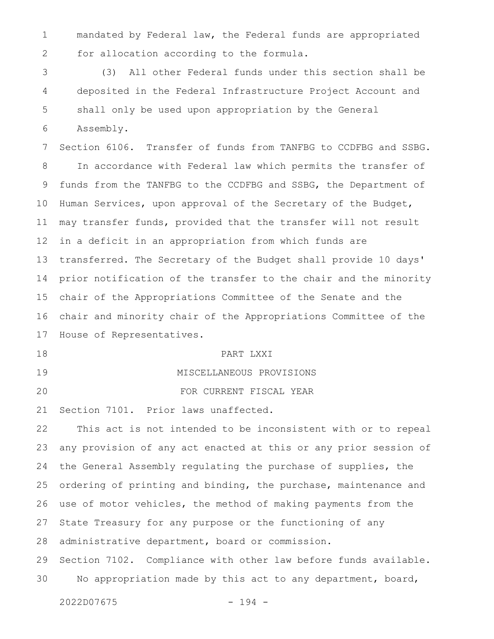mandated by Federal law, the Federal funds are appropriated for allocation according to the formula. 1 2

(3) All other Federal funds under this section shall be deposited in the Federal Infrastructure Project Account and shall only be used upon appropriation by the General Assembly. 3 4 5 6

Section 6106. Transfer of funds from TANFBG to CCDFBG and SSBG. In accordance with Federal law which permits the transfer of funds from the TANFBG to the CCDFBG and SSBG, the Department of Human Services, upon approval of the Secretary of the Budget, may transfer funds, provided that the transfer will not result in a deficit in an appropriation from which funds are transferred. The Secretary of the Budget shall provide 10 days' prior notification of the transfer to the chair and the minority chair of the Appropriations Committee of the Senate and the chair and minority chair of the Appropriations Committee of the House of Representatives. 7 8 9 10 11 12 13 14 15 16 17

18

PART LXXI

MISCELLANEOUS PROVISIONS

FOR CURRENT FISCAL YEAR

19

20

Section 7101. Prior laws unaffected. 21

This act is not intended to be inconsistent with or to repeal any provision of any act enacted at this or any prior session of the General Assembly regulating the purchase of supplies, the ordering of printing and binding, the purchase, maintenance and use of motor vehicles, the method of making payments from the State Treasury for any purpose or the functioning of any administrative department, board or commission. Section 7102. Compliance with other law before funds available. No appropriation made by this act to any department, board, 22 23 24 25 26 27 28 29 30

```
2022D07675 - 194 -
```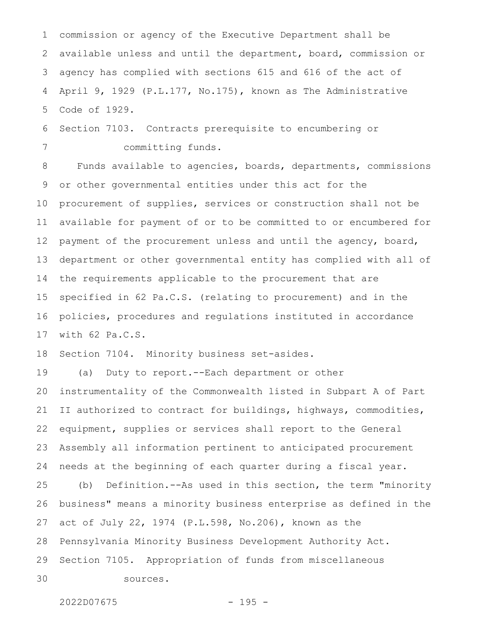commission or agency of the Executive Department shall be available unless and until the department, board, commission or agency has complied with sections 615 and 616 of the act of April 9, 1929 (P.L.177, No.175), known as The Administrative Code of 1929. 1 2 3 4 5

Section 7103. Contracts prerequisite to encumbering or committing funds. 6 7

Funds available to agencies, boards, departments, commissions or other governmental entities under this act for the procurement of supplies, services or construction shall not be available for payment of or to be committed to or encumbered for payment of the procurement unless and until the agency, board, department or other governmental entity has complied with all of the requirements applicable to the procurement that are specified in 62 Pa.C.S. (relating to procurement) and in the policies, procedures and regulations instituted in accordance with 62 Pa.C.S. 8 9 10 11 12 13 14 15 16 17

Section 7104. Minority business set-asides. 18

(a) Duty to report.--Each department or other instrumentality of the Commonwealth listed in Subpart A of Part II authorized to contract for buildings, highways, commodities, equipment, supplies or services shall report to the General Assembly all information pertinent to anticipated procurement needs at the beginning of each quarter during a fiscal year. 19 20 21 22 23 24

(b) Definition.--As used in this section, the term "minority business" means a minority business enterprise as defined in the act of July 22, 1974 (P.L.598, No.206), known as the Pennsylvania Minority Business Development Authority Act. Section 7105. Appropriation of funds from miscellaneous sources. 25 26 27 28 29 30

2022D07675 - 195 -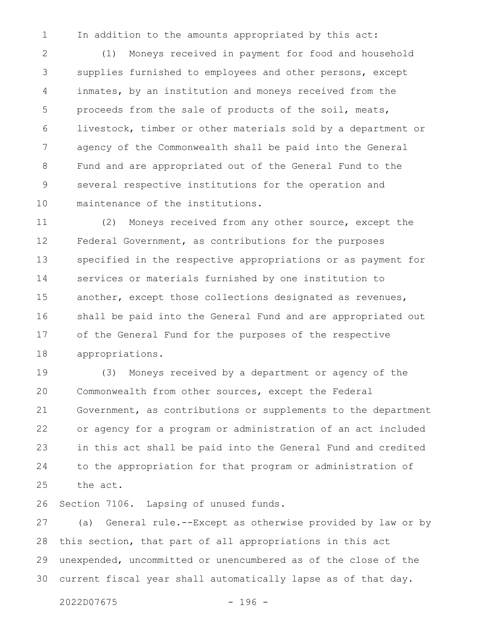In addition to the amounts appropriated by this act: 1

(1) Moneys received in payment for food and household supplies furnished to employees and other persons, except inmates, by an institution and moneys received from the proceeds from the sale of products of the soil, meats, livestock, timber or other materials sold by a department or agency of the Commonwealth shall be paid into the General Fund and are appropriated out of the General Fund to the several respective institutions for the operation and maintenance of the institutions. 2 3 4 5 6 7 8 9 10

(2) Moneys received from any other source, except the Federal Government, as contributions for the purposes specified in the respective appropriations or as payment for services or materials furnished by one institution to another, except those collections designated as revenues, shall be paid into the General Fund and are appropriated out of the General Fund for the purposes of the respective appropriations. 11 12 13 14 15 16 17 18

(3) Moneys received by a department or agency of the Commonwealth from other sources, except the Federal Government, as contributions or supplements to the department or agency for a program or administration of an act included in this act shall be paid into the General Fund and credited to the appropriation for that program or administration of the act. 19 20 21 22 23 24 25

Section 7106. Lapsing of unused funds. 26

(a) General rule.--Except as otherwise provided by law or by this section, that part of all appropriations in this act unexpended, uncommitted or unencumbered as of the close of the current fiscal year shall automatically lapse as of that day. 27 28 29 30

2022D07675 - 196 -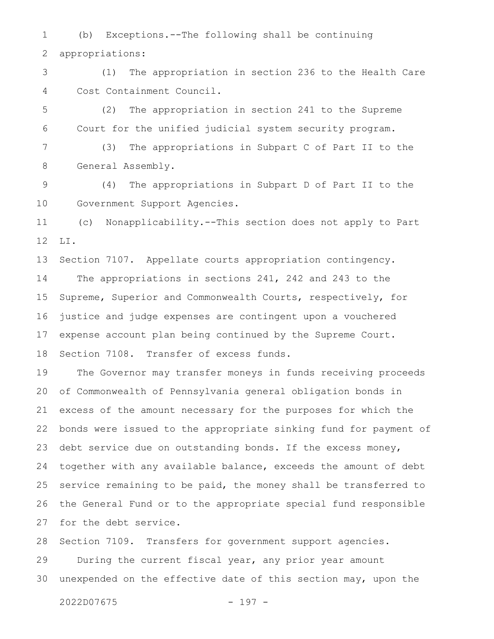(b) Exceptions.--The following shall be continuing appropriations: 1 2

(1) The appropriation in section 236 to the Health Care Cost Containment Council. 3 4

(2) The appropriation in section 241 to the Supreme Court for the unified judicial system security program. 5 6

(3) The appropriations in Subpart C of Part II to the General Assembly. 7 8

(4) The appropriations in Subpart D of Part II to the Government Support Agencies. 9 10

(c) Nonapplicability.--This section does not apply to Part LI. 11 12

Section 7107. Appellate courts appropriation contingency. The appropriations in sections 241, 242 and 243 to the Supreme, Superior and Commonwealth Courts, respectively, for justice and judge expenses are contingent upon a vouchered expense account plan being continued by the Supreme Court. Section 7108. Transfer of excess funds. 13 14 15 16 17 18

The Governor may transfer moneys in funds receiving proceeds of Commonwealth of Pennsylvania general obligation bonds in excess of the amount necessary for the purposes for which the bonds were issued to the appropriate sinking fund for payment of debt service due on outstanding bonds. If the excess money, together with any available balance, exceeds the amount of debt service remaining to be paid, the money shall be transferred to the General Fund or to the appropriate special fund responsible for the debt service. 19 20 21 22 23 24 25 26 27

Section 7109. Transfers for government support agencies. During the current fiscal year, any prior year amount unexpended on the effective date of this section may, upon the 28 29 30

```
2022D07675 - 197 -
```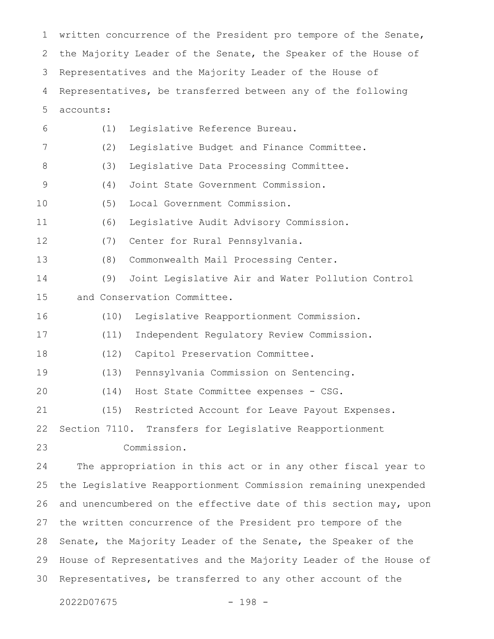written concurrence of the President pro tempore of the Senate, the Majority Leader of the Senate, the Speaker of the House of Representatives and the Majority Leader of the House of Representatives, be transferred between any of the following accounts: (1) Legislative Reference Bureau. (2) Legislative Budget and Finance Committee. (3) Legislative Data Processing Committee. (4) Joint State Government Commission. (5) Local Government Commission. (6) Legislative Audit Advisory Commission. (7) Center for Rural Pennsylvania. (8) Commonwealth Mail Processing Center. (9) Joint Legislative Air and Water Pollution Control and Conservation Committee. (10) Legislative Reapportionment Commission. (11) Independent Regulatory Review Commission. (12) Capitol Preservation Committee. (13) Pennsylvania Commission on Sentencing. (14) Host State Committee expenses - CSG. (15) Restricted Account for Leave Payout Expenses. Section 7110. Transfers for Legislative Reapportionment Commission. The appropriation in this act or in any other fiscal year to the Legislative Reapportionment Commission remaining unexpended and unencumbered on the effective date of this section may, upon the written concurrence of the President pro tempore of the Senate, the Majority Leader of the Senate, the Speaker of the House of Representatives and the Majority Leader of the House of Representatives, be transferred to any other account of the 1 2 3 4 5 6 7 8 9 10 11 12 13 14 15 16 17 18 19 20 21 22 23 24 25 26 27 28 29 30